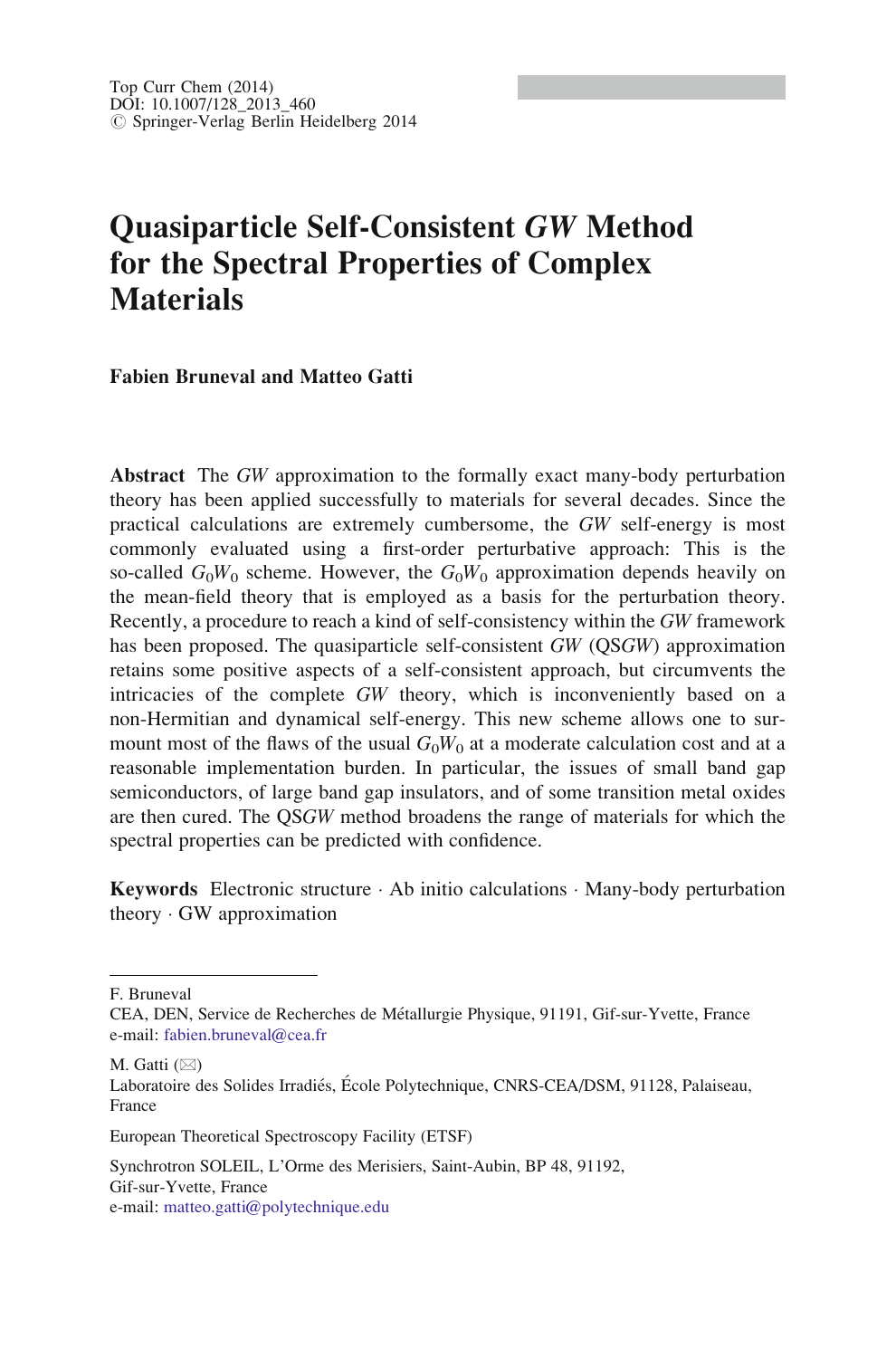# Quasiparticle Self-Consistent GW Method for the Spectral Properties of Complex **Materials**

#### Fabien Bruneval and Matteo Gatti

Abstract The GW approximation to the formally exact many-body perturbation theory has been applied successfully to materials for several decades. Since the practical calculations are extremely cumbersome, the GW self-energy is most commonly evaluated using a first-order perturbative approach: This is the so-called  $G_0W_0$  scheme. However, the  $G_0W_0$  approximation depends heavily on the mean-field theory that is employed as a basis for the perturbation theory. Recently, a procedure to reach a kind of self-consistency within the GW framework has been proposed. The quasiparticle self-consistent GW (QSGW) approximation retains some positive aspects of a self-consistent approach, but circumvents the intricacies of the complete GW theory, which is inconveniently based on a non-Hermitian and dynamical self-energy. This new scheme allows one to surmount most of the flaws of the usual  $G_0W_0$  at a moderate calculation cost and at a reasonable implementation burden. In particular, the issues of small band gap semiconductors, of large band gap insulators, and of some transition metal oxides are then cured. The QSGW method broadens the range of materials for which the spectral properties can be predicted with confidence.

**Keywords** Electronic structure  $\cdot$  Ab initio calculations  $\cdot$  Many-body perturbation theory  $\cdot$  GW approximation

F. Bruneval

M. Gatti  $(\boxtimes)$ 

CEA, DEN, Service de Recherches de Me´tallurgie Physique, 91191, Gif-sur-Yvette, France e-mail: [fabien.bruneval@cea.fr](mailto:fabien.bruneval@cea.fr)

Laboratoire des Solides Irradiés, École Polytechnique, CNRS-CEA/DSM, 91128, Palaiseau, France

European Theoretical Spectroscopy Facility (ETSF)

Synchrotron SOLEIL, L'Orme des Merisiers, Saint-Aubin, BP 48, 91192, Gif-sur-Yvette, France e-mail: [matteo.gatti@polytechnique.edu](mailto:matteo.gatti@polytechnique.edu)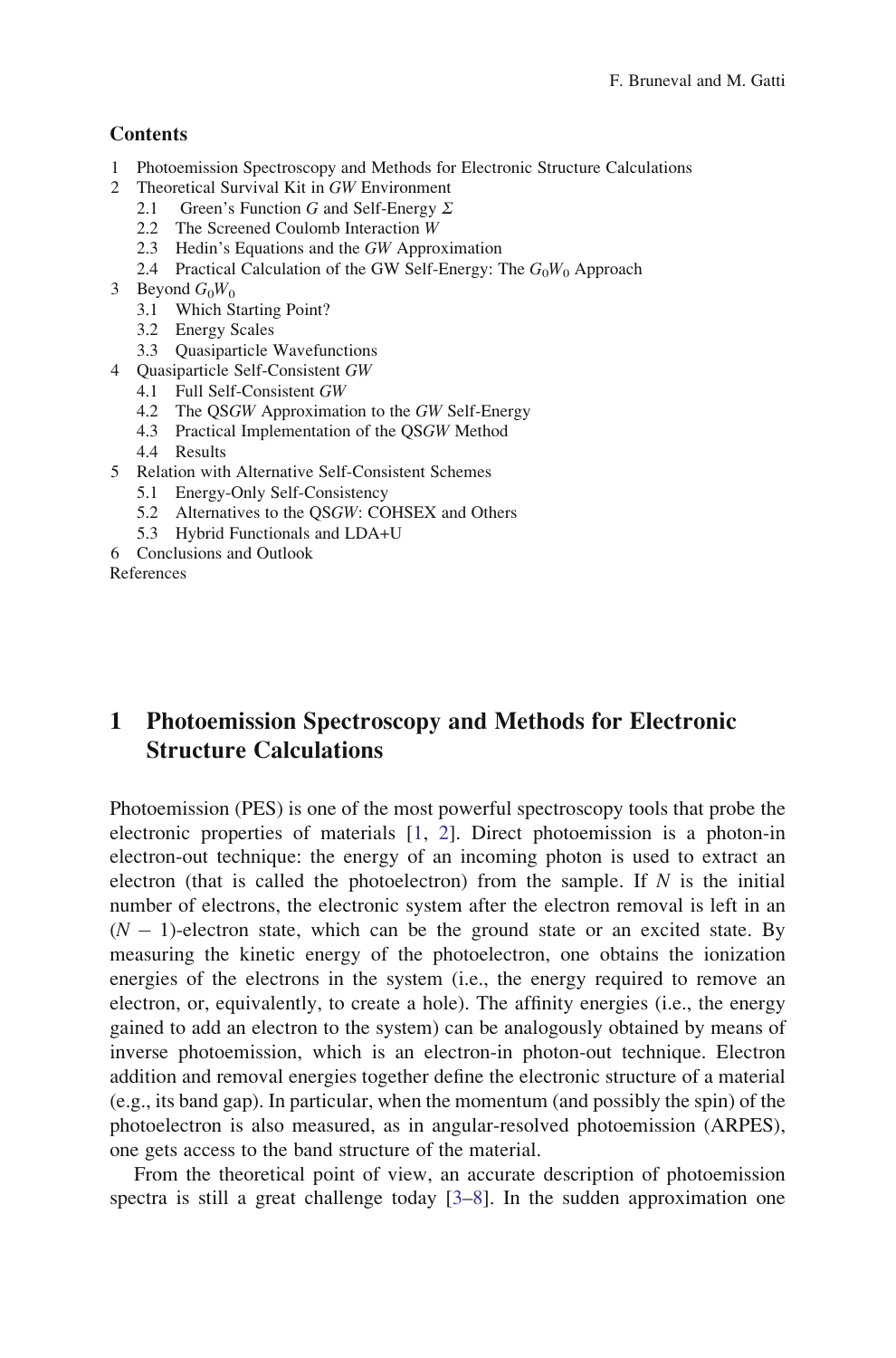#### <span id="page-1-0"></span>**Contents**

- 1 Photoemission Spectroscopy and Methods for Electronic Structure Calculations
- 2 Theoretical Survival Kit in GW Environment
	- 2.1 Green's Function G and Self-Energy  $\Sigma$
	- 2.2 The Screened Coulomb Interaction W
	- 2.3 Hedin's Equations and the GW Approximation
	- 2.4 Practical Calculation of the GW Self-Energy: The  $G_0W_0$  Approach
- 3 Beyond  $G_0W_0$ 
	- 3.1 Which Starting Point?
	- 3.2 Energy Scales
	- 3.3 Quasiparticle Wavefunctions
- 4 Quasiparticle Self-Consistent GW
	- 4.1 Full Self-Consistent GW
	- 4.2 The QSGW Approximation to the GW Self-Energy
	- 4.3 Practical Implementation of the QSGW Method
	- 4.4 Results
- 5 Relation with Alternative Self-Consistent Schemes
	- 5.1 Energy-Only Self-Consistency
	- 5.2 Alternatives to the QSGW: COHSEX and Others
	- 5.3 Hybrid Functionals and LDA+U
- 6 Conclusions and Outlook

References

# 1 Photoemission Spectroscopy and Methods for Electronic Structure Calculations

Photoemission (PES) is one of the most powerful spectroscopy tools that probe the electronic properties of materials [[1,](#page-30-0) [2](#page-30-0)]. Direct photoemission is a photon-in electron-out technique: the energy of an incoming photon is used to extract an electron (that is called the photoelectron) from the sample. If  $N$  is the initial number of electrons, the electronic system after the electron removal is left in an  $(N - 1)$ -electron state, which can be the ground state or an excited state. By measuring the kinetic energy of the photoelectron, one obtains the ionization energies of the electrons in the system (i.e., the energy required to remove an electron, or, equivalently, to create a hole). The affinity energies (i.e., the energy gained to add an electron to the system) can be analogously obtained by means of inverse photoemission, which is an electron-in photon-out technique. Electron addition and removal energies together define the electronic structure of a material (e.g., its band gap). In particular, when the momentum (and possibly the spin) of the photoelectron is also measured, as in angular-resolved photoemission (ARPES), one gets access to the band structure of the material.

From the theoretical point of view, an accurate description of photoemission spectra is still a great challenge today [[3–](#page-30-0)[8\]](#page-31-0). In the sudden approximation one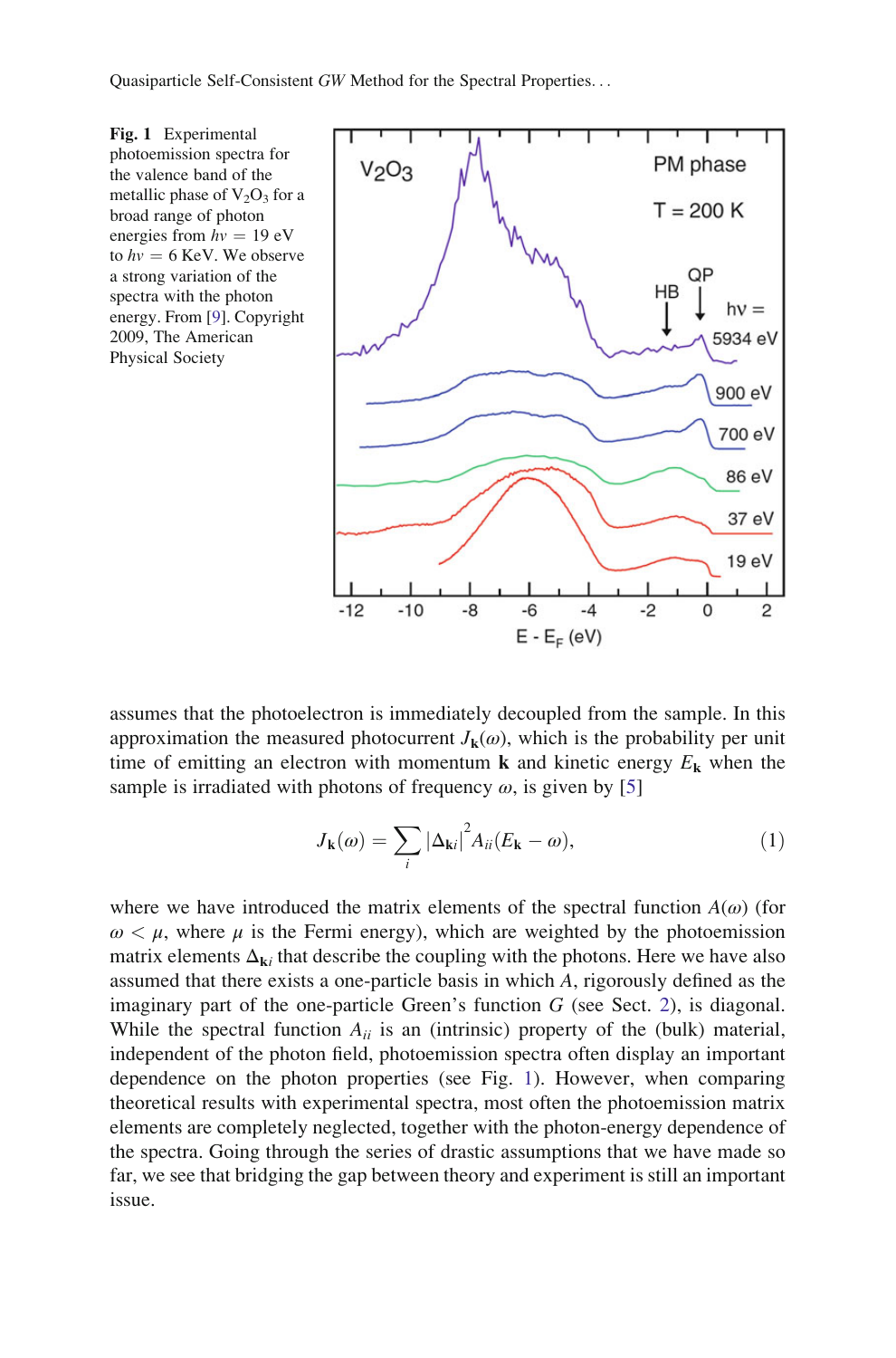<span id="page-2-0"></span>Fig. 1 Experimental photoemission spectra for the valence band of the metallic phase of  $V_2O_3$  for a broad range of photon<br>energies from  $hv = 19$  eV energies from  $hv = 19$  eV<br>to  $hv = 6$  KeV. We observ to  $hv = 6$  KeV. We observe<br>a strong variation of the a strong variation of the spectra with the photon energy. From [\[9](#page-31-0)]. Copyright 2009, The American Physical Society



assumes that the photoelectron is immediately decoupled from the sample. In this approximation the measured photocurrent  $J_k(\omega)$ , which is the probability per unit time of emitting an electron with momentum **k** and kinetic energy  $E_k$  when the sample is irradiated with photons of frequency  $\omega$ , is given by [\[5](#page-30-0)]

$$
J_{\mathbf{k}}(\omega) = \sum_{i} |\Delta_{\mathbf{k}i}|^{2} A_{ii} (E_{\mathbf{k}} - \omega), \qquad (1)
$$

where we have introduced the matrix elements of the spectral function  $A(\omega)$  (for  $\omega < \mu$ , where  $\mu$  is the Fermi energy), which are weighted by the photoemission matrix elements  $\Delta_{ki}$  that describe the coupling with the photons. Here we have also assumed that there exists a one-particle basis in which A, rigorously defined as the imaginary part of the one-particle Green's function  $G$  (see Sect. [2\)](#page-5-0), is diagonal. While the spectral function  $A_{ii}$  is an (intrinsic) property of the (bulk) material, independent of the photon field, photoemission spectra often display an important dependence on the photon properties (see Fig. 1). However, when comparing theoretical results with experimental spectra, most often the photoemission matrix elements are completely neglected, together with the photon-energy dependence of the spectra. Going through the series of drastic assumptions that we have made so far, we see that bridging the gap between theory and experiment is still an important issue.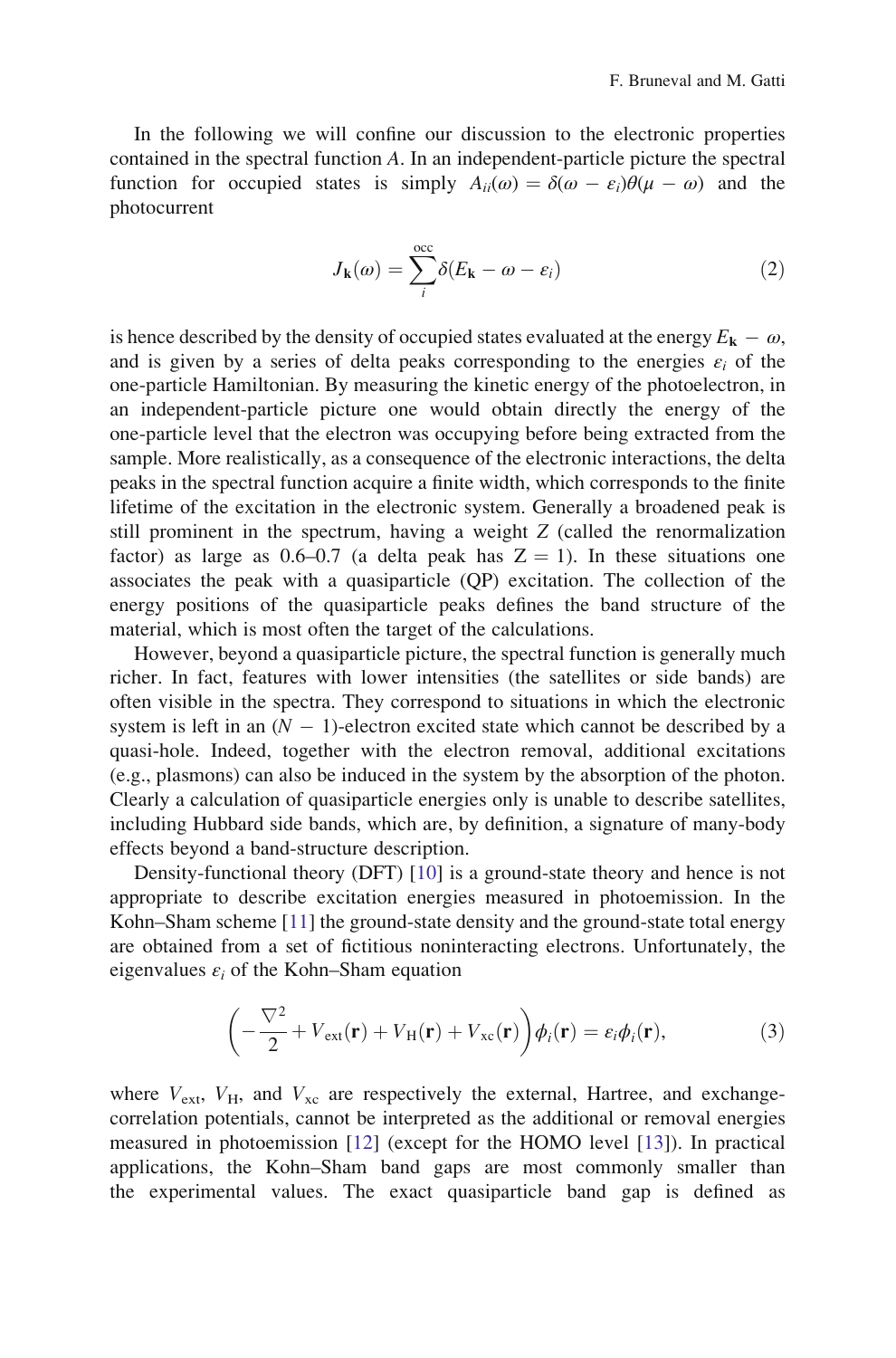<span id="page-3-0"></span>In the following we will confine our discussion to the electronic properties contained in the spectral function A. In an independent-particle picture the spectral function for occupied states is simply  $A_{ii}(\omega) = \delta(\omega - \varepsilon_i)\theta(\mu - \omega)$  and the photocurrent

$$
J_{\mathbf{k}}(\omega) = \sum_{i}^{\text{occ}} \delta(E_{\mathbf{k}} - \omega - \varepsilon_{i})
$$
 (2)

is hence described by the density of occupied states evaluated at the energy  $E_{\bf k} - \omega$ , and is given by a series of delta peaks corresponding to the energies  $\varepsilon_i$  of the one-particle Hamiltonian. By measuring the kinetic energy of the photoelectron, in an independent-particle picture one would obtain directly the energy of the one-particle level that the electron was occupying before being extracted from the sample. More realistically, as a consequence of the electronic interactions, the delta peaks in the spectral function acquire a finite width, which corresponds to the finite lifetime of the excitation in the electronic system. Generally a broadened peak is still prominent in the spectrum, having a weight Z (called the renormalization factor) as large as 0.6–0.7 (a delta peak has  $Z = 1$ ). In these situations one associates the peak with a quasiparticle (QP) excitation. The collection of the energy positions of the quasiparticle peaks defines the band structure of the material, which is most often the target of the calculations.

However, beyond a quasiparticle picture, the spectral function is generally much richer. In fact, features with lower intensities (the satellites or side bands) are often visible in the spectra. They correspond to situations in which the electronic system is left in an  $(N - 1)$ -electron excited state which cannot be described by a quasi-hole. Indeed, together with the electron removal, additional excitations (e.g., plasmons) can also be induced in the system by the absorption of the photon. Clearly a calculation of quasiparticle energies only is unable to describe satellites, including Hubbard side bands, which are, by definition, a signature of many-body effects beyond a band-structure description.

Density-functional theory (DFT) [\[10](#page-31-0)] is a ground-state theory and hence is not appropriate to describe excitation energies measured in photoemission. In the Kohn–Sham scheme [[11\]](#page-31-0) the ground-state density and the ground-state total energy are obtained from a set of fictitious noninteracting electrons. Unfortunately, the eigenvalues  $\varepsilon_i$  of the Kohn–Sham equation

$$
\left(-\frac{\nabla^2}{2} + V_{\text{ext}}(\mathbf{r}) + V_{\text{H}}(\mathbf{r}) + V_{\text{xc}}(\mathbf{r})\right)\phi_i(\mathbf{r}) = \varepsilon_i \phi_i(\mathbf{r}),\tag{3}
$$

where  $V_{ext}$ ,  $V_H$ , and  $V_{xc}$  are respectively the external, Hartree, and exchangecorrelation potentials, cannot be interpreted as the additional or removal energies measured in photoemission [\[12](#page-31-0)] (except for the HOMO level [[13\]](#page-31-0)). In practical applications, the Kohn–Sham band gaps are most commonly smaller than the experimental values. The exact quasiparticle band gap is defined as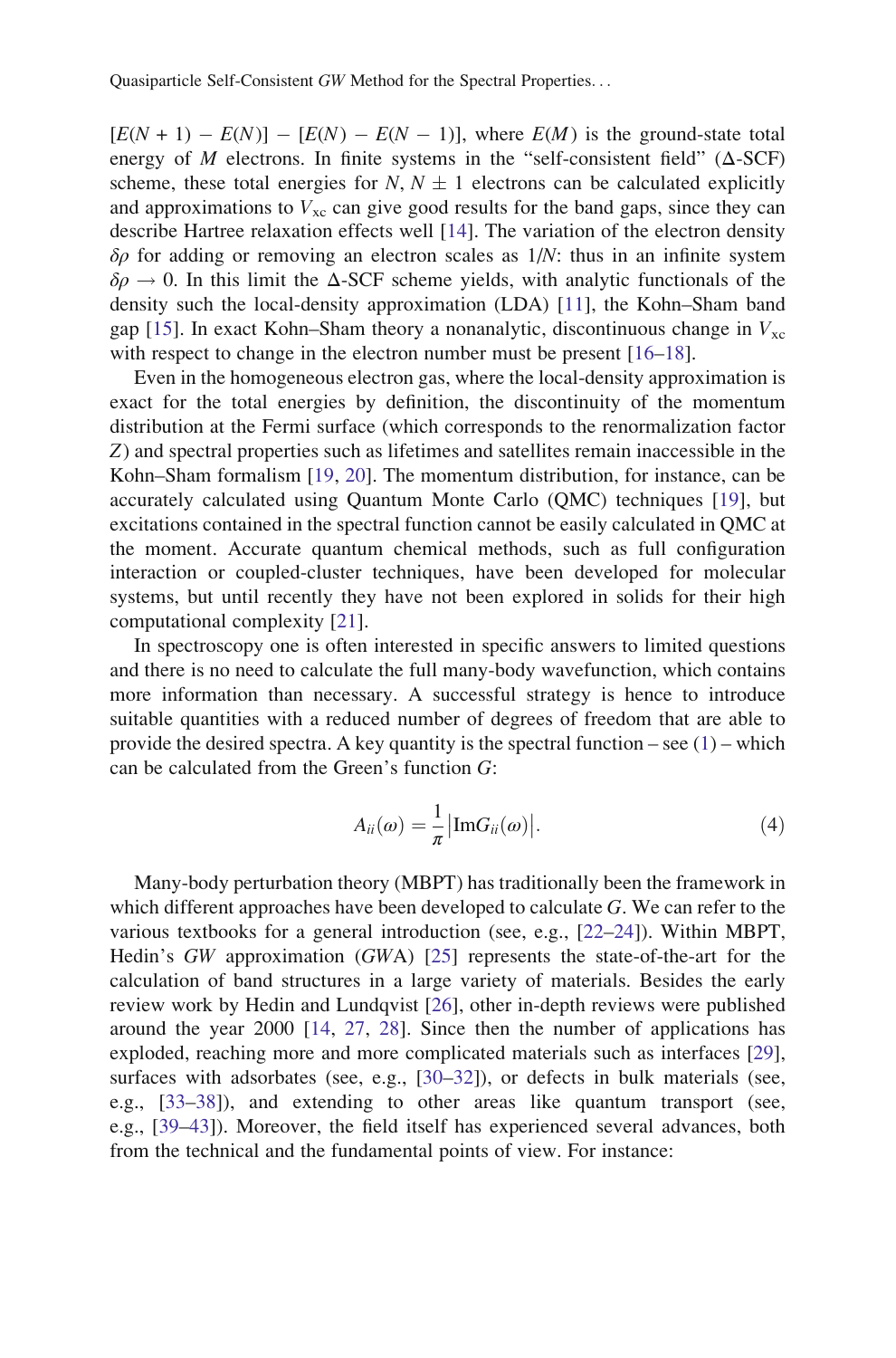<span id="page-4-0"></span> $[E(N + 1) - E(N)] - [E(N) - E(N - 1)]$ , where  $E(M)$  is the ground-state total energy of M electrons. In finite systems in the "self-consistent field" ( $\Delta$ -SCF) scheme, these total energies for N,  $N \pm 1$  electrons can be calculated explicitly and approximations to  $V_{\text{xc}}$  can give good results for the band gaps, since they can describe Hartree relaxation effects well [\[14](#page-31-0)]. The variation of the electron density  $\delta \rho$  for adding or removing an electron scales as  $1/N$ : thus in an infinite system  $\delta \rho \rightarrow 0$ . In this limit the  $\Delta$ -SCF scheme yields, with analytic functionals of the density such the local-density approximation (LDA) [[11\]](#page-31-0), the Kohn–Sham band gap [[15\]](#page-31-0). In exact Kohn–Sham theory a nonanalytic, discontinuous change in  $V_{\rm xc}$ with respect to change in the electron number must be present [[16–18\]](#page-31-0).

Even in the homogeneous electron gas, where the local-density approximation is exact for the total energies by definition, the discontinuity of the momentum distribution at the Fermi surface (which corresponds to the renormalization factor Z) and spectral properties such as lifetimes and satellites remain inaccessible in the Kohn–Sham formalism [\[19](#page-31-0), [20](#page-31-0)]. The momentum distribution, for instance, can be accurately calculated using Quantum Monte Carlo (QMC) techniques [[19\]](#page-31-0), but excitations contained in the spectral function cannot be easily calculated in QMC at the moment. Accurate quantum chemical methods, such as full configuration interaction or coupled-cluster techniques, have been developed for molecular systems, but until recently they have not been explored in solids for their high computational complexity [\[21](#page-31-0)].

In spectroscopy one is often interested in specific answers to limited questions and there is no need to calculate the full many-body wavefunction, which contains more information than necessary. A successful strategy is hence to introduce suitable quantities with a reduced number of degrees of freedom that are able to provide the desired spectra. A key quantity is the spectral function – see  $(1)$  $(1)$  $(1)$  – which can be calculated from the Green's function G:

$$
A_{ii}(\omega) = \frac{1}{\pi} \left| \text{Im} G_{ii}(\omega) \right|.
$$
 (4)

Many-body perturbation theory (MBPT) has traditionally been the framework in which different approaches have been developed to calculate  $G$ . We can refer to the various textbooks for a general introduction (see, e.g., [\[22–24](#page-31-0)]). Within MBPT, Hedin's GW approximation (GWA) [[25](#page-31-0)] represents the state-of-the-art for the calculation of band structures in a large variety of materials. Besides the early review work by Hedin and Lundqvist [[26\]](#page-31-0), other in-depth reviews were published around the year 2000 [\[14](#page-31-0), [27](#page-31-0), [28](#page-31-0)]. Since then the number of applications has exploded, reaching more and more complicated materials such as interfaces [[29\]](#page-31-0), surfaces with adsorbates (see, e.g., [\[30–32](#page-31-0)]), or defects in bulk materials (see, e.g., [\[33–38](#page-31-0)]), and extending to other areas like quantum transport (see, e.g., [[39–](#page-31-0)[43\]](#page-32-0)). Moreover, the field itself has experienced several advances, both from the technical and the fundamental points of view. For instance: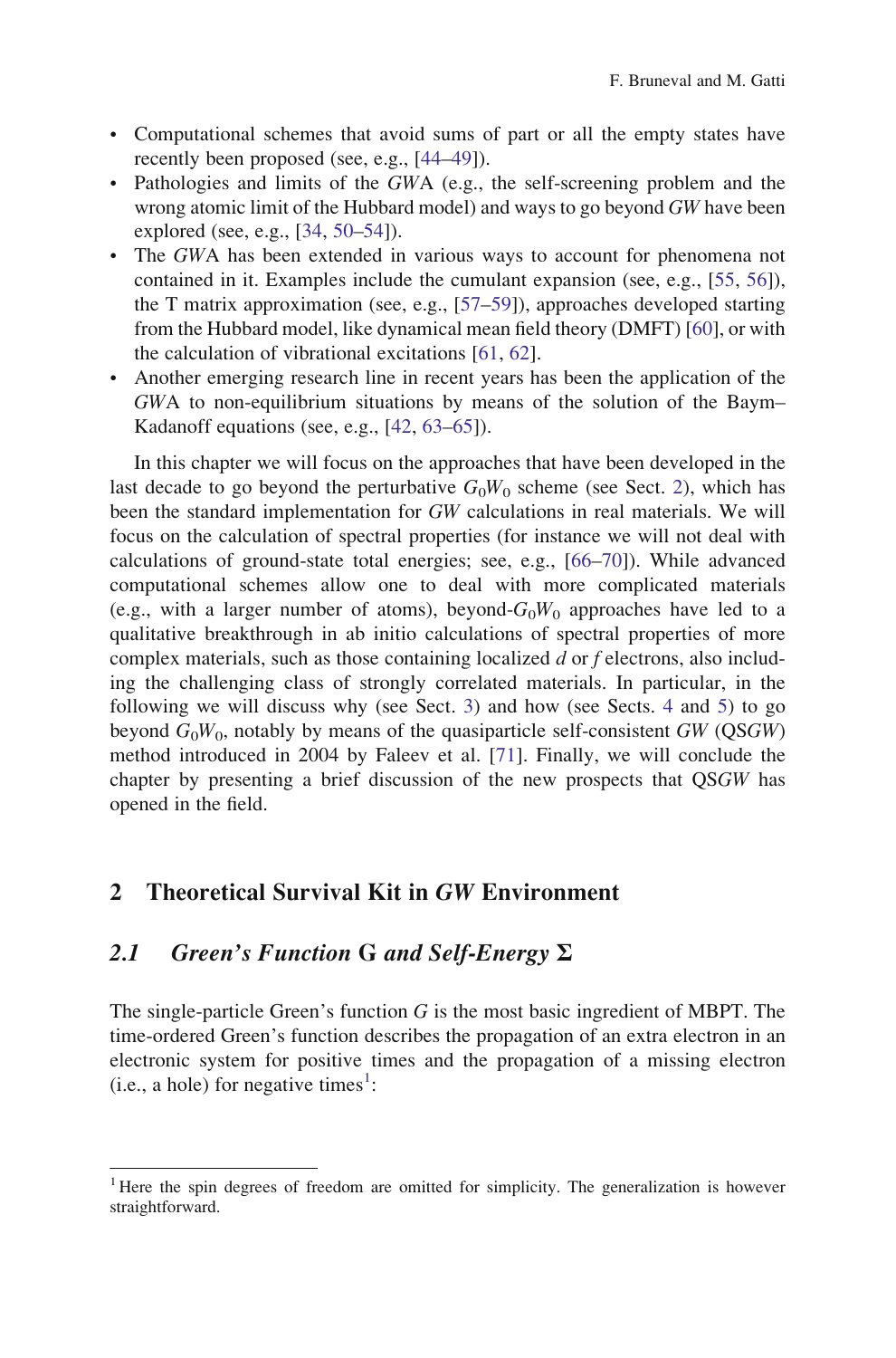- <span id="page-5-0"></span>• Computational schemes that avoid sums of part or all the empty states have recently been proposed (see, e.g., [[44–49\]](#page-32-0)).
- Pathologies and limits of the GWA (e.g., the self-screening problem and the wrong atomic limit of the Hubbard model) and ways to go beyond GW have been explored (see, e.g., [\[34](#page-31-0), [50–54](#page-32-0)]).
- The GWA has been extended in various ways to account for phenomena not contained in it. Examples include the cumulant expansion (see, e.g., [[55,](#page-32-0) [56](#page-32-0)]), the T matrix approximation (see, e.g., [\[57](#page-32-0)–[59\]](#page-32-0)), approaches developed starting from the Hubbard model, like dynamical mean field theory (DMFT) [[60\]](#page-32-0), or with the calculation of vibrational excitations [[61,](#page-32-0) [62\]](#page-32-0).
- Another emerging research line in recent years has been the application of the GWA to non-equilibrium situations by means of the solution of the Baym– Kadanoff equations (see, e.g., [[42,](#page-32-0) [63–65](#page-32-0)]).

In this chapter we will focus on the approaches that have been developed in the last decade to go beyond the perturbative  $G_0W_0$  scheme (see Sect. 2), which has been the standard implementation for GW calculations in real materials. We will focus on the calculation of spectral properties (for instance we will not deal with calculations of ground-state total energies; see, e.g., [\[66](#page-32-0)[–70](#page-33-0)]). While advanced computational schemes allow one to deal with more complicated materials (e.g., with a larger number of atoms), beyond- $G_0W_0$  approaches have led to a qualitative breakthrough in ab initio calculations of spectral properties of more complex materials, such as those containing localized d or f electrons, also including the challenging class of strongly correlated materials. In particular, in the following we will discuss why (see Sect. [3](#page-13-0)) and how (see Sects. [4](#page-21-0) and [5](#page-26-0)) to go beyond  $G_0W_0$ , notably by means of the quasiparticle self-consistent GW (QSGW) method introduced in 2004 by Faleev et al. [\[71](#page-33-0)]. Finally, we will conclude the chapter by presenting a brief discussion of the new prospects that QSGW has opened in the field.

## 2 Theoretical Survival Kit in GW Environment

## 2.1 Green's Function G and Self-Energy  $\Sigma$

The single-particle Green's function  $G$  is the most basic ingredient of MBPT. The time-ordered Green's function describes the propagation of an extra electron in an electronic system for positive times and the propagation of a missing electron  $(i.e., a hole)$  for negative times<sup>1</sup>:

<sup>&</sup>lt;sup>1</sup> Here the spin degrees of freedom are omitted for simplicity. The generalization is however straightforward.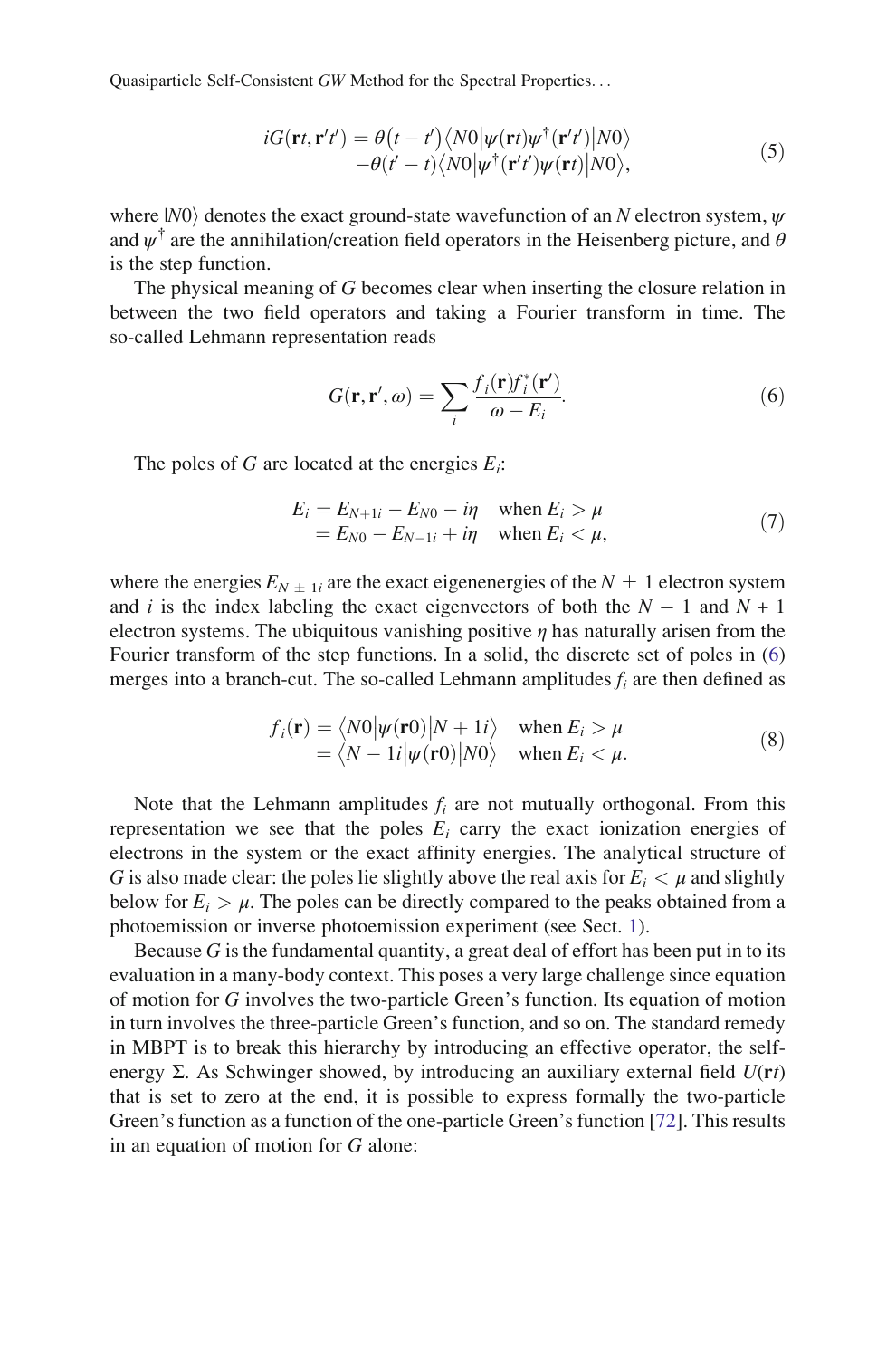$$
iG(\mathbf{r}t, \mathbf{r}'t') = \theta(t - t') \langle N0 | \psi(\mathbf{r}t) \psi^{\dagger}(\mathbf{r}'t') | N0 \rangle -\theta(t' - t) \langle N0 | \psi^{\dagger}(\mathbf{r}'t') \psi(\mathbf{r}t) | N0 \rangle,
$$
 (5)

<span id="page-6-0"></span>where  $|N0\rangle$  denotes the exact ground-state wavefunction of an N electron system,  $\psi$ and  $\psi^{\dagger}$  are the annihilation/creation field operators in the Heisenberg picture, and  $\theta$ is the step function.

The physical meaning of G becomes clear when inserting the closure relation in between the two field operators and taking a Fourier transform in time. The so-called Lehmann representation reads

$$
G(\mathbf{r}, \mathbf{r}', \omega) = \sum_{i} \frac{f_i(\mathbf{r}) f_i^*(\mathbf{r}')}{\omega - E_i}.
$$
 (6)

The poles of G are located at the energies  $E_i$ :

$$
E_i = E_{N+1i} - E_{N0} - i\eta \quad \text{when } E_i > \mu
$$
  
=  $E_{N0} - E_{N-1i} + i\eta \quad \text{when } E_i < \mu,$  (7)

where the energies  $E_{N} \pm 1i$  are the exact eigenenergies of the  $N \pm 1$  electron system and i is the index labeling the exact eigenvectors of both the  $N - 1$  and  $N + 1$ electron systems. The ubiquitous vanishing positive  $\eta$  has naturally arisen from the Fourier transform of the step functions. In a solid, the discrete set of poles in (6) merges into a branch-cut. The so-called Lehmann amplitudes  $f_i$  are then defined as

$$
f_i(\mathbf{r}) = \langle N0 | \psi(\mathbf{r}0) | N + 1i \rangle \quad \text{when } E_i > \mu
$$
  
=  $\langle N - 1i | \psi(\mathbf{r}0) | N0 \rangle \quad \text{when } E_i < \mu.$  (8)

Note that the Lehmann amplitudes  $f_i$  are not mutually orthogonal. From this representation we see that the poles  $E_i$  carry the exact ionization energies of electrons in the system or the exact affinity energies. The analytical structure of G is also made clear: the poles lie slightly above the real axis for  $E_i < \mu$  and slightly below for  $E_i > \mu$ . The poles can be directly compared to the peaks obtained from a photoemission or inverse photoemission experiment (see Sect. [1](#page-1-0)).

Because  $G$  is the fundamental quantity, a great deal of effort has been put in to its evaluation in a many-body context. This poses a very large challenge since equation of motion for G involves the two-particle Green's function. Its equation of motion in turn involves the three-particle Green's function, and so on. The standard remedy in MBPT is to break this hierarchy by introducing an effective operator, the selfenergy Σ. As Schwinger showed, by introducing an auxiliary external field  $U(\mathbf{r}t)$ that is set to zero at the end, it is possible to express formally the two-particle Green's function as a function of the one-particle Green's function [[72\]](#page-33-0). This results in an equation of motion for G alone: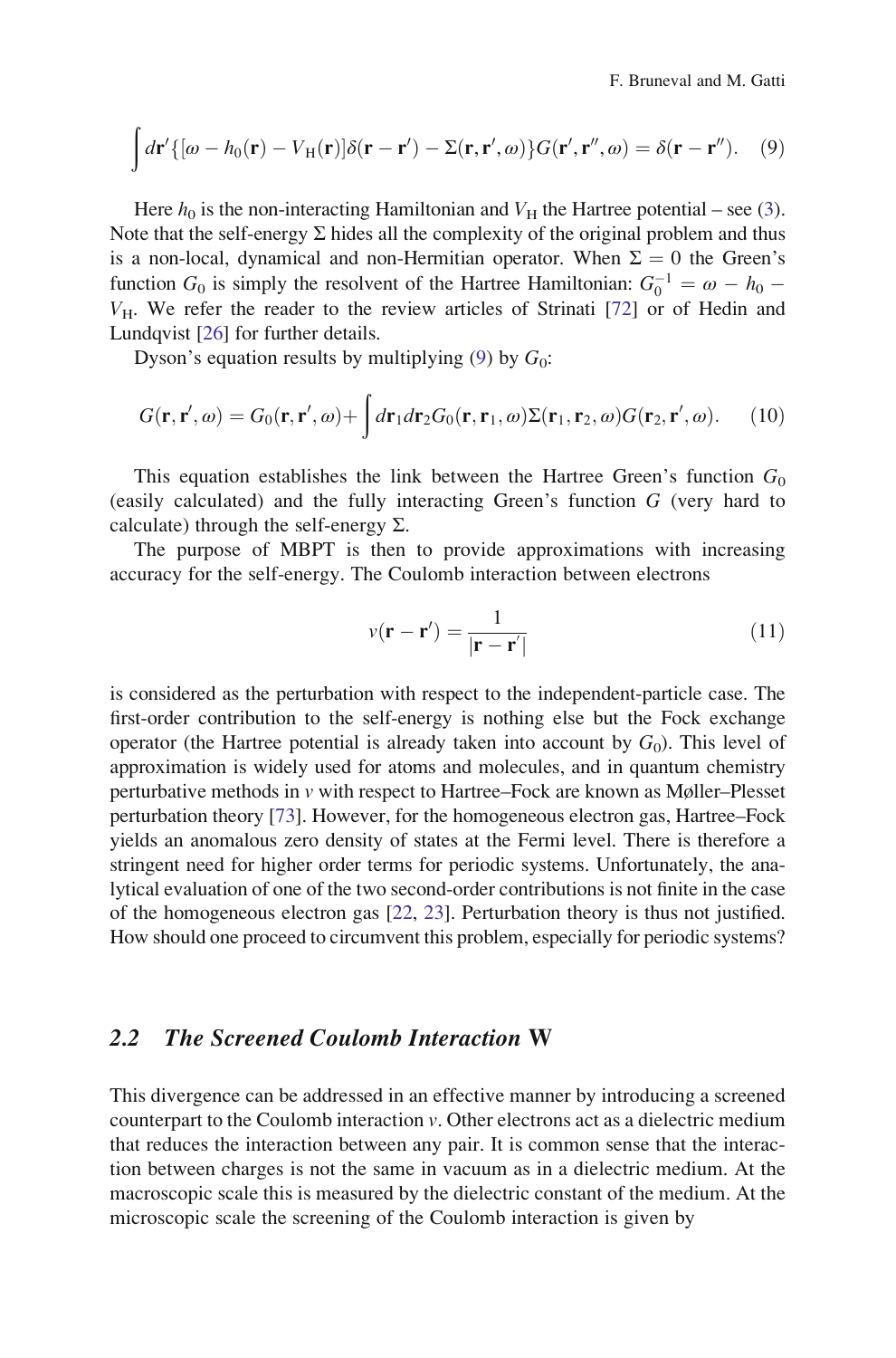<span id="page-7-0"></span>
$$
\int d\mathbf{r}'\{[\omega - h_0(\mathbf{r}) - V_H(\mathbf{r})] \delta(\mathbf{r} - \mathbf{r}') - \Sigma(\mathbf{r}, \mathbf{r}', \omega)\} G(\mathbf{r}', \mathbf{r}'', \omega) = \delta(\mathbf{r} - \mathbf{r}''). \quad (9)
$$

Here  $h_0$  is the non-interacting Hamiltonian and  $V_H$  the Hartree potential – see ([3\)](#page-3-0). Note that the self-energy  $\Sigma$  hides all the complexity of the original problem and thus is a non-local, dynamical and non-Hermitian operator. When  $\Sigma = 0$  the Green's function  $G_0$  is simply the resolvent of the Hartree Hamiltonian:  $G_0^{-1} = \omega - h_0$  –<br>V<sub>1</sub> We refer the reader to the review articles of Strinati [72] or of Hedin and  $V_H$ . We refer the reader to the review articles of Strinati [\[72\]](#page-33-0) or of Hedin and Lundqvist [[26](#page-31-0)] for further details.

Dyson's equation results by multiplying ([9\)](#page-6-0) by  $G_0$ :

$$
G(\mathbf{r}, \mathbf{r}', \omega) = G_0(\mathbf{r}, \mathbf{r}', \omega) + \int d\mathbf{r}_1 d\mathbf{r}_2 G_0(\mathbf{r}, \mathbf{r}_1, \omega) \Sigma(\mathbf{r}_1, \mathbf{r}_2, \omega) G(\mathbf{r}_2, \mathbf{r}', \omega).
$$
 (10)

This equation establishes the link between the Hartree Green's function  $G_0$ (easily calculated) and the fully interacting Green's function G (very hard to calculate) through the self-energy  $\Sigma$ .

The purpose of MBPT is then to provide approximations with increasing accuracy for the self-energy. The Coulomb interaction between electrons

$$
v(\mathbf{r} - \mathbf{r}') = \frac{1}{|\mathbf{r} - \mathbf{r}'|} \tag{11}
$$

is considered as the perturbation with respect to the independent-particle case. The first-order contribution to the self-energy is nothing else but the Fock exchange operator (the Hartree potential is already taken into account by  $G_0$ ). This level of approximation is widely used for atoms and molecules, and in quantum chemistry perturbative methods in v with respect to Hartree–Fock are known as Møller–Plesset perturbation theory [\[73\]](#page-33-0). However, for the homogeneous electron gas, Hartree–Fock yields an anomalous zero density of states at the Fermi level. There is therefore a stringent need for higher order terms for periodic systems. Unfortunately, the analytical evaluation of one of the two second-order contributions is not finite in the case of the homogeneous electron gas [[22](#page-31-0), [23\]](#page-31-0). Perturbation theory is thus not justified. How should one proceed to circumvent this problem, especially for periodic systems?

#### 2.2 The Screened Coulomb Interaction W

This divergence can be addressed in an effective manner by introducing a screened counterpart to the Coulomb interaction  $v$ . Other electrons act as a dielectric medium that reduces the interaction between any pair. It is common sense that the interaction between charges is not the same in vacuum as in a dielectric medium. At the macroscopic scale this is measured by the dielectric constant of the medium. At the microscopic scale the screening of the Coulomb interaction is given by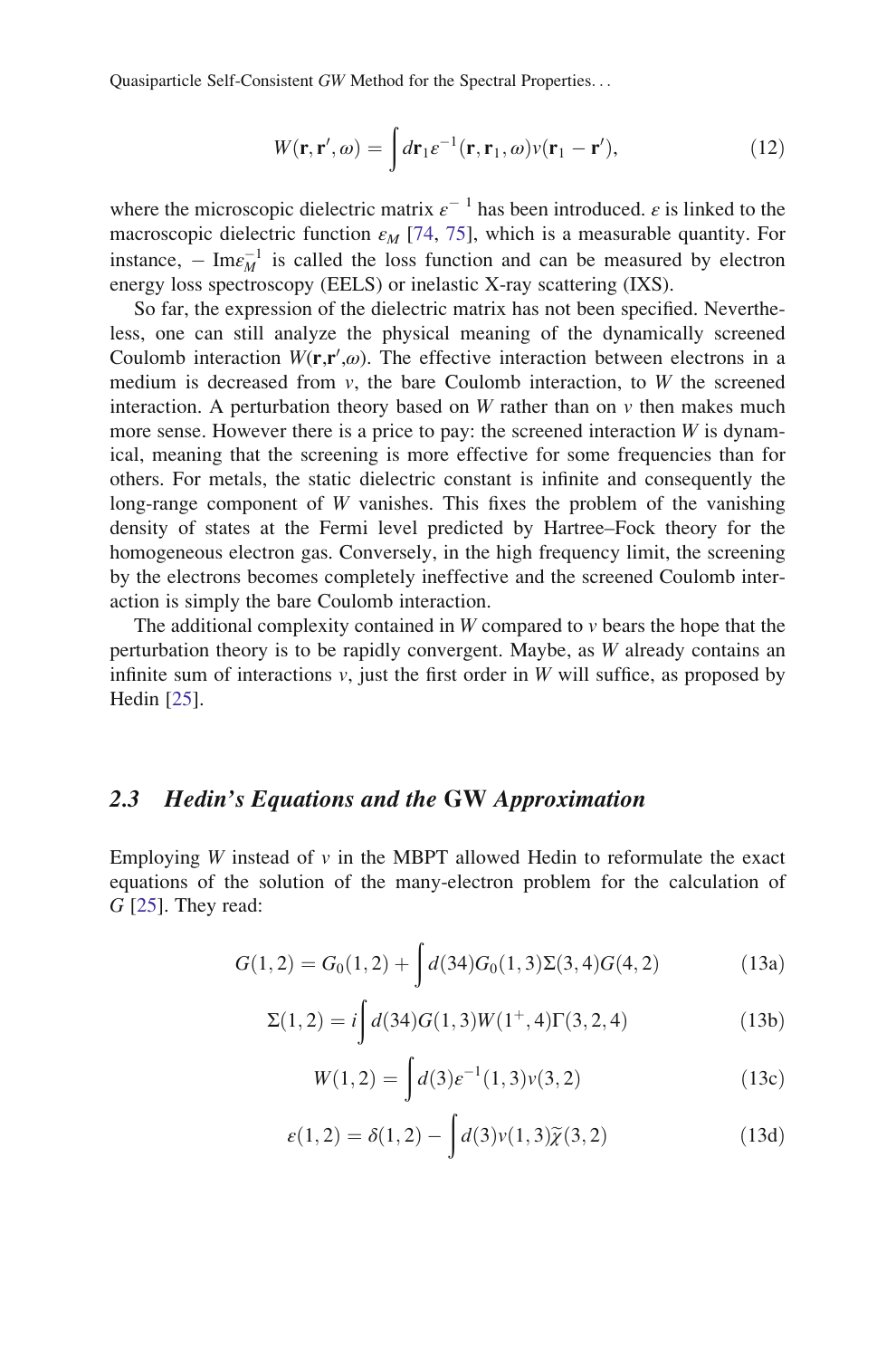$$
W(\mathbf{r}, \mathbf{r}', \omega) = \int d\mathbf{r}_1 \varepsilon^{-1}(\mathbf{r}, \mathbf{r}_1, \omega) v(\mathbf{r}_1 - \mathbf{r}'), \qquad (12)
$$

<span id="page-8-0"></span>where the microscopic dielectric matrix  $\varepsilon^{-1}$  has been introduced.  $\varepsilon$  is linked to the macroscopic dielectric function  $\varepsilon_M$  [[74,](#page-33-0) [75\]](#page-33-0), which is a measurable quantity. For instance,  $-\text{Im}\varepsilon_M^{-1}$  is called the loss function and can be measured by electron<br>energy loss spectroscopy (EEI S) or inelastic X-ray scattering (IXS) energy loss spectroscopy (EELS) or inelastic X-ray scattering (IXS).

So far, the expression of the dielectric matrix has not been specified. Nevertheless, one can still analyze the physical meaning of the dynamically screened Coulomb interaction  $W(\mathbf{r}, \mathbf{r}', \omega)$ . The effective interaction between electrons in a medium is decreased from  $v$ , the bare Coulomb interaction, to W the screened interaction. A perturbation theory based on W rather than on  $\nu$  then makes much more sense. However there is a price to pay: the screened interaction  $W$  is dynamical, meaning that the screening is more effective for some frequencies than for others. For metals, the static dielectric constant is infinite and consequently the long-range component of  $W$  vanishes. This fixes the problem of the vanishing density of states at the Fermi level predicted by Hartree–Fock theory for the homogeneous electron gas. Conversely, in the high frequency limit, the screening by the electrons becomes completely ineffective and the screened Coulomb interaction is simply the bare Coulomb interaction.

The additional complexity contained in  $W$  compared to  $\nu$  bears the hope that the perturbation theory is to be rapidly convergent. Maybe, as W already contains an infinite sum of interactions  $v$ , just the first order in W will suffice, as proposed by Hedin [\[25](#page-31-0)].

#### 2.3 Hedin's Equations and the GW Approximation

Employing W instead of  $\nu$  in the MBPT allowed Hedin to reformulate the exact equations of the solution of the many-electron problem for the calculation of  $G$  [\[25](#page-31-0)]. They read:

$$
G(1,2) = G_0(1,2) + \int d(34)G_0(1,3)\Sigma(3,4)G(4,2)
$$
 (13a)

$$
\Sigma(1,2) = i \int d(34)G(1,3)W(1^+,4)\Gamma(3,2,4)
$$
\n(13b)

$$
W(1,2) = \int d(3)e^{-1}(1,3)\nu(3,2)
$$
 (13c)

$$
\varepsilon(1,2) = \delta(1,2) - \int d(3)\nu(1,3)\widetilde{\chi}(3,2)
$$
\n(13d)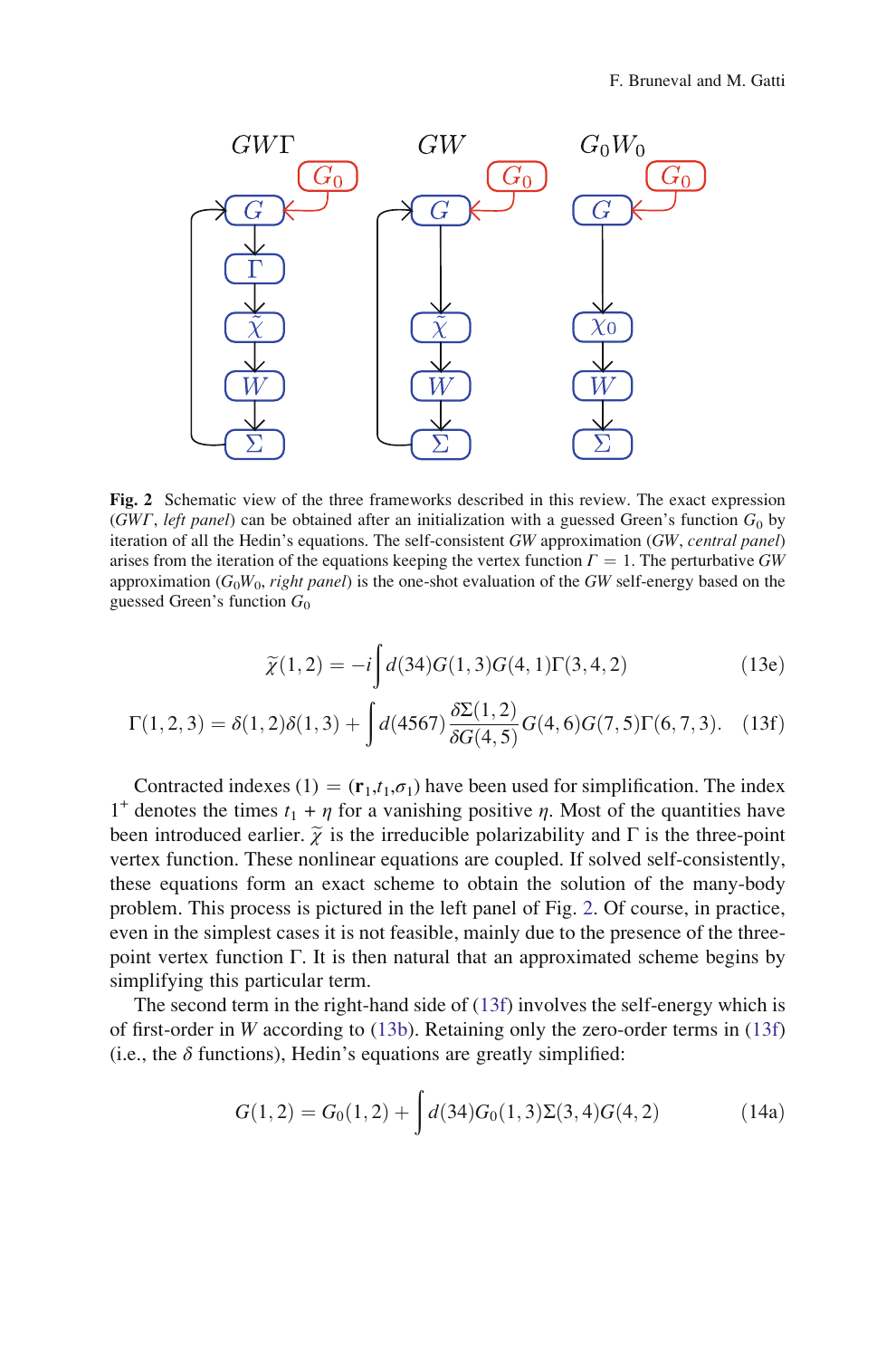<span id="page-9-0"></span>

Fig. 2 Schematic view of the three frameworks described in this review. The exact expression (GWΓ, left panel) can be obtained after an initialization with a guessed Green's function  $G_0$  by iteration of all the Hedin's equations. The self-consistent GW approximation (GW, central panel) arises from the iteration of the equations keeping the vertex function  $\Gamma = 1$ . The perturbative GW approximation  $(G_0W_0, right panel)$  is the one-shot evaluation of the GW self-energy based on the guessed Green's function  $G_0$ 

$$
\widetilde{\chi}(1,2) = -i \int d(34)G(1,3)G(4,1)\Gamma(3,4,2)
$$
\n(13e)

$$
\Gamma(1,2,3) = \delta(1,2)\delta(1,3) + \int d(4567) \frac{\delta \Sigma(1,2)}{\delta G(4,5)} G(4,6)G(7,5) \Gamma(6,7,3). \tag{13f}
$$

Contracted indexes (1) =  $(\mathbf{r}_1,t_1,\sigma_1)$  have been used for simplification. The index 1<sup>+</sup> denotes the times  $t_1 + \eta$  for a vanishing positive  $\eta$ . Most of the quantities have been introduced earlier.  $\tilde{\chi}$  is the irreducible polarizability and  $\Gamma$  is the three-point vertex function. These nonlinear equations are coupled. If solved self-consistently, these equations form an exact scheme to obtain the solution of the many-body problem. This process is pictured in the left panel of Fig. 2. Of course, in practice, even in the simplest cases it is not feasible, mainly due to the presence of the threepoint vertex function Γ. It is then natural that an approximated scheme begins by simplifying this particular term.

The second term in the right-hand side of (13f) involves the self-energy which is of first-order in W according to [\(13b](#page-8-0)). Retaining only the zero-order terms in (13f) (i.e., the  $\delta$  functions), Hedin's equations are greatly simplified:

$$
G(1,2) = G_0(1,2) + \int d(34)G_0(1,3)\Sigma(3,4)G(4,2)
$$
 (14a)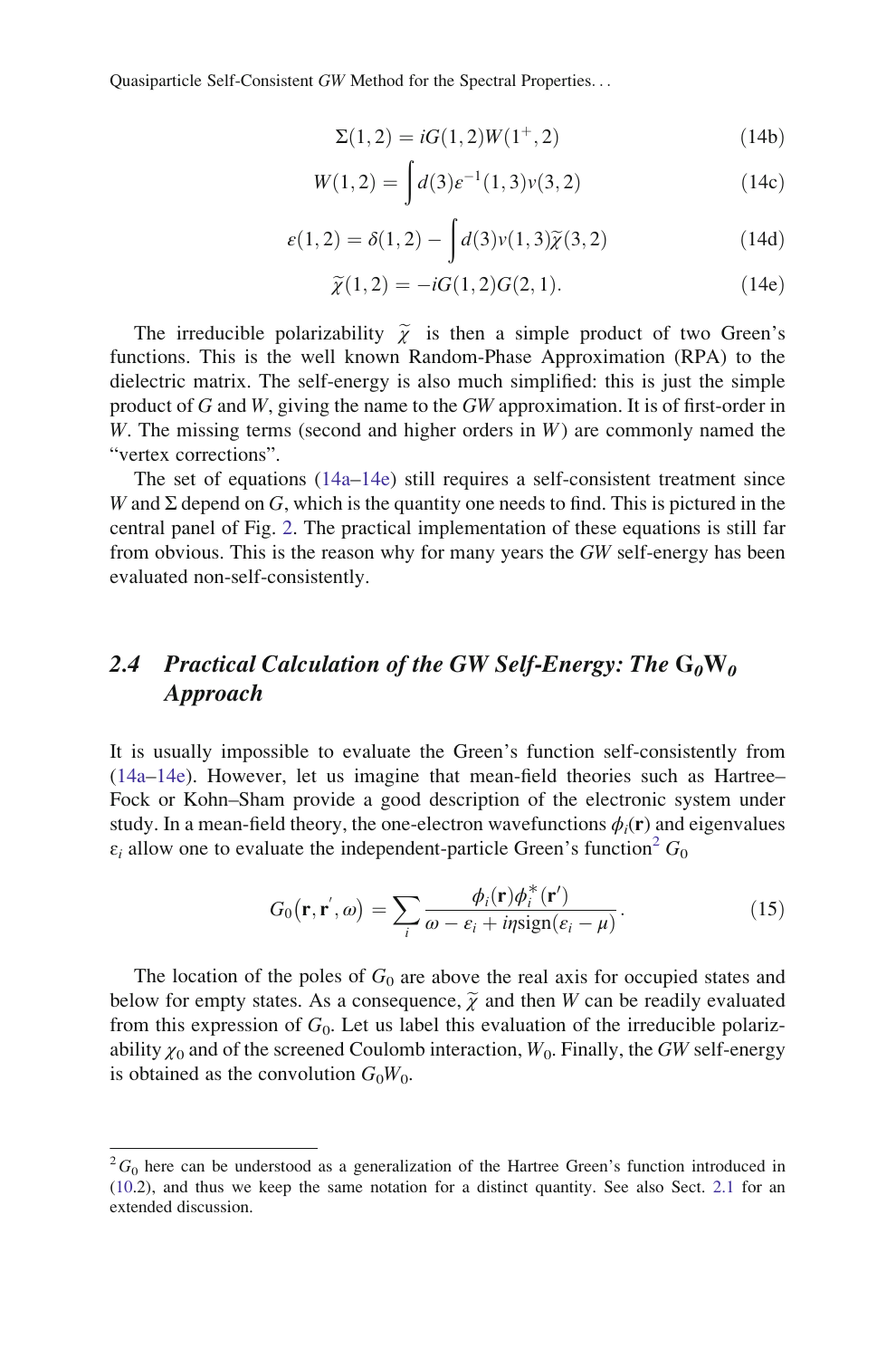$$
\Sigma(1,2) = iG(1,2)W(1^+,2)
$$
\n(14b)

$$
W(1,2) = \int d(3)e^{-1}(1,3)\nu(3,2)
$$
 (14c)

$$
\varepsilon(1,2) = \delta(1,2) - \int d(3)\nu(1,3)\widetilde{\chi}(3,2)
$$
\n(14d)

$$
\widetilde{\chi}(1,2) = -iG(1,2)G(2,1).
$$
 (14e)

<span id="page-10-0"></span>The irreducible polarizability  $\tilde{\chi}$  is then a simple product of two Green's functions. This is the well known Random-Phase Approximation (RPA) to the dielectric matrix. The self-energy is also much simplified: this is just the simple product of G and W, giving the name to the GW approximation. It is of first-order in W. The missing terms (second and higher orders in  $W$ ) are commonly named the "vertex corrections".

The set of equations ([14a](#page-9-0)–14e) still requires a self-consistent treatment since W and  $\Sigma$  depend on G, which is the quantity one needs to find. This is pictured in the central panel of Fig. [2.](#page-9-0) The practical implementation of these equations is still far from obvious. This is the reason why for many years the GW self-energy has been evaluated non-self-consistently.

## 2.4 Practical Calculation of the GW Self-Energy: The  $G_0W_0$ Approach

It is usually impossible to evaluate the Green's function self-consistently from [\(14a–](#page-9-0)14e). However, let us imagine that mean-field theories such as Hartree– Fock or Kohn–Sham provide a good description of the electronic system under study. In a mean-field theory, the one-electron wavefunctions  $\phi_i(\mathbf{r})$  and eigenvalues  $\varepsilon_i$  allow one to evaluate the independent-particle Green's function<sup>2</sup>  $G_0$ 

$$
G_0(\mathbf{r}, \mathbf{r}', \omega) = \sum_i \frac{\phi_i(\mathbf{r}) \phi_i^*(\mathbf{r}')}{\omega - \varepsilon_i + i\eta \text{sign}(\varepsilon_i - \mu)}.
$$
(15)

The location of the poles of  $G_0$  are above the real axis for occupied states and below for empty states. As a consequence,  $\widetilde{\chi}$  and then W can be readily evaluated from this expression of  $G_0$ . Let us label this evaluation of the irreducible polarizability  $\chi_0$  and of the screened Coulomb interaction,  $W_0$ . Finally, the GW self-energy is obtained as the convolution  $G_0W_0$ .

 ${}^{2}G_{0}$  here can be understood as a generalization of the Hartree Green's function introduced in ([10](#page-7-0).2), and thus we keep the same notation for a distinct quantity. See also Sect. [2.1](#page-5-0) for an extended discussion.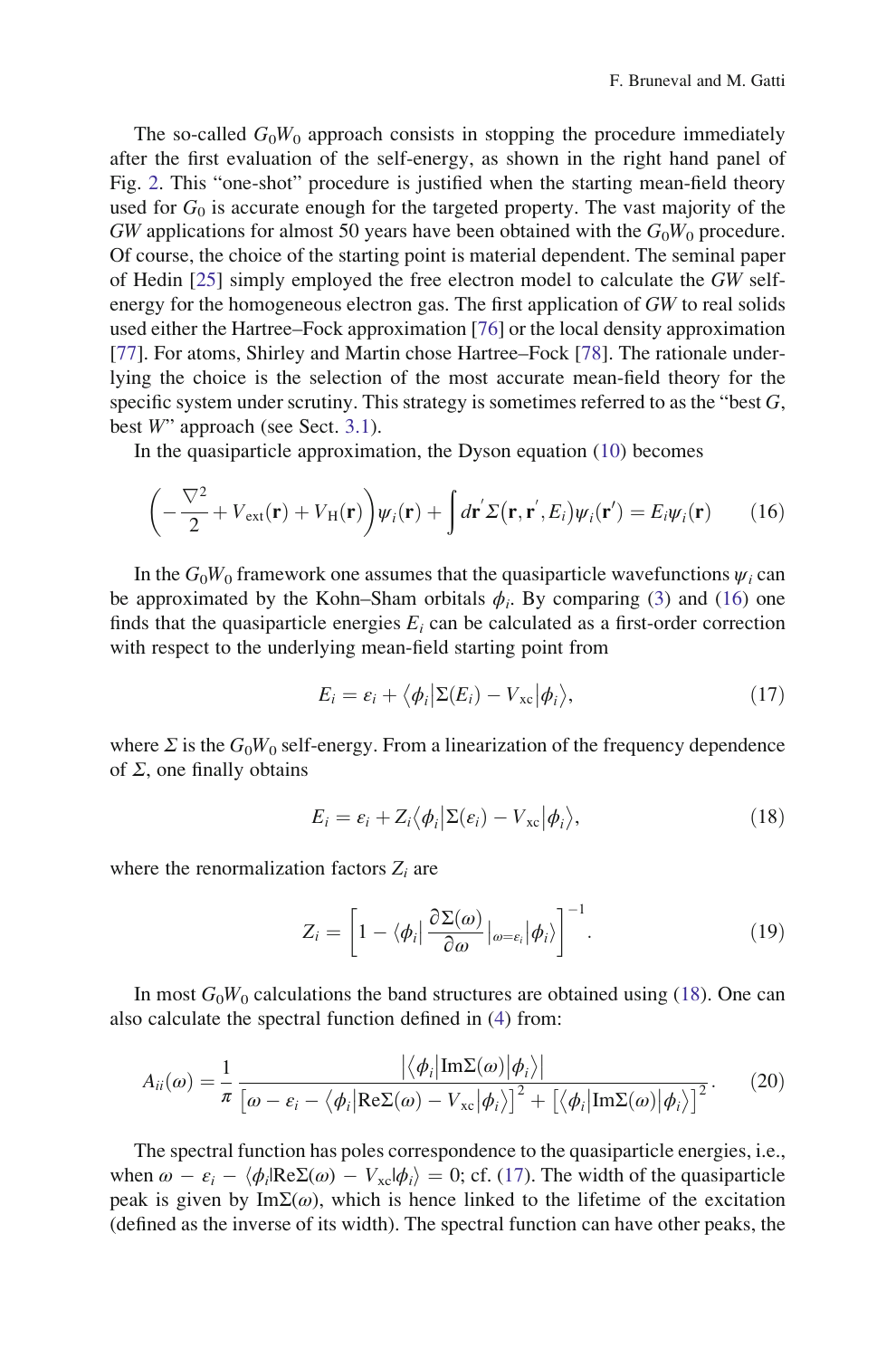<span id="page-11-0"></span>The so-called  $G_0W_0$  approach consists in stopping the procedure immediately after the first evaluation of the self-energy, as shown in the right hand panel of Fig. [2.](#page-9-0) This "one-shot" procedure is justified when the starting mean-field theory used for  $G_0$  is accurate enough for the targeted property. The vast majority of the  $GW$  applications for almost 50 years have been obtained with the  $G_0W_0$  procedure. Of course, the choice of the starting point is material dependent. The seminal paper of Hedin [\[25](#page-31-0)] simply employed the free electron model to calculate the GW selfenergy for the homogeneous electron gas. The first application of GW to real solids used either the Hartree–Fock approximation [\[76](#page-33-0)] or the local density approximation [\[77](#page-33-0)]. For atoms, Shirley and Martin chose Hartree–Fock [\[78](#page-33-0)]. The rationale underlying the choice is the selection of the most accurate mean-field theory for the specific system under scrutiny. This strategy is sometimes referred to as the "best  $G$ , best W" approach (see Sect. [3.1\)](#page-13-0).

In the quasiparticle approximation, the Dyson equation [\(10](#page-7-0)) becomes

$$
\left(-\frac{\nabla^2}{2} + V_{\text{ext}}(\mathbf{r}) + V_{\text{H}}(\mathbf{r})\right)\psi_i(\mathbf{r}) + \int d\mathbf{r}' \Sigma(\mathbf{r}, \mathbf{r}', E_i)\psi_i(\mathbf{r}') = E_i\psi_i(\mathbf{r}) \qquad (16)
$$

In the  $G_0W_0$  framework one assumes that the quasiparticle wavefunctions  $\psi_i$  can be approximated by the Kohn–Sham orbitals  $\phi_i$ . By comparing [\(3](#page-3-0)) and (16) one finds that the quasiparticle energies  $E_i$  can be calculated as a first-order correction with respect to the underlying mean-field starting point from

$$
E_i = \varepsilon_i + \langle \phi_i | \Sigma(E_i) - V_{\rm xc} | \phi_i \rangle, \qquad (17)
$$

where  $\Sigma$  is the  $G_0W_0$  self-energy. From a linearization of the frequency dependence of  $\Sigma$ , one finally obtains

$$
E_i = \varepsilon_i + Z_i \langle \phi_i | \Sigma(\varepsilon_i) - V_{\rm xc} | \phi_i \rangle, \qquad (18)
$$

where the renormalization factors  $Z_i$  are

$$
Z_i = \left[1 - \langle \phi_i | \frac{\partial \Sigma(\omega)}{\partial \omega} |_{\omega = \varepsilon_i} | \phi_i \rangle \right]^{-1}.
$$
 (19)

In most  $G_0W_0$  calculations the band structures are obtained using (18). One can also calculate the spectral function defined in ([4\)](#page-4-0) from:

$$
A_{ii}(\omega) = \frac{1}{\pi} \frac{\left| \langle \phi_i | \text{Im}\Sigma(\omega) | \phi_i \rangle \right|}{\left[ \omega - \varepsilon_i - \langle \phi_i | \text{Re}\Sigma(\omega) - V_{\text{xc}} | \phi_i \rangle \right]^2 + \left[ \langle \phi_i | \text{Im}\Sigma(\omega) | \phi_i \rangle \right]^2}.
$$
 (20)

The spectral function has poles correspondence to the quasiparticle energies, i.e., when  $\omega - \varepsilon_i - \langle \phi_i | \text{Re}\Sigma(\omega) - V_{\text{xc}} | \phi_i \rangle = 0$ ; cf. (17). The width of the quasiparticle peak is given by Im $\Sigma(\omega)$ , which is hence linked to the lifetime of the excitation (defined as the inverse of its width). The spectral function can have other peaks, the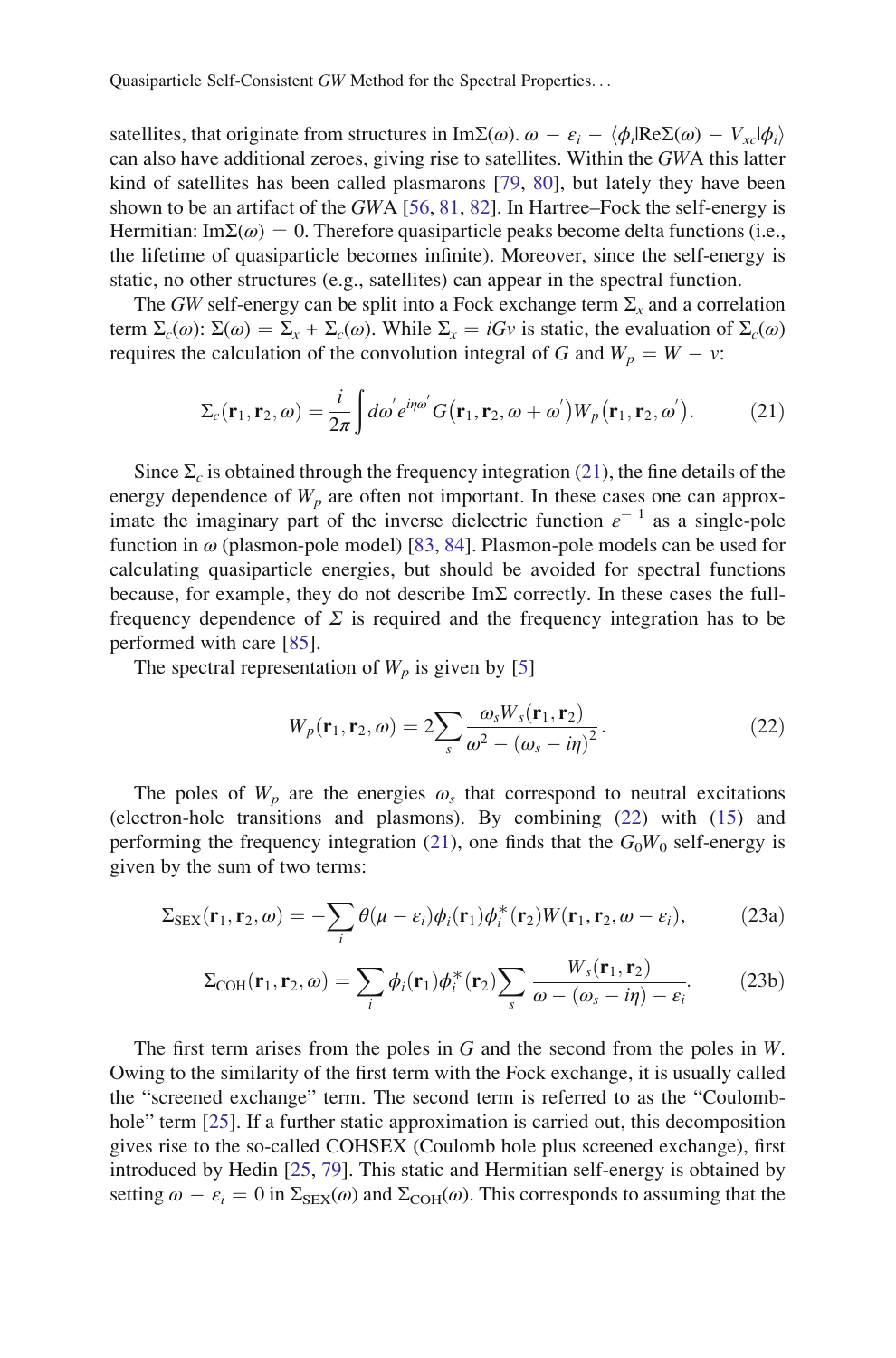<span id="page-12-0"></span>satellites, that originate from structures in ImΣ(ω).  $\omega - \varepsilon_i - \langle \phi_i | \text{Re} \Sigma(\omega) - V_{xc} | \phi_i \rangle$ can also have additional zeroes, giving rise to satellites. Within the GWA this latter kind of satellites has been called plasmarons [\[79](#page-33-0), [80](#page-33-0)], but lately they have been shown to be an artifact of the GWA [[56,](#page-32-0) [81,](#page-33-0) [82](#page-33-0)]. In Hartree–Fock the self-energy is Hermitian: Im $\Sigma(\omega) = 0$ . Therefore quasiparticle peaks become delta functions (i.e., the lifetime of quasiparticle becomes infinite). Moreover, since the self-energy is static, no other structures (e.g., satellites) can appear in the spectral function.

The GW self-energy can be split into a Fock exchange term  $\Sigma_{r}$  and a correlation term  $\Sigma_c(\omega)$ :  $\Sigma(\omega) = \Sigma_x + \Sigma_c(\omega)$ . While  $\Sigma_x = iGv$  is static, the evaluation of  $\Sigma_c(\omega)$ requires the calculation of the convolution integral of G and  $W_p = W - v$ :

$$
\Sigma_c(\mathbf{r}_1, \mathbf{r}_2, \omega) = \frac{i}{2\pi} \int d\omega' e^{i\eta \omega'} G(\mathbf{r}_1, \mathbf{r}_2, \omega + \omega') W_p(\mathbf{r}_1, \mathbf{r}_2, \omega'). \tag{21}
$$

Since  $\Sigma_c$  is obtained through the frequency integration (21), the fine details of the energy dependence of  $W_p$  are often not important. In these cases one can approximate the imaginary part of the inverse dielectric function  $\varepsilon^{-1}$  as a single-pole function in  $\omega$  (plasmon-pole model) [\[83](#page-33-0), [84](#page-33-0)]. Plasmon-pole models can be used for calculating quasiparticle energies, but should be avoided for spectral functions because, for example, they do not describe  $Im\Sigma$  correctly. In these cases the fullfrequency dependence of  $\Sigma$  is required and the frequency integration has to be performed with care [[85\]](#page-33-0).

The spectral representation of  $W_p$  is given by [\[5](#page-30-0)]

$$
W_p(\mathbf{r}_1, \mathbf{r}_2, \omega) = 2 \sum_s \frac{\omega_s W_s(\mathbf{r}_1, \mathbf{r}_2)}{\omega^2 - (\omega_s - i\eta)^2}.
$$
 (22)

The poles of  $W_p$  are the energies  $\omega_s$  that correspond to neutral excitations (electron-hole transitions and plasmons). By combining (22) with ([15\)](#page-10-0) and performing the frequency integration (21), one finds that the  $G_0W_0$  self-energy is given by the sum of two terms:

$$
\Sigma_{\text{SEX}}(\mathbf{r}_1, \mathbf{r}_2, \omega) = -\sum_i \theta(\mu - \varepsilon_i) \phi_i(\mathbf{r}_1) \phi_i^*(\mathbf{r}_2) W(\mathbf{r}_1, \mathbf{r}_2, \omega - \varepsilon_i), \tag{23a}
$$

$$
\Sigma_{\text{COH}}(\mathbf{r}_1, \mathbf{r}_2, \omega) = \sum_{i} \phi_i(\mathbf{r}_1) \phi_i^*(\mathbf{r}_2) \sum_{s} \frac{W_s(\mathbf{r}_1, \mathbf{r}_2)}{\omega - (\omega_s - i\eta) - \varepsilon_i}.
$$
 (23b)

The first term arises from the poles in G and the second from the poles in W. Owing to the similarity of the first term with the Fock exchange, it is usually called the "screened exchange" term. The second term is referred to as the "Coulombhole" term [[25](#page-31-0)]. If a further static approximation is carried out, this decomposition gives rise to the so-called COHSEX (Coulomb hole plus screened exchange), first introduced by Hedin [[25,](#page-31-0) [79\]](#page-33-0). This static and Hermitian self-energy is obtained by setting  $\omega - \varepsilon_i = 0$  in  $\Sigma_{\text{SEX}}(\omega)$  and  $\Sigma_{\text{COH}}(\omega)$ . This corresponds to assuming that the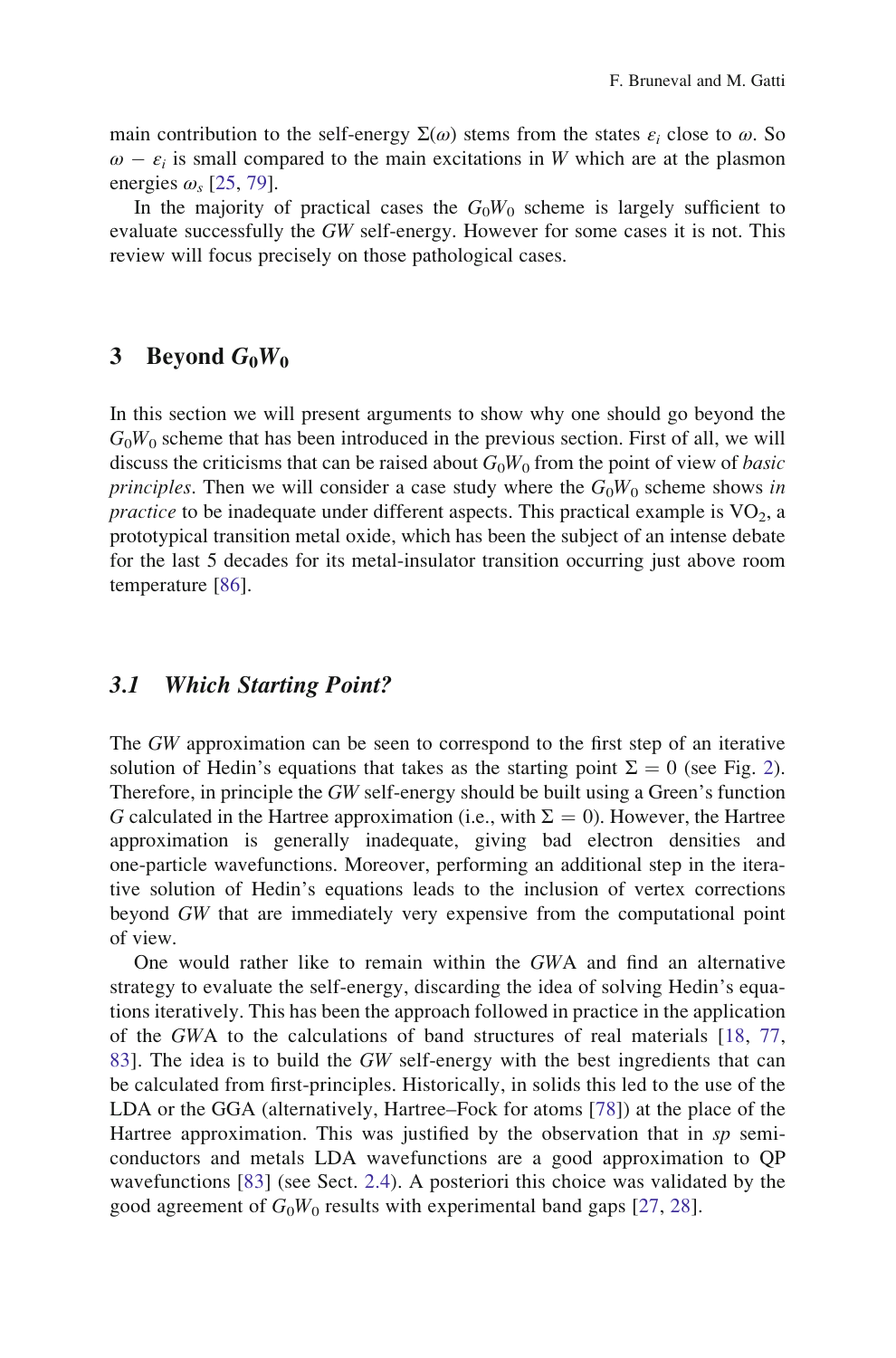<span id="page-13-0"></span>main contribution to the self-energy  $\Sigma(\omega)$  stems from the states  $\varepsilon_i$  close to  $\omega$ . So  $\omega - \varepsilon_i$  is small compared to the main excitations in W which are at the plasmon energies  $\omega$ , [[25,](#page-31-0) [79](#page-33-0)].

In the majority of practical cases the  $G_0W_0$  scheme is largely sufficient to evaluate successfully the GW self-energy. However for some cases it is not. This review will focus precisely on those pathological cases.

## 3 Beyond  $G_0W_0$

In this section we will present arguments to show why one should go beyond the  $G_0W_0$  scheme that has been introduced in the previous section. First of all, we will discuss the criticisms that can be raised about  $G_0W_0$  from the point of view of *basic* principles. Then we will consider a case study where the  $G_0W_0$  scheme shows in *practice* to be inadequate under different aspects. This practical example is  $VO<sub>2</sub>$ , a prototypical transition metal oxide, which has been the subject of an intense debate for the last 5 decades for its metal-insulator transition occurring just above room temperature [[86\]](#page-33-0).

## 3.1 Which Starting Point?

The GW approximation can be seen to correspond to the first step of an iterative solution of Hedin's equations that takes as the starting point  $\Sigma = 0$  (see Fig. [2\)](#page-9-0). Therefore, in principle the GW self-energy should be built using a Green's function G calculated in the Hartree approximation (i.e., with  $\Sigma = 0$ ). However, the Hartree approximation is generally inadequate, giving bad electron densities and one-particle wavefunctions. Moreover, performing an additional step in the iterative solution of Hedin's equations leads to the inclusion of vertex corrections beyond GW that are immediately very expensive from the computational point of view.

One would rather like to remain within the GWA and find an alternative strategy to evaluate the self-energy, discarding the idea of solving Hedin's equations iteratively. This has been the approach followed in practice in the application of the GWA to the calculations of band structures of real materials [[18,](#page-31-0) [77](#page-33-0), [83](#page-33-0)]. The idea is to build the GW self-energy with the best ingredients that can be calculated from first-principles. Historically, in solids this led to the use of the LDA or the GGA (alternatively, Hartree–Fock for atoms [\[78](#page-33-0)]) at the place of the Hartree approximation. This was justified by the observation that in  $sp$  semiconductors and metals LDA wavefunctions are a good approximation to QP wavefunctions [[83\]](#page-33-0) (see Sect. [2.4\)](#page-10-0). A posteriori this choice was validated by the good agreement of  $G_0W_0$  results with experimental band gaps [\[27,](#page-31-0) [28](#page-31-0)].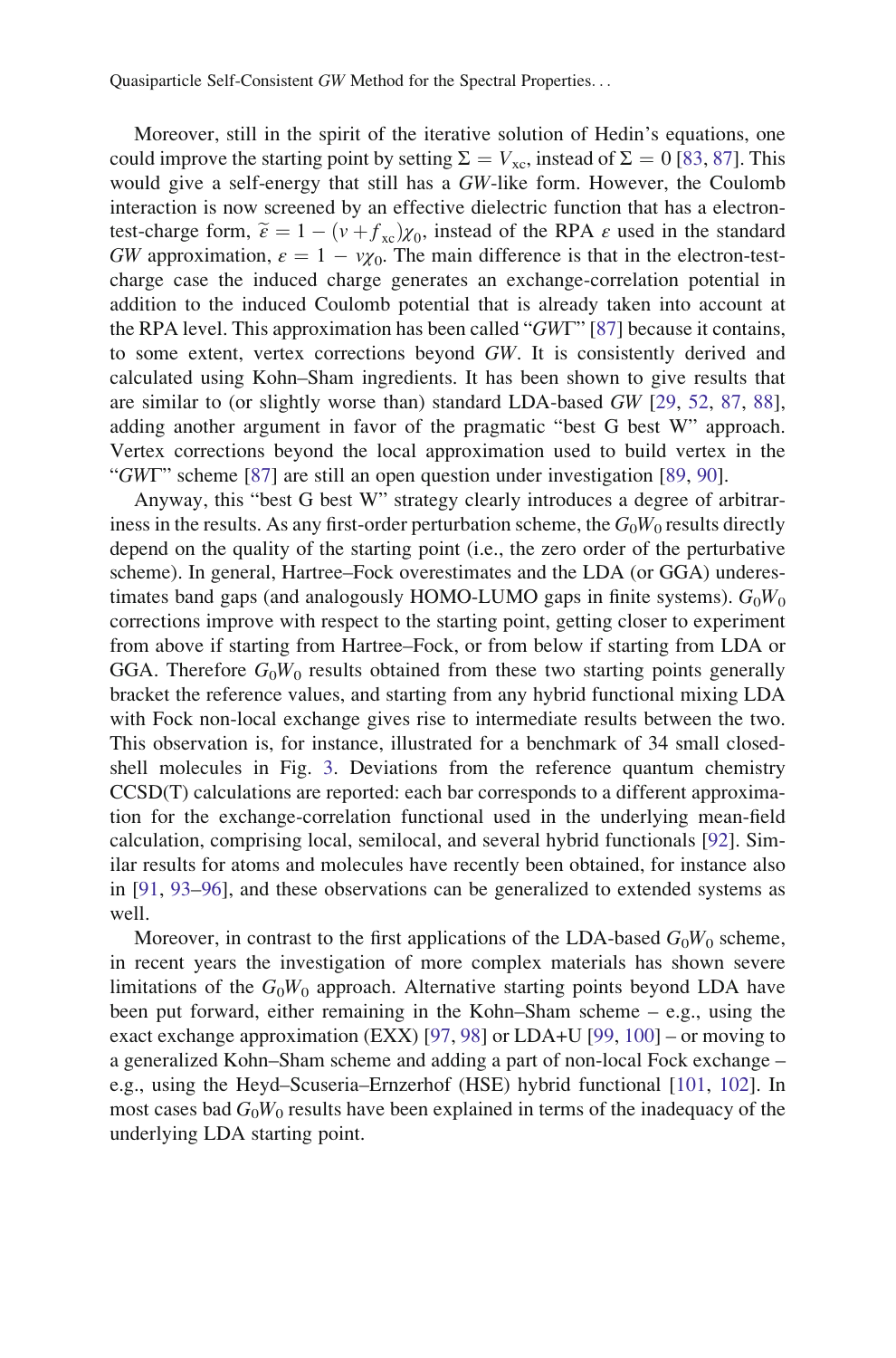Moreover, still in the spirit of the iterative solution of Hedin's equations, one could improve the starting point by setting  $\Sigma = V_{\text{xc}}$ , instead of  $\Sigma = 0$  [\[83](#page-33-0), [87\]](#page-33-0). This would give a self-energy that still has a GW-like form. However, the Coulomb interaction is now screened by an effective dielectric function that has a electrontest-charge form,  $\tilde{\epsilon} = 1 - (v + f_{\rm xc})\chi_0$ , instead of the RPA  $\epsilon$  used in the standard GW approximation,  $\varepsilon = 1 - v\chi_0$ . The main difference is that in the electron-testcharge case the induced charge generates an exchange-correlation potential in addition to the induced Coulomb potential that is already taken into account at the RPA level. This approximation has been called "GWΓ" [[87\]](#page-33-0) because it contains, to some extent, vertex corrections beyond GW. It is consistently derived and calculated using Kohn–Sham ingredients. It has been shown to give results that are similar to (or slightly worse than) standard LDA-based  $GW$  [[29,](#page-31-0) [52,](#page-32-0) [87,](#page-33-0) [88\]](#page-33-0), adding another argument in favor of the pragmatic "best G best W" approach. Vertex corrections beyond the local approximation used to build vertex in the "GWT" scheme [\[87](#page-33-0)] are still an open question under investigation [[89,](#page-33-0) [90\]](#page-33-0).

Anyway, this "best G best W" strategy clearly introduces a degree of arbitrariness in the results. As any first-order perturbation scheme, the  $G_0W_0$  results directly depend on the quality of the starting point (i.e., the zero order of the perturbative scheme). In general, Hartree–Fock overestimates and the LDA (or GGA) underestimates band gaps (and analogously HOMO-LUMO gaps in finite systems).  $G_0W_0$ corrections improve with respect to the starting point, getting closer to experiment from above if starting from Hartree–Fock, or from below if starting from LDA or GGA. Therefore  $G_0W_0$  results obtained from these two starting points generally bracket the reference values, and starting from any hybrid functional mixing LDA with Fock non-local exchange gives rise to intermediate results between the two. This observation is, for instance, illustrated for a benchmark of 34 small closedshell molecules in Fig. [3.](#page-15-0) Deviations from the reference quantum chemistry CCSD(T) calculations are reported: each bar corresponds to a different approximation for the exchange-correlation functional used in the underlying mean-field calculation, comprising local, semilocal, and several hybrid functionals [\[92](#page-33-0)]. Similar results for atoms and molecules have recently been obtained, for instance also in [\[91](#page-33-0), [93–96\]](#page-33-0), and these observations can be generalized to extended systems as well.

Moreover, in contrast to the first applications of the LDA-based  $G_0W_0$  scheme, in recent years the investigation of more complex materials has shown severe limitations of the  $G_0W_0$  approach. Alternative starting points beyond LDA have been put forward, either remaining in the Kohn–Sham scheme – e.g., using the exact exchange approximation (EXX) [\[97](#page-33-0), [98](#page-33-0)] or LDA+U [\[99](#page-33-0), [100](#page-33-0)] – or moving to a generalized Kohn–Sham scheme and adding a part of non-local Fock exchange – e.g., using the Heyd–Scuseria–Ernzerhof (HSE) hybrid functional [[101,](#page-33-0) [102\]](#page-33-0). In most cases bad  $G_0W_0$  results have been explained in terms of the inadequacy of the underlying LDA starting point.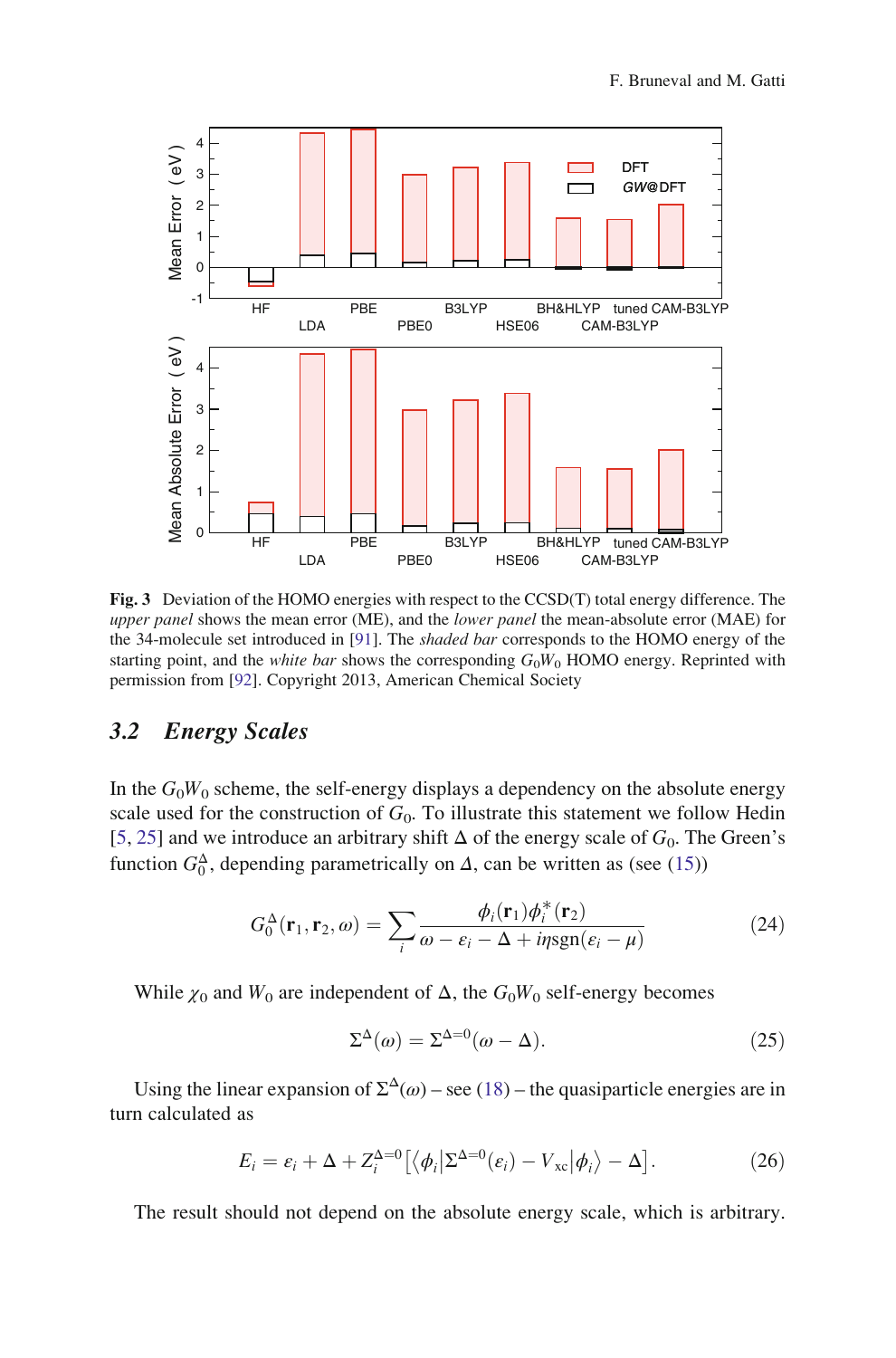<span id="page-15-0"></span>

Fig. 3 Deviation of the HOMO energies with respect to the CCSD(T) total energy difference. The upper panel shows the mean error (ME), and the lower panel the mean-absolute error (MAE) for the 34-molecule set introduced in [\[91\]](#page-33-0). The shaded bar corresponds to the HOMO energy of the starting point, and the *white bar* shows the corresponding  $G_0W_0$  HOMO energy. Reprinted with permission from [\[92\]](#page-33-0). Copyright 2013, American Chemical Society

## 3.2 Energy Scales

In the  $G_0W_0$  scheme, the self-energy displays a dependency on the absolute energy scale used for the construction of  $G_0$ . To illustrate this statement we follow Hedin [\[5](#page-30-0), [25](#page-31-0)] and we introduce an arbitrary shift  $\Delta$  of the energy scale of  $G_0$ . The Green's function  $G_0^{\Delta}$ , depending parametrically on  $\Delta$ , can be written as (see ([15\)](#page-10-0))

$$
G_0^{\Delta}(\mathbf{r}_1, \mathbf{r}_2, \omega) = \sum_i \frac{\phi_i(\mathbf{r}_1)\phi_i^*(\mathbf{r}_2)}{\omega - \varepsilon_i - \Delta + i\eta \operatorname{sgn}(\varepsilon_i - \mu)}\tag{24}
$$

While  $\chi_0$  and  $W_0$  are independent of  $\Delta$ , the  $G_0W_0$  self-energy becomes

$$
\Sigma^{\Delta}(\omega) = \Sigma^{\Delta=0}(\omega - \Delta). \tag{25}
$$

Using the linear expansion of  $\Sigma^{\Delta}(\omega)$  – see [\(18](#page-11-0)) – the quasiparticle energies are in turn calculated as

$$
E_i = \varepsilon_i + \Delta + Z_i^{\Delta=0} \left[ \langle \phi_i | \Sigma^{\Delta=0}(\varepsilon_i) - V_{\rm xc} | \phi_i \rangle - \Delta \right]. \tag{26}
$$

The result should not depend on the absolute energy scale, which is arbitrary.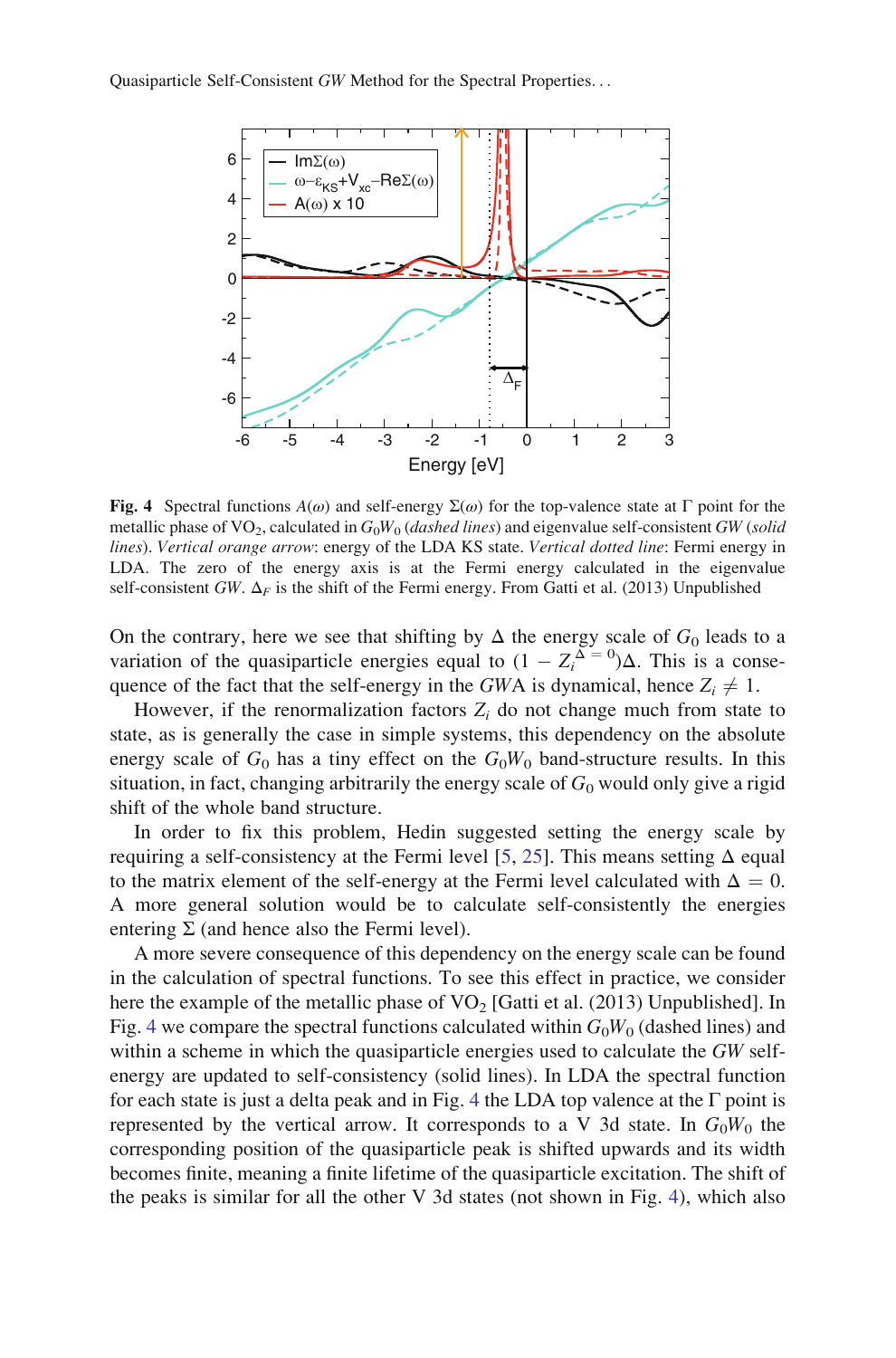<span id="page-16-0"></span>

Fig. 4 Spectral functions  $A(\omega)$  and self-energy  $\Sigma(\omega)$  for the top-valence state at Γ point for the metallic phase of VO<sub>2</sub>, calculated in  $G_0W_0$  (dashed lines) and eigenvalue self-consistent GW (solid lines). Vertical orange arrow: energy of the LDA KS state. Vertical dotted line: Fermi energy in LDA. The zero of the energy axis is at the Fermi energy calculated in the eigenvalue self-consistent GW.  $\Delta_F$  is the shift of the Fermi energy. From Gatti et al. (2013) Unpublished

On the contrary, here we see that shifting by  $\Delta$  the energy scale of  $G_0$  leads to a variation of the quasiparticle energies equal to  $(1 - Z_i^{\Delta} = 0)\Delta$ . This is a consequence of the fact that the self-energy in the *GWA* is dynamical hence  $Z \neq 1$ quence of the fact that the self-energy in the GWA is dynamical, hence  $Z_i \neq 1$ .

However, if the renormalization factors  $Z_i$  do not change much from state to state, as is generally the case in simple systems, this dependency on the absolute energy scale of  $G_0$  has a tiny effect on the  $G_0W_0$  band-structure results. In this situation, in fact, changing arbitrarily the energy scale of  $G_0$  would only give a rigid shift of the whole band structure.

In order to fix this problem, Hedin suggested setting the energy scale by requiring a self-consistency at the Fermi level [[5,](#page-30-0) [25](#page-31-0)]. This means setting  $\Delta$  equal to the matrix element of the self-energy at the Fermi level calculated with  $\Delta = 0$ . A more general solution would be to calculate self-consistently the energies entering  $\Sigma$  (and hence also the Fermi level).

A more severe consequence of this dependency on the energy scale can be found in the calculation of spectral functions. To see this effect in practice, we consider here the example of the metallic phase of  $VO<sub>2</sub>$  [Gatti et al. (2013) Unpublished]. In Fig. 4 we compare the spectral functions calculated within  $G_0W_0$  (dashed lines) and within a scheme in which the quasiparticle energies used to calculate the GW selfenergy are updated to self-consistency (solid lines). In LDA the spectral function for each state is just a delta peak and in Fig. 4 the LDA top valence at the  $\Gamma$  point is represented by the vertical arrow. It corresponds to a V 3d state. In  $G_0W_0$  the corresponding position of the quasiparticle peak is shifted upwards and its width becomes finite, meaning a finite lifetime of the quasiparticle excitation. The shift of the peaks is similar for all the other V 3d states (not shown in Fig. 4), which also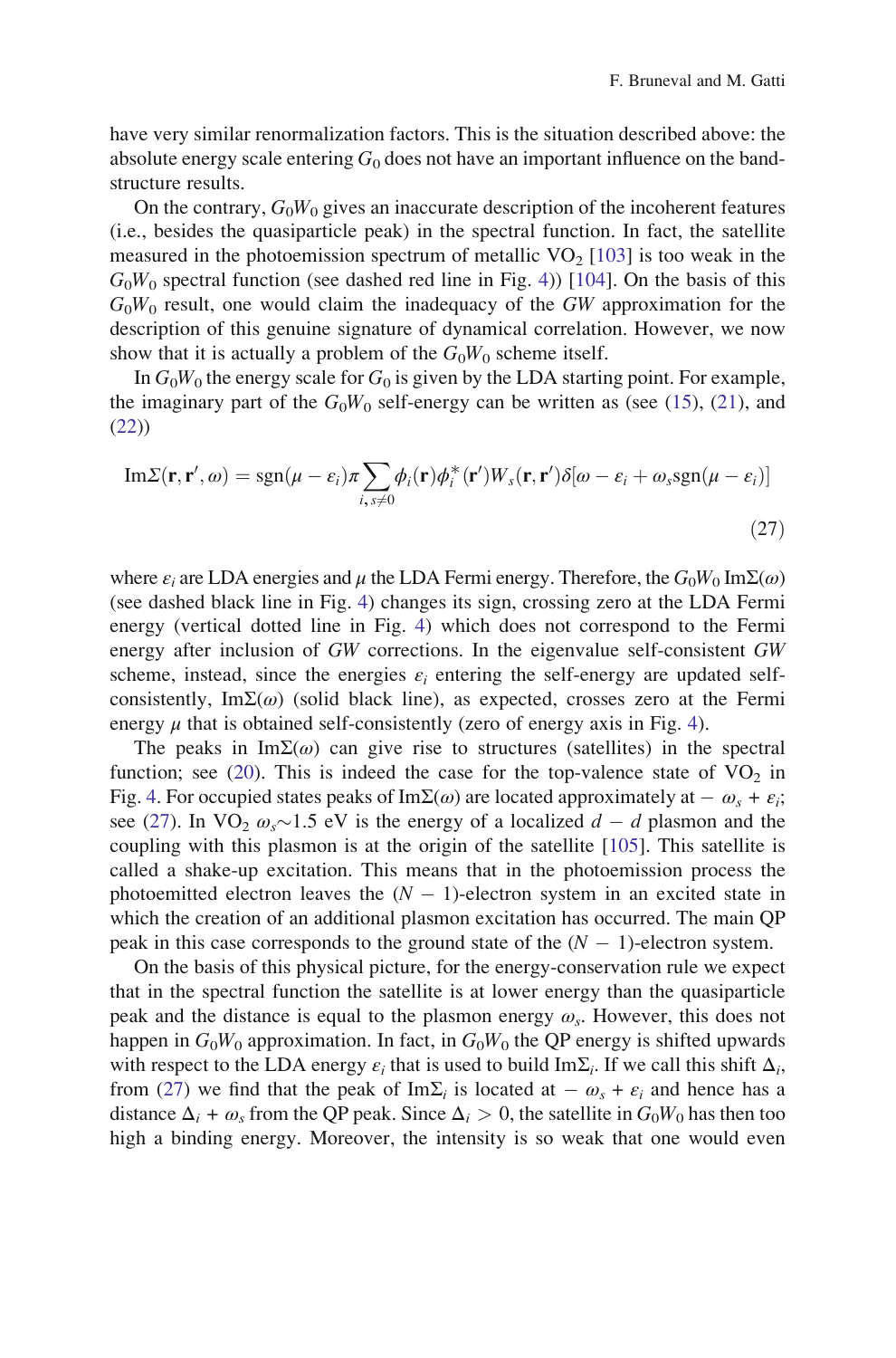have very similar renormalization factors. This is the situation described above: the absolute energy scale entering  $G_0$  does not have an important influence on the bandstructure results.

On the contrary,  $G_0W_0$  gives an inaccurate description of the incoherent features (i.e., besides the quasiparticle peak) in the spectral function. In fact, the satellite measured in the photoemission spectrum of metallic  $VO<sub>2</sub>$  [\[103](#page-33-0)] is too weak in the  $G_0W_0$  spectral function (see dashed red line in Fig. [4](#page-16-0))) [\[104](#page-34-0)]. On the basis of this  $G_0W_0$  result, one would claim the inadequacy of the GW approximation for the description of this genuine signature of dynamical correlation. However, we now show that it is actually a problem of the  $G_0W_0$  scheme itself.

In  $G_0W_0$  the energy scale for  $G_0$  is given by the LDA starting point. For example, the imaginary part of the  $G_0W_0$  self-energy can be written as (see ([15\)](#page-10-0), ([21\)](#page-12-0), and [\(22](#page-12-0)))

$$
\mathrm{Im}\Sigma(\mathbf{r}, \mathbf{r}', \omega) = \mathrm{sgn}(\mu - \varepsilon_i)\pi \sum_{i, s \neq 0} \phi_i(\mathbf{r})\phi_i^*(\mathbf{r}')W_s(\mathbf{r}, \mathbf{r}')\delta[\omega - \varepsilon_i + \omega_s \mathrm{sgn}(\mu - \varepsilon_i)]
$$
\n(27)

where  $\varepsilon_i$  are LDA energies and  $\mu$  the LDA Fermi energy. Therefore, the  $G_0W_0 \text{Im}\Sigma(\omega)$ (see dashed black line in Fig. [4\)](#page-16-0) changes its sign, crossing zero at the LDA Fermi energy (vertical dotted line in Fig. [4\)](#page-16-0) which does not correspond to the Fermi energy after inclusion of GW corrections. In the eigenvalue self-consistent GW scheme, instead, since the energies  $\varepsilon_i$  entering the self-energy are updated selfconsistently, ImΣ( $\omega$ ) (solid black line), as expected, crosses zero at the Fermi energy  $\mu$  that is obtained self-consistently (zero of energy axis in Fig. [4](#page-16-0)).

The peaks in Im $\Sigma(\omega)$  can give rise to structures (satellites) in the spectral function; see ([20\)](#page-11-0). This is indeed the case for the top-valence state of  $VO<sub>2</sub>$  in Fig. [4.](#page-16-0) For occupied states peaks of ImΣ( $\omega$ ) are located approximately at  $-\omega_s + \varepsilon_i$ ; see (27). In VO<sub>2</sub>  $\omega_s$  1.5 eV is the energy of a localized  $d - d$  plasmon and the coupling with this plasmon is at the origin of the satellite [[105\]](#page-34-0). This satellite is called a shake-up excitation. This means that in the photoemission process the photoemitted electron leaves the  $(N - 1)$ -electron system in an excited state in which the creation of an additional plasmon excitation has occurred. The main QP peak in this case corresponds to the ground state of the  $(N - 1)$ -electron system.

On the basis of this physical picture, for the energy-conservation rule we expect that in the spectral function the satellite is at lower energy than the quasiparticle peak and the distance is equal to the plasmon energy  $\omega_{s}$ . However, this does not happen in  $G_0W_0$  approximation. In fact, in  $G_0W_0$  the QP energy is shifted upwards with respect to the LDA energy  $\varepsilon_i$  that is used to build Im $\Sigma_i$ . If we call this shift  $\Delta_i$ , from (27) we find that the peak of Im $\Sigma_i$  is located at  $-\omega_s + \varepsilon_i$  and hence has a distance  $\Delta_i + \omega_s$  from the QP peak. Since  $\Delta_i > 0$ , the satellite in  $G_0W_0$  has then too high a binding energy. Moreover, the intensity is so weak that one would even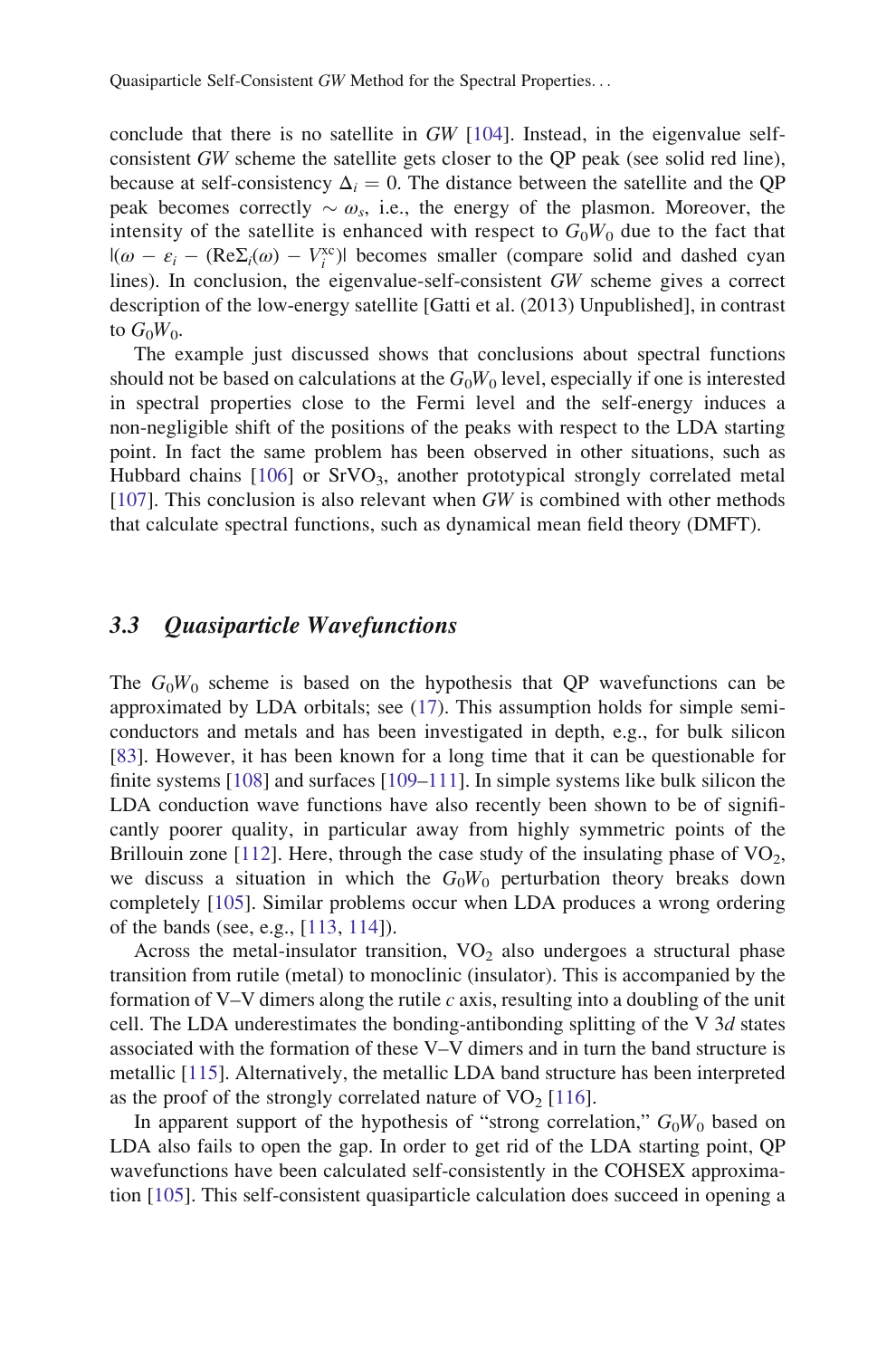conclude that there is no satellite in GW [[104\]](#page-34-0). Instead, in the eigenvalue selfconsistent GW scheme the satellite gets closer to the QP peak (see solid red line), because at self-consistency  $\Delta_i = 0$ . The distance between the satellite and the OP peak becomes correctly  $\sim \omega_s$ , i.e., the energy of the plasmon. Moreover, the intensity of the satellite is enhanced with respect to  $G_0W_0$  due to the fact that  $|(\omega - \varepsilon_i - (\text{Re}\Sigma_i(\omega) - V_i^x \text{e})|)$  becomes smaller (compare solid and dashed cyanglines). In conclusion, the eigenvalue-self-consistent GW scheme gives a correct lines). In conclusion, the eigenvalue-self-consistent GW scheme gives a correct description of the low-energy satellite [Gatti et al. (2013) Unpublished], in contrast to  $G_0W_0$ .

The example just discussed shows that conclusions about spectral functions should not be based on calculations at the  $G_0W_0$  level, especially if one is interested in spectral properties close to the Fermi level and the self-energy induces a non-negligible shift of the positions of the peaks with respect to the LDA starting point. In fact the same problem has been observed in other situations, such as Hubbard chains  $[106]$  $[106]$  or  $SrVO<sub>3</sub>$ , another prototypical strongly correlated metal [\[107](#page-34-0)]. This conclusion is also relevant when GW is combined with other methods that calculate spectral functions, such as dynamical mean field theory (DMFT).

## 3.3 Quasiparticle Wavefunctions

The  $G_0W_0$  scheme is based on the hypothesis that QP wavefunctions can be approximated by LDA orbitals; see ([17\)](#page-11-0). This assumption holds for simple semiconductors and metals and has been investigated in depth, e.g., for bulk silicon [\[83](#page-33-0)]. However, it has been known for a long time that it can be questionable for finite systems [\[108](#page-34-0)] and surfaces [[109–111\]](#page-34-0). In simple systems like bulk silicon the LDA conduction wave functions have also recently been shown to be of significantly poorer quality, in particular away from highly symmetric points of the Brillouin zone [[112\]](#page-34-0). Here, through the case study of the insulating phase of  $VO<sub>2</sub>$ , we discuss a situation in which the  $G_0W_0$  perturbation theory breaks down completely [[105\]](#page-34-0). Similar problems occur when LDA produces a wrong ordering of the bands (see, e.g., [[113,](#page-34-0) [114\]](#page-34-0)).

Across the metal-insulator transition,  $VO<sub>2</sub>$  also undergoes a structural phase transition from rutile (metal) to monoclinic (insulator). This is accompanied by the formation of V–V dimers along the rutile c axis, resulting into a doubling of the unit cell. The LDA underestimates the bonding-antibonding splitting of the V 3d states associated with the formation of these V–V dimers and in turn the band structure is metallic [\[115](#page-34-0)]. Alternatively, the metallic LDA band structure has been interpreted as the proof of the strongly correlated nature of  $VO<sub>2</sub>$  [\[116](#page-34-0)].

In apparent support of the hypothesis of "strong correlation,"  $G_0W_0$  based on LDA also fails to open the gap. In order to get rid of the LDA starting point, QP wavefunctions have been calculated self-consistently in the COHSEX approximation [\[105](#page-34-0)]. This self-consistent quasiparticle calculation does succeed in opening a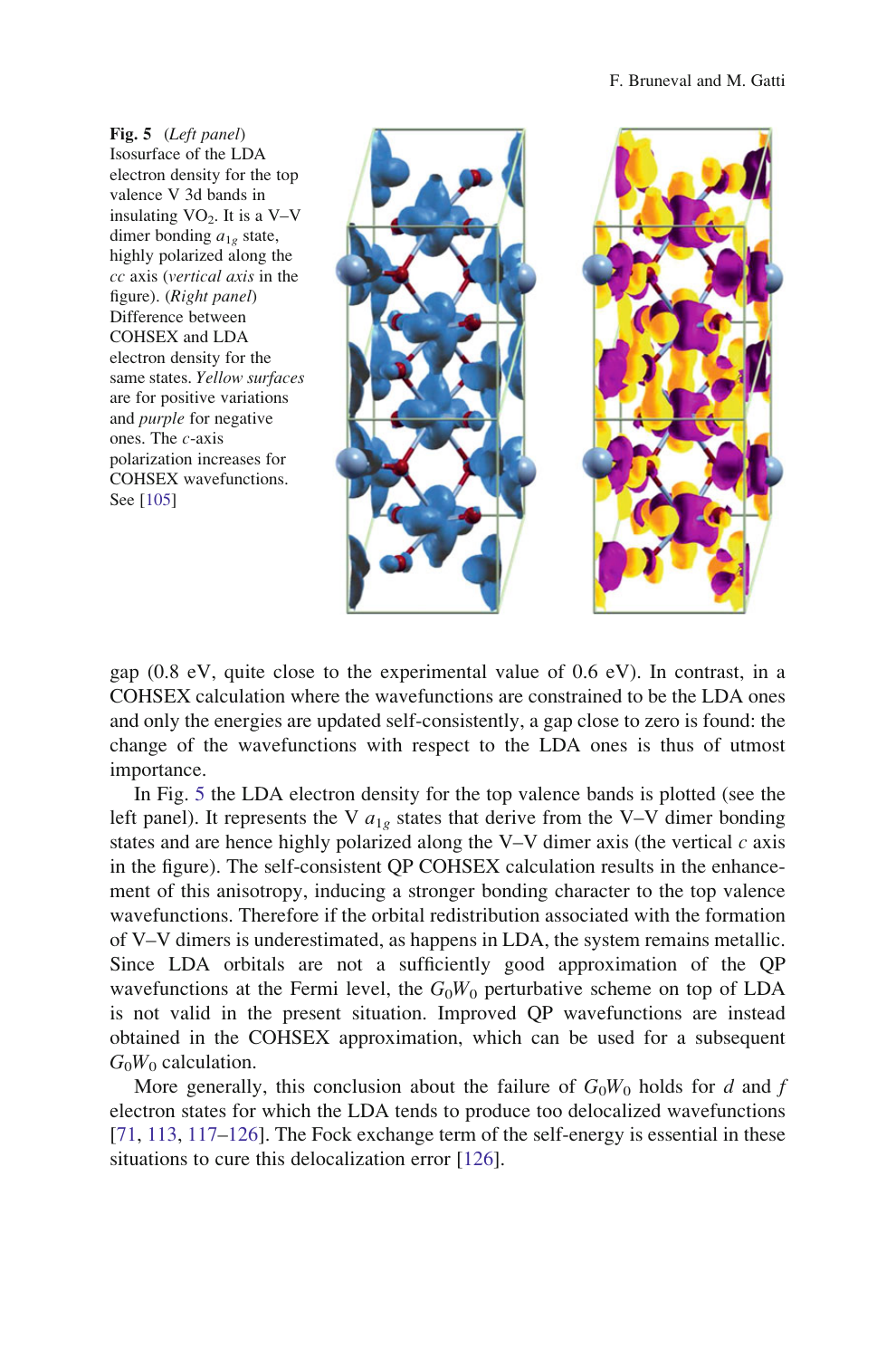Fig. 5 (Left panel) Isosurface of the LDA electron density for the top valence V 3d bands in insulating  $VO<sub>2</sub>$ . It is a V–V dimer bonding  $a_{1g}$  state, highly polarized along the cc axis (vertical axis in the figure). (Right panel) Difference between COHSEX and LDA electron density for the same states. Yellow surfaces are for positive variations and purple for negative ones. The c-axis polarization increases for COHSEX wavefunctions. See [\[105](#page-34-0)]



gap (0.8 eV, quite close to the experimental value of 0.6 eV). In contrast, in a COHSEX calculation where the wavefunctions are constrained to be the LDA ones and only the energies are updated self-consistently, a gap close to zero is found: the change of the wavefunctions with respect to the LDA ones is thus of utmost importance.

In Fig. 5 the LDA electron density for the top valence bands is plotted (see the left panel). It represents the V  $a_{1g}$  states that derive from the V–V dimer bonding states and are hence highly polarized along the V–V dimer axis (the vertical  $c$  axis in the figure). The self-consistent QP COHSEX calculation results in the enhancement of this anisotropy, inducing a stronger bonding character to the top valence wavefunctions. Therefore if the orbital redistribution associated with the formation of V–V dimers is underestimated, as happens in LDA, the system remains metallic. Since LDA orbitals are not a sufficiently good approximation of the QP wavefunctions at the Fermi level, the  $G_0W_0$  perturbative scheme on top of LDA is not valid in the present situation. Improved QP wavefunctions are instead obtained in the COHSEX approximation, which can be used for a subsequent  $G_0W_0$  calculation.

More generally, this conclusion about the failure of  $G_0W_0$  holds for d and f electron states for which the LDA tends to produce too delocalized wavefunctions [\[71](#page-33-0), [113,](#page-34-0) [117–126\]](#page-34-0). The Fock exchange term of the self-energy is essential in these situations to cure this delocalization error [\[126](#page-34-0)].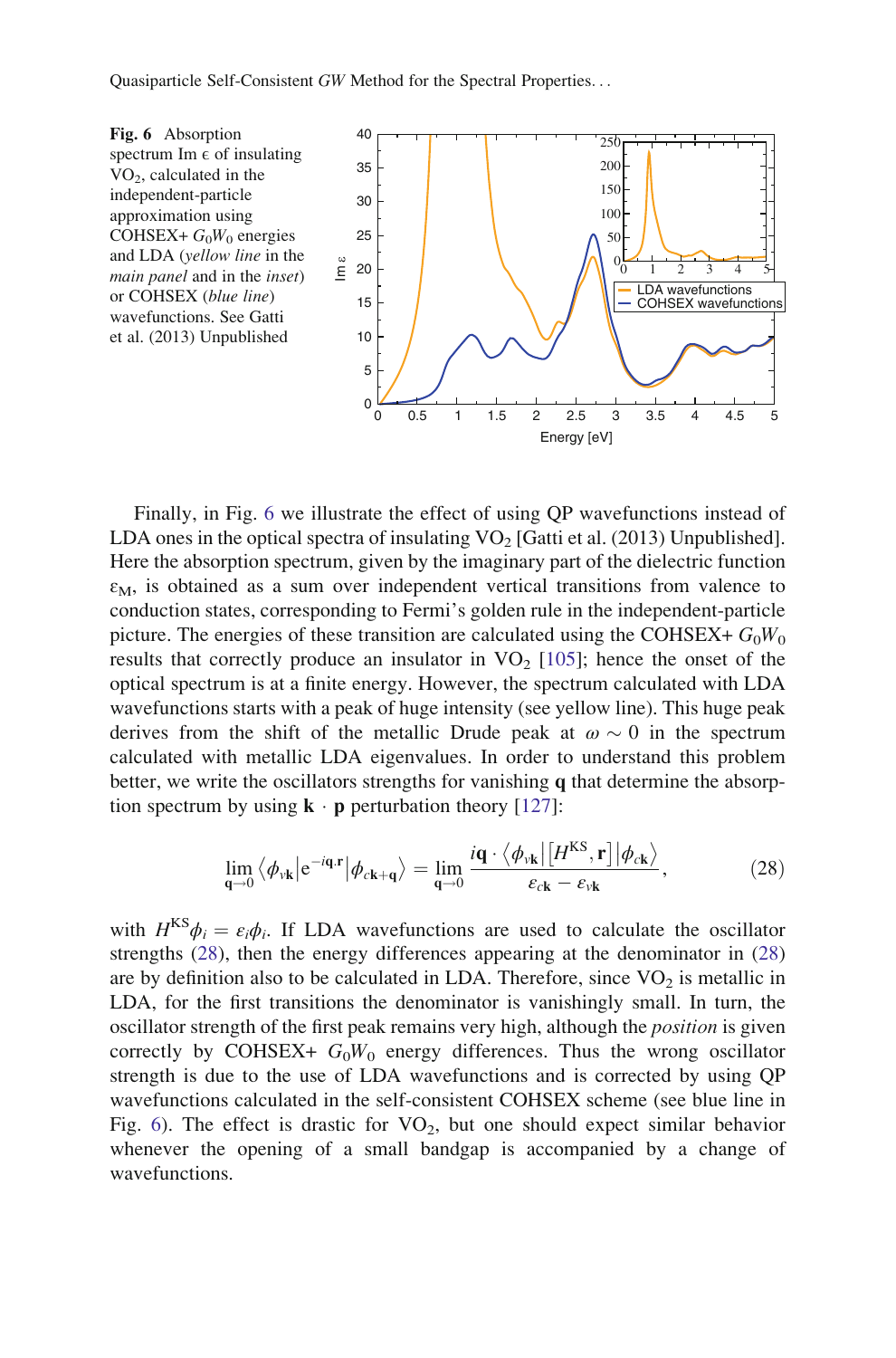

Finally, in Fig. 6 we illustrate the effect of using QP wavefunctions instead of LDA ones in the optical spectra of insulating  $VO<sub>2</sub>$  [Gatti et al. (2013) Unpublished]. Here the absorption spectrum, given by the imaginary part of the dielectric function  $\varepsilon_M$ , is obtained as a sum over independent vertical transitions from valence to conduction states, corresponding to Fermi's golden rule in the independent-particle picture. The energies of these transition are calculated using the COHSEX+  $G_0W_0$ results that correctly produce an insulator in  $VO<sub>2</sub>$  [[105\]](#page-34-0); hence the onset of the optical spectrum is at a finite energy. However, the spectrum calculated with LDA wavefunctions starts with a peak of huge intensity (see yellow line). This huge peak derives from the shift of the metallic Drude peak at  $\omega \sim 0$  in the spectrum calculated with metallic LDA eigenvalues. In order to understand this problem better, we write the oscillators strengths for vanishing q that determine the absorption spectrum by using  $\mathbf{k} \cdot \mathbf{p}$  perturbation theory [[127\]](#page-34-0):

$$
\lim_{\mathbf{q}\to 0} \left\langle \phi_{\nu \mathbf{k}} \left| e^{-i\mathbf{q} \cdot \mathbf{r}} \right| \phi_{c\mathbf{k}+\mathbf{q}} \right\rangle = \lim_{\mathbf{q}\to 0} \frac{i\mathbf{q} \cdot \left\langle \phi_{\nu \mathbf{k}} \right| \left[ H^{\rm KS}, \mathbf{r} \right] \left| \phi_{c\mathbf{k}} \right\rangle}{\varepsilon_{c\mathbf{k}} - \varepsilon_{\nu \mathbf{k}}},\tag{28}
$$

with  $H<sup>KS</sup>\phi_i = \varepsilon_i\phi_i$ . If LDA wavefunctions are used to calculate the oscillator strengths (28), then the energy differences appearing at the denominator in (28) are by definition also to be calculated in LDA. Therefore, since  $VO<sub>2</sub>$  is metallic in LDA, for the first transitions the denominator is vanishingly small. In turn, the oscillator strength of the first peak remains very high, although the *position* is given correctly by COHSEX+  $G_0W_0$  energy differences. Thus the wrong oscillator strength is due to the use of LDA wavefunctions and is corrected by using QP wavefunctions calculated in the self-consistent COHSEX scheme (see blue line in Fig. 6). The effect is drastic for  $VO<sub>2</sub>$ , but one should expect similar behavior whenever the opening of a small bandgap is accompanied by a change of wavefunctions.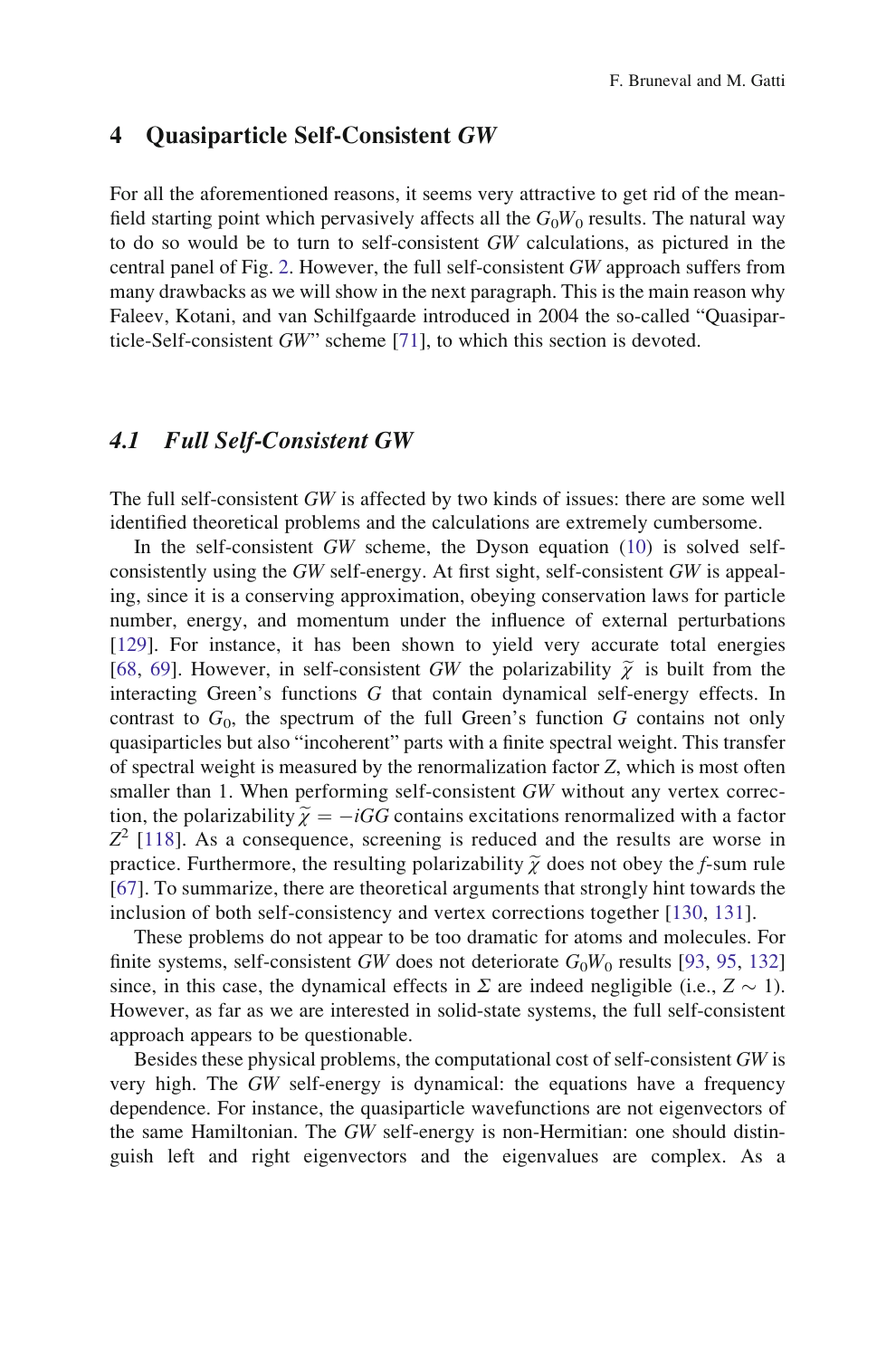#### <span id="page-21-0"></span>4 Quasiparticle Self-Consistent GW

For all the aforementioned reasons, it seems very attractive to get rid of the meanfield starting point which pervasively affects all the  $G_0W_0$  results. The natural way to do so would be to turn to self-consistent GW calculations, as pictured in the central panel of Fig. [2.](#page-9-0) However, the full self-consistent GW approach suffers from many drawbacks as we will show in the next paragraph. This is the main reason why Faleev, Kotani, and van Schilfgaarde introduced in 2004 the so-called "Quasiparticle-Self-consistent GW" scheme [[71\]](#page-33-0), to which this section is devoted.

#### 4.1 Full Self-Consistent GW

The full self-consistent GW is affected by two kinds of issues: there are some well identified theoretical problems and the calculations are extremely cumbersome.

In the self-consistent GW scheme, the Dyson equation [\(10](#page-7-0)) is solved selfconsistently using the GW self-energy. At first sight, self-consistent GW is appealing, since it is a conserving approximation, obeying conservation laws for particle number, energy, and momentum under the influence of external perturbations [\[129](#page-34-0)]. For instance, it has been shown to yield very accurate total energies [\[68](#page-32-0), [69\]](#page-33-0). However, in self-consistent GW the polarizability  $\tilde{\chi}$  is built from the interacting Green's functions G that contain dynamical self-energy effects. In contrast to  $G_0$ , the spectrum of the full Green's function G contains not only quasiparticles but also "incoherent" parts with a finite spectral weight. This transfer of spectral weight is measured by the renormalization factor Z, which is most often smaller than 1. When performing self-consistent GW without any vertex correction, the polarizability  $\tilde{\chi} = -iGG$  contains excitations renormalized with a factor  $Z^2$  [[118\]](#page-34-0). As a consequence, screening is reduced and the results are worse in practice. Furthermore, the resulting polarizability  $\tilde{\gamma}$  does not obey the f-sum rule [\[67](#page-32-0)]. To summarize, there are theoretical arguments that strongly hint towards the inclusion of both self-consistency and vertex corrections together [[130,](#page-34-0) [131\]](#page-34-0).

These problems do not appear to be too dramatic for atoms and molecules. For finite systems, self-consistent GW does not deteriorate  $G_0W_0$  results [\[93](#page-33-0), [95,](#page-33-0) [132](#page-34-0)] since, in this case, the dynamical effects in  $\Sigma$  are indeed negligible (i.e.,  $Z \sim 1$ ). However, as far as we are interested in solid-state systems, the full self-consistent approach appears to be questionable.

Besides these physical problems, the computational cost of self-consistent GW is very high. The GW self-energy is dynamical: the equations have a frequency dependence. For instance, the quasiparticle wavefunctions are not eigenvectors of the same Hamiltonian. The GW self-energy is non-Hermitian: one should distinguish left and right eigenvectors and the eigenvalues are complex. As a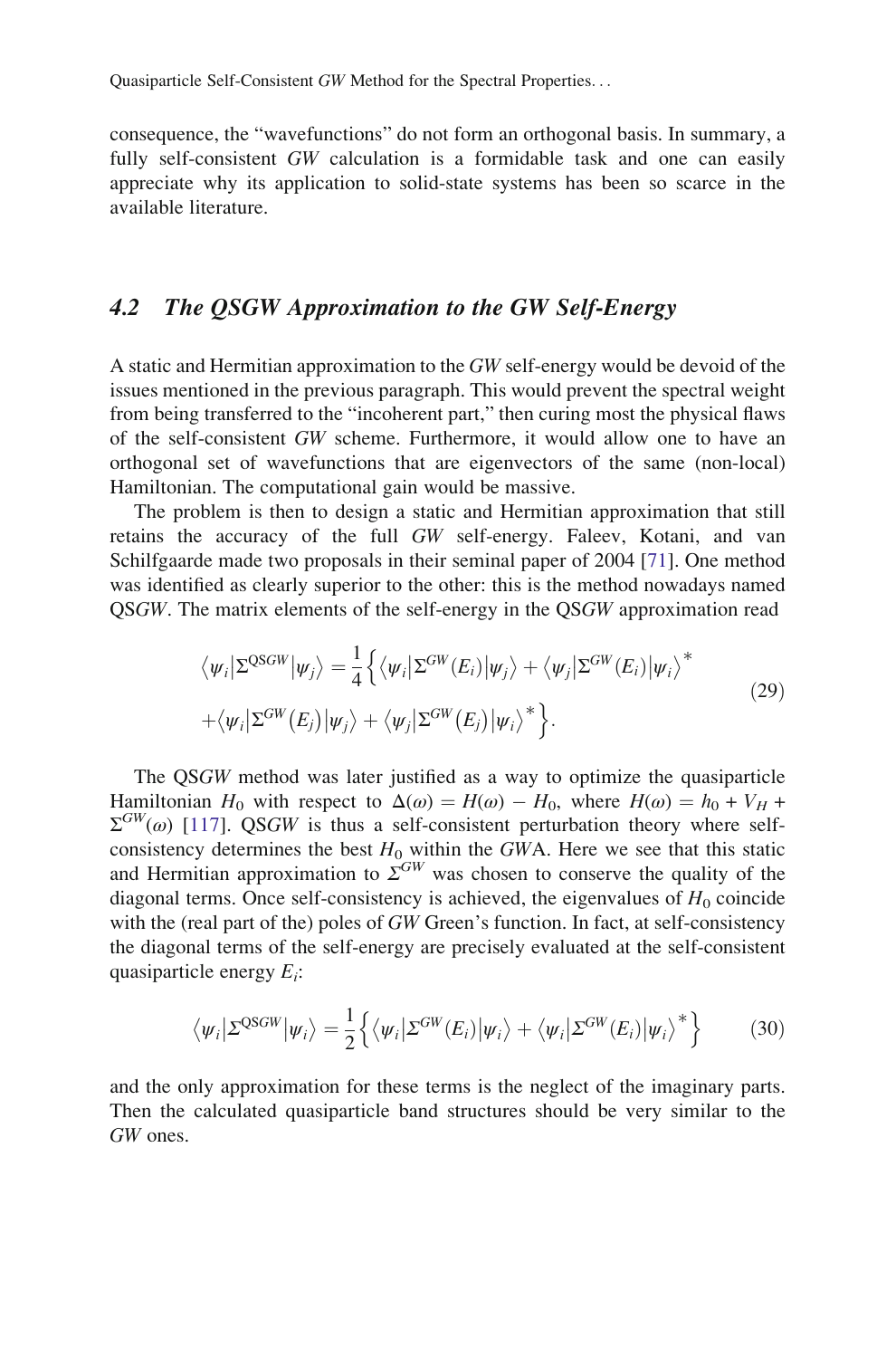consequence, the "wavefunctions" do not form an orthogonal basis. In summary, a fully self-consistent GW calculation is a formidable task and one can easily appreciate why its application to solid-state systems has been so scarce in the available literature.

## 4.2 The QSGW Approximation to the GW Self-Energy

A static and Hermitian approximation to the GW self-energy would be devoid of the issues mentioned in the previous paragraph. This would prevent the spectral weight from being transferred to the "incoherent part," then curing most the physical flaws of the self-consistent GW scheme. Furthermore, it would allow one to have an orthogonal set of wavefunctions that are eigenvectors of the same (non-local) Hamiltonian. The computational gain would be massive.

The problem is then to design a static and Hermitian approximation that still retains the accuracy of the full GW self-energy. Faleev, Kotani, and van Schilfgaarde made two proposals in their seminal paper of 2004 [[71\]](#page-33-0). One method was identified as clearly superior to the other: this is the method nowadays named QSGW. The matrix elements of the self-energy in the QSGW approximation read

$$
\langle \psi_i | \Sigma^{\text{QSGW}} | \psi_j \rangle = \frac{1}{4} \left\{ \langle \psi_i | \Sigma^{\text{GW}}(E_i) | \psi_j \rangle + \langle \psi_j | \Sigma^{\text{GW}}(E_i) | \psi_i \rangle^* \right. \\ \left. + \langle \psi_i | \Sigma^{\text{GW}}(E_j) | \psi_j \rangle + \langle \psi_j | \Sigma^{\text{GW}}(E_j) | \psi_i \rangle^* \right\} . \tag{29}
$$

The QSGW method was later justified as a way to optimize the quasiparticle Hamiltonian H<sub>0</sub> with respect to  $\Delta(\omega) = H(\omega) - H_0$ , where  $H(\omega) = h_0 + V_H +$  $\Sigma^{GW}(\omega)$  [[117\]](#page-34-0). QSGW is thus a self-consistent perturbation theory where selfconsistency determines the best  $H_0$  within the GWA. Here we see that this static and Hermitian approximation to  $\Sigma^{GW}$  was chosen to conserve the quality of the diagonal terms. Once self-consistency is achieved, the eigenvalues of  $H_0$  coincide with the (real part of the) poles of GW Green's function. In fact, at self-consistency the diagonal terms of the self-energy are precisely evaluated at the self-consistent quasiparticle energy  $E_i$ :

$$
\langle \psi_i | \Sigma^{\text{QSGW}} | \psi_i \rangle = \frac{1}{2} \left\{ \langle \psi_i | \Sigma^{\text{GW}}(E_i) | \psi_i \rangle + \langle \psi_i | \Sigma^{\text{GW}}(E_i) | \psi_i \rangle^* \right\} \tag{30}
$$

and the only approximation for these terms is the neglect of the imaginary parts. Then the calculated quasiparticle band structures should be very similar to the GW ones.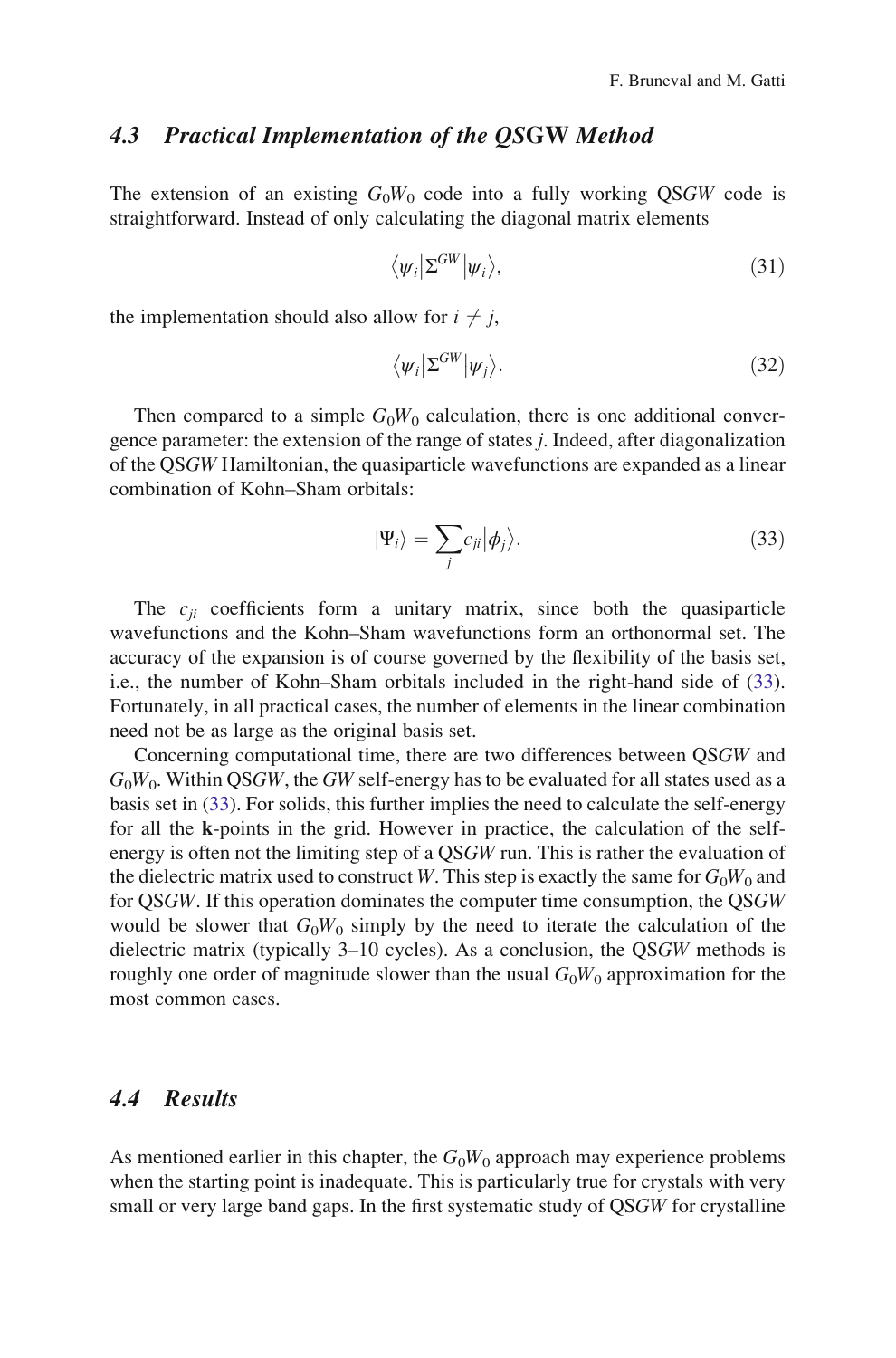#### 4.3 Practical Implementation of the QSGW Method

The extension of an existing  $G_0W_0$  code into a fully working QSGW code is straightforward. Instead of only calculating the diagonal matrix elements

$$
\langle \psi_i | \Sigma^{GW} | \psi_i \rangle, \tag{31}
$$

the implementation should also allow for  $i \neq j$ ,

$$
\langle \psi_i | \Sigma^{GW} | \psi_j \rangle. \tag{32}
$$

Then compared to a simple  $G_0W_0$  calculation, there is one additional convergence parameter: the extension of the range of states j. Indeed, after diagonalization of the QSGW Hamiltonian, the quasiparticle wavefunctions are expanded as a linear combination of Kohn–Sham orbitals:

$$
|\Psi_i\rangle = \sum_j c_{ji} |\phi_j\rangle. \tag{33}
$$

The  $c_{ii}$  coefficients form a unitary matrix, since both the quasiparticle wavefunctions and the Kohn–Sham wavefunctions form an orthonormal set. The accuracy of the expansion is of course governed by the flexibility of the basis set, i.e., the number of Kohn–Sham orbitals included in the right-hand side of (33). Fortunately, in all practical cases, the number of elements in the linear combination need not be as large as the original basis set.

Concerning computational time, there are two differences between QSGW and  $G_0W_0$ . Within QSGW, the GW self-energy has to be evaluated for all states used as a basis set in (33). For solids, this further implies the need to calculate the self-energy for all the k-points in the grid. However in practice, the calculation of the selfenergy is often not the limiting step of a QSGW run. This is rather the evaluation of the dielectric matrix used to construct W. This step is exactly the same for  $G_0W_0$  and for QSGW. If this operation dominates the computer time consumption, the QSGW would be slower that  $G_0W_0$  simply by the need to iterate the calculation of the dielectric matrix (typically 3–10 cycles). As a conclusion, the QSGW methods is roughly one order of magnitude slower than the usual  $G_0W_0$  approximation for the most common cases.

## 4.4 Results

As mentioned earlier in this chapter, the  $G_0W_0$  approach may experience problems when the starting point is inadequate. This is particularly true for crystals with very small or very large band gaps. In the first systematic study of QSGW for crystalline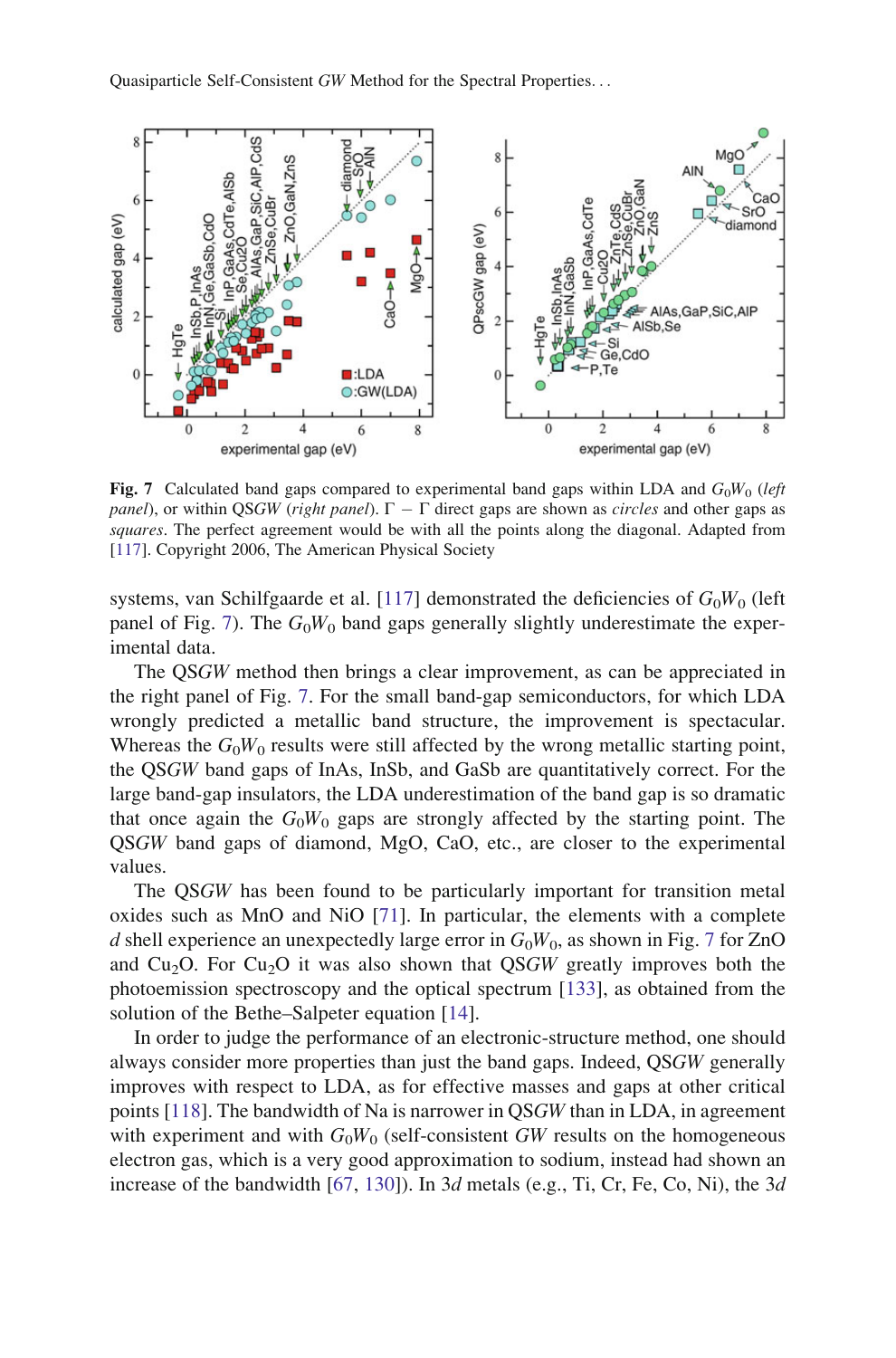

Fig. 7 Calculated band gaps compared to experimental band gaps within LDA and  $G_0W_0$  (left panel), or within QSGW (right panel).  $\Gamma - \Gamma$  direct gaps are shown as *circles* and other gaps as squares. The perfect agreement would be with all the points along the diagonal. Adapted from [[117](#page-34-0)]. Copyright 2006, The American Physical Society

systems, van Schilfgaarde et al. [\[117](#page-34-0)] demonstrated the deficiencies of  $G_0W_0$  (left panel of Fig. 7). The  $G_0W_0$  band gaps generally slightly underestimate the experimental data.

The QSGW method then brings a clear improvement, as can be appreciated in the right panel of Fig. 7. For the small band-gap semiconductors, for which LDA wrongly predicted a metallic band structure, the improvement is spectacular. Whereas the  $G_0W_0$  results were still affected by the wrong metallic starting point, the QSGW band gaps of InAs, InSb, and GaSb are quantitatively correct. For the large band-gap insulators, the LDA underestimation of the band gap is so dramatic that once again the  $G_0W_0$  gaps are strongly affected by the starting point. The QSGW band gaps of diamond, MgO, CaO, etc., are closer to the experimental values.

The QSGW has been found to be particularly important for transition metal oxides such as MnO and NiO [[71\]](#page-33-0). In particular, the elements with a complete d shell experience an unexpectedly large error in  $G_0W_0$ , as shown in Fig. 7 for ZnO and Cu<sub>2</sub>O. For Cu<sub>2</sub>O it was also shown that QSGW greatly improves both the photoemission spectroscopy and the optical spectrum [[133](#page-34-0)], as obtained from the solution of the Bethe–Salpeter equation [[14\]](#page-31-0).

In order to judge the performance of an electronic-structure method, one should always consider more properties than just the band gaps. Indeed, QSGW generally improves with respect to LDA, as for effective masses and gaps at other critical points [[118\]](#page-34-0). The bandwidth of Na is narrower in QSGW than in LDA, in agreement with experiment and with  $G_0W_0$  (self-consistent GW results on the homogeneous electron gas, which is a very good approximation to sodium, instead had shown an increase of the bandwidth  $[67, 130]$  $[67, 130]$  $[67, 130]$  $[67, 130]$ ). In 3d metals (e.g., Ti, Cr, Fe, Co, Ni), the 3d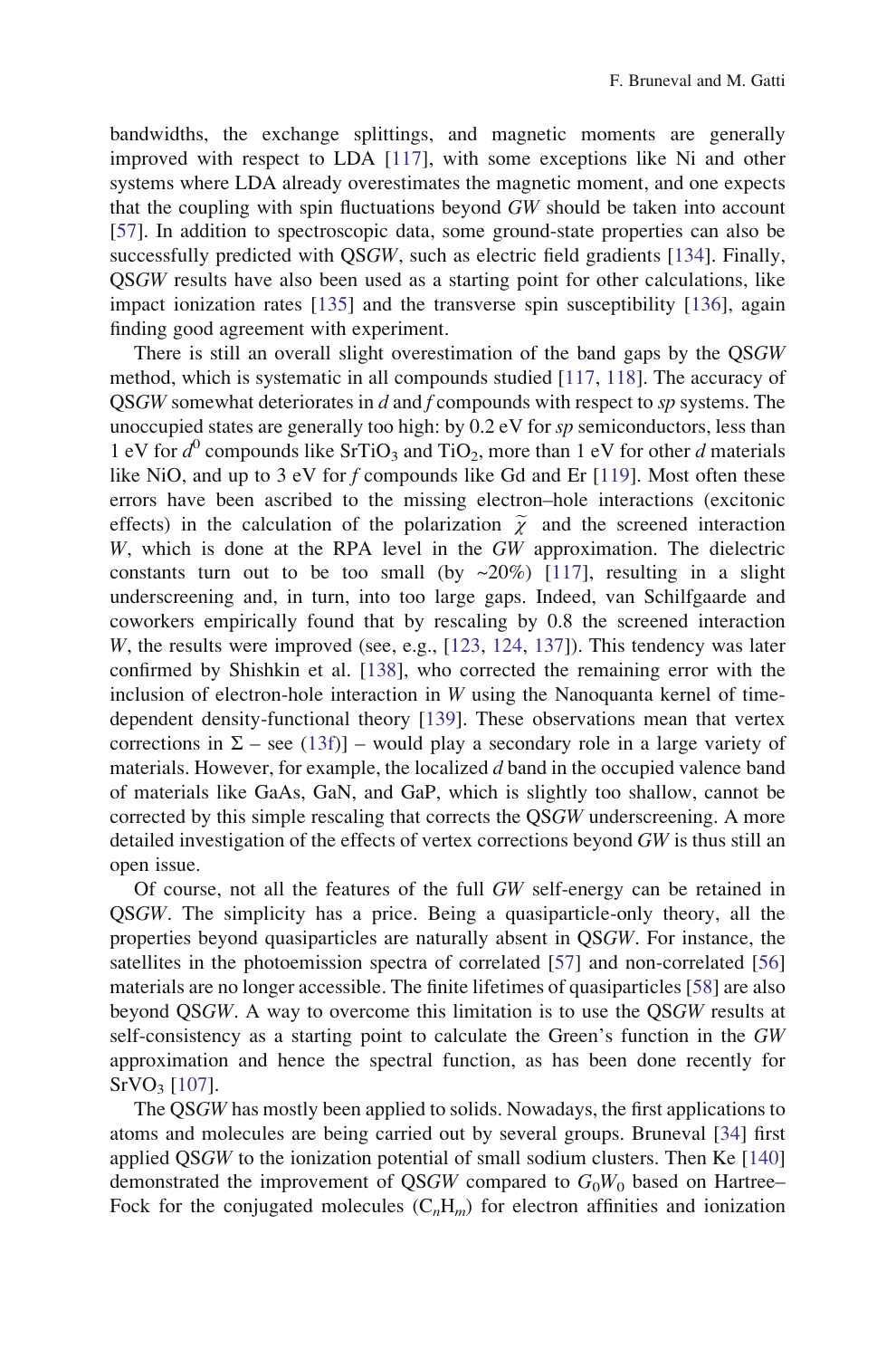bandwidths, the exchange splittings, and magnetic moments are generally improved with respect to LDA [\[117\]](#page-34-0), with some exceptions like Ni and other systems where LDA already overestimates the magnetic moment, and one expects that the coupling with spin fluctuations beyond GW should be taken into account [\[57](#page-32-0)]. In addition to spectroscopic data, some ground-state properties can also be successfully predicted with QSGW, such as electric field gradients [[134\]](#page-34-0). Finally, QSGW results have also been used as a starting point for other calculations, like impact ionization rates [[135\]](#page-35-0) and the transverse spin susceptibility [[136\]](#page-35-0), again finding good agreement with experiment.

There is still an overall slight overestimation of the band gaps by the QSGW method, which is systematic in all compounds studied [\[117](#page-34-0), [118](#page-34-0)]. The accuracy of QSGW somewhat deteriorates in d and f compounds with respect to sp systems. The unoccupied states are generally too high: by 0.2 eV for sp semiconductors, less than 1 eV for  $d^0$  compounds like SrTiO<sub>3</sub> and TiO<sub>2</sub>, more than 1 eV for other d materials like NiO, and up to 3 eV for f compounds like Gd and Er [\[119](#page-34-0)]. Most often these errors have been ascribed to the missing electron–hole interactions (excitonic effects) in the calculation of the polarization  $\tilde{\chi}$  and the screened interaction W, which is done at the RPA level in the GW approximation. The dielectric constants turn out to be too small (by  $\sim 20\%$ ) [[117\]](#page-34-0), resulting in a slight underscreening and, in turn, into too large gaps. Indeed, van Schilfgaarde and coworkers empirically found that by rescaling by 0.8 the screened interaction W, the results were improved (see, e.g., [[123,](#page-34-0) [124](#page-34-0), [137\]](#page-35-0)). This tendency was later confirmed by Shishkin et al. [[138\]](#page-35-0), who corrected the remaining error with the inclusion of electron-hole interaction in  $W$  using the Nanoquanta kernel of timedependent density-functional theory [[139\]](#page-35-0). These observations mean that vertex corrections in  $\Sigma$  – see ([13f](#page-9-0))] – would play a secondary role in a large variety of materials. However, for example, the localized d band in the occupied valence band of materials like GaAs, GaN, and GaP, which is slightly too shallow, cannot be corrected by this simple rescaling that corrects the QSGW underscreening. A more detailed investigation of the effects of vertex corrections beyond GW is thus still an open issue.

Of course, not all the features of the full GW self-energy can be retained in QSGW. The simplicity has a price. Being a quasiparticle-only theory, all the properties beyond quasiparticles are naturally absent in QSGW. For instance, the satellites in the photoemission spectra of correlated [\[57](#page-32-0)] and non-correlated [\[56](#page-32-0)] materials are no longer accessible. The finite lifetimes of quasiparticles [[58\]](#page-32-0) are also beyond QSGW. A way to overcome this limitation is to use the QSGW results at self-consistency as a starting point to calculate the Green's function in the GW approximation and hence the spectral function, as has been done recently for  $SrVO<sub>3</sub>$  [[107\]](#page-34-0).

The QSGW has mostly been applied to solids. Nowadays, the first applications to atoms and molecules are being carried out by several groups. Bruneval [\[34](#page-31-0)] first applied QSGW to the ionization potential of small sodium clusters. Then Ke [\[140](#page-35-0)] demonstrated the improvement of QSGW compared to  $G_0W_0$  based on Hartree– Fock for the conjugated molecules  $(C<sub>n</sub>H<sub>m</sub>)$  for electron affinities and ionization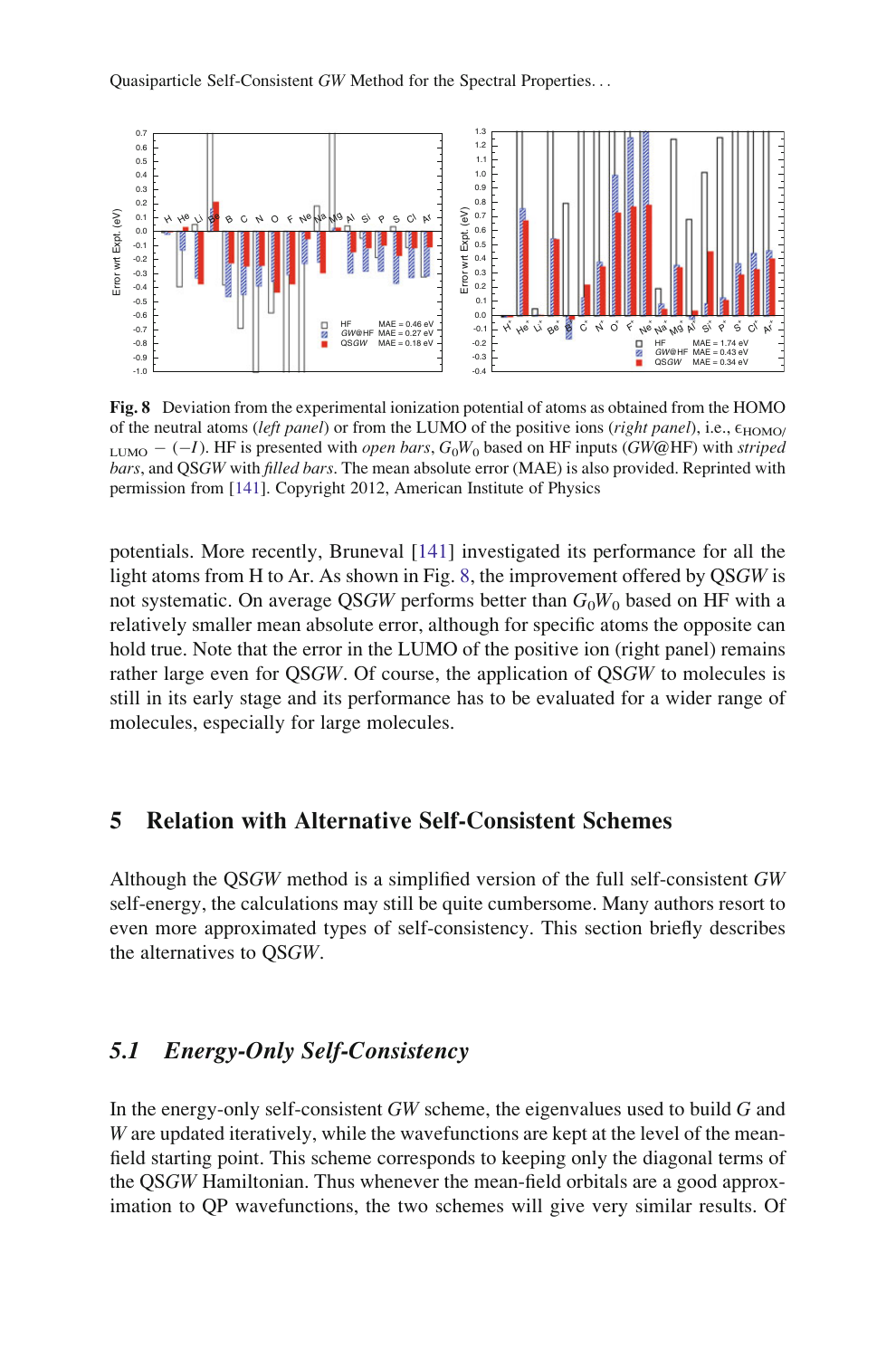<span id="page-26-0"></span>

Fig. 8 Deviation from the experimental ionization potential of atoms as obtained from the HOMO of the neutral atoms (left panel) or from the LUMO of the positive ions (right panel), i.e.,  $\varepsilon_{\text{HOMO}}$ LUMO  $-(-I)$ . HF is presented with *open bars*,  $G_0W_0$  based on HF inputs (GW@HF) with *striped* bars, and QSGW with filled bars. The mean absolute error (MAE) is also provided. Reprinted with permission from [\[141\]](#page-35-0). Copyright 2012, American Institute of Physics

potentials. More recently, Bruneval [[141\]](#page-35-0) investigated its performance for all the light atoms from H to Ar. As shown in Fig. 8, the improvement offered by QSGW is not systematic. On average QSGW performs better than  $G_0W_0$  based on HF with a relatively smaller mean absolute error, although for specific atoms the opposite can hold true. Note that the error in the LUMO of the positive ion (right panel) remains rather large even for QSGW. Of course, the application of QSGW to molecules is still in its early stage and its performance has to be evaluated for a wider range of molecules, especially for large molecules.

## 5 Relation with Alternative Self-Consistent Schemes

Although the QSGW method is a simplified version of the full self-consistent GW self-energy, the calculations may still be quite cumbersome. Many authors resort to even more approximated types of self-consistency. This section briefly describes the alternatives to QSGW.

## 5.1 Energy-Only Self-Consistency

In the energy-only self-consistent  $GW$  scheme, the eigenvalues used to build  $G$  and W are updated iteratively, while the wavefunctions are kept at the level of the meanfield starting point. This scheme corresponds to keeping only the diagonal terms of the QSGW Hamiltonian. Thus whenever the mean-field orbitals are a good approximation to QP wavefunctions, the two schemes will give very similar results. Of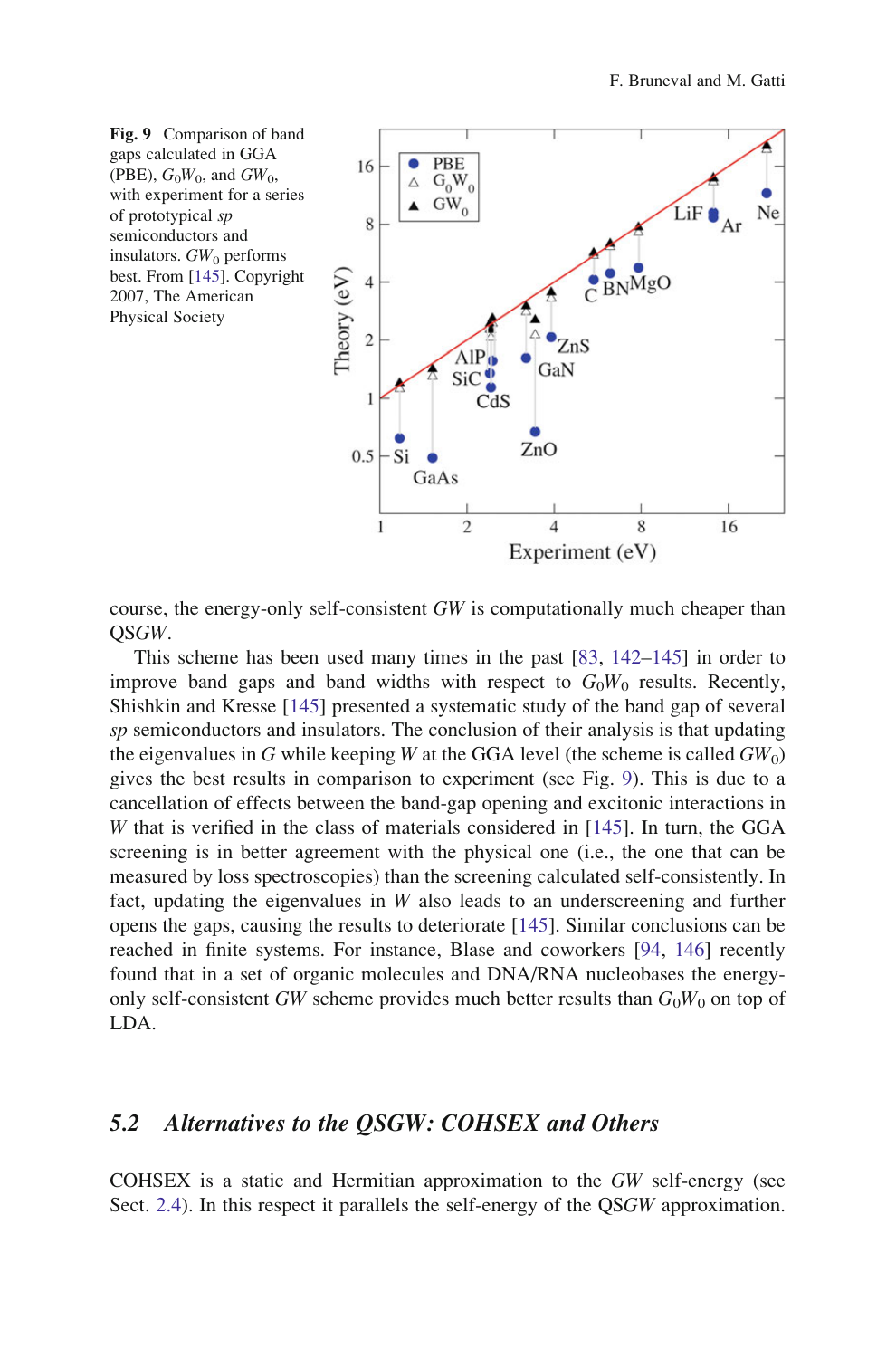

course, the energy-only self-consistent GW is computationally much cheaper than QSGW.

This scheme has been used many times in the past [[83,](#page-33-0) [142–145\]](#page-35-0) in order to improve band gaps and band widths with respect to  $G_0W_0$  results. Recently, Shishkin and Kresse [[145\]](#page-35-0) presented a systematic study of the band gap of several  $sp$  semiconductors and insulators. The conclusion of their analysis is that updating the eigenvalues in G while keeping W at the GGA level (the scheme is called  $GW_0$ ) gives the best results in comparison to experiment (see Fig. 9). This is due to a cancellation of effects between the band-gap opening and excitonic interactions in W that is verified in the class of materials considered in [[145\]](#page-35-0). In turn, the GGA screening is in better agreement with the physical one (i.e., the one that can be measured by loss spectroscopies) than the screening calculated self-consistently. In fact, updating the eigenvalues in  $W$  also leads to an underscreening and further opens the gaps, causing the results to deteriorate [\[145](#page-35-0)]. Similar conclusions can be reached in finite systems. For instance, Blase and coworkers [\[94](#page-33-0), [146\]](#page-35-0) recently found that in a set of organic molecules and DNA/RNA nucleobases the energyonly self-consistent GW scheme provides much better results than  $G_0W_0$  on top of LDA.

#### 5.2 Alternatives to the QSGW: COHSEX and Others

COHSEX is a static and Hermitian approximation to the GW self-energy (see Sect. [2.4](#page-10-0)). In this respect it parallels the self-energy of the QSGW approximation.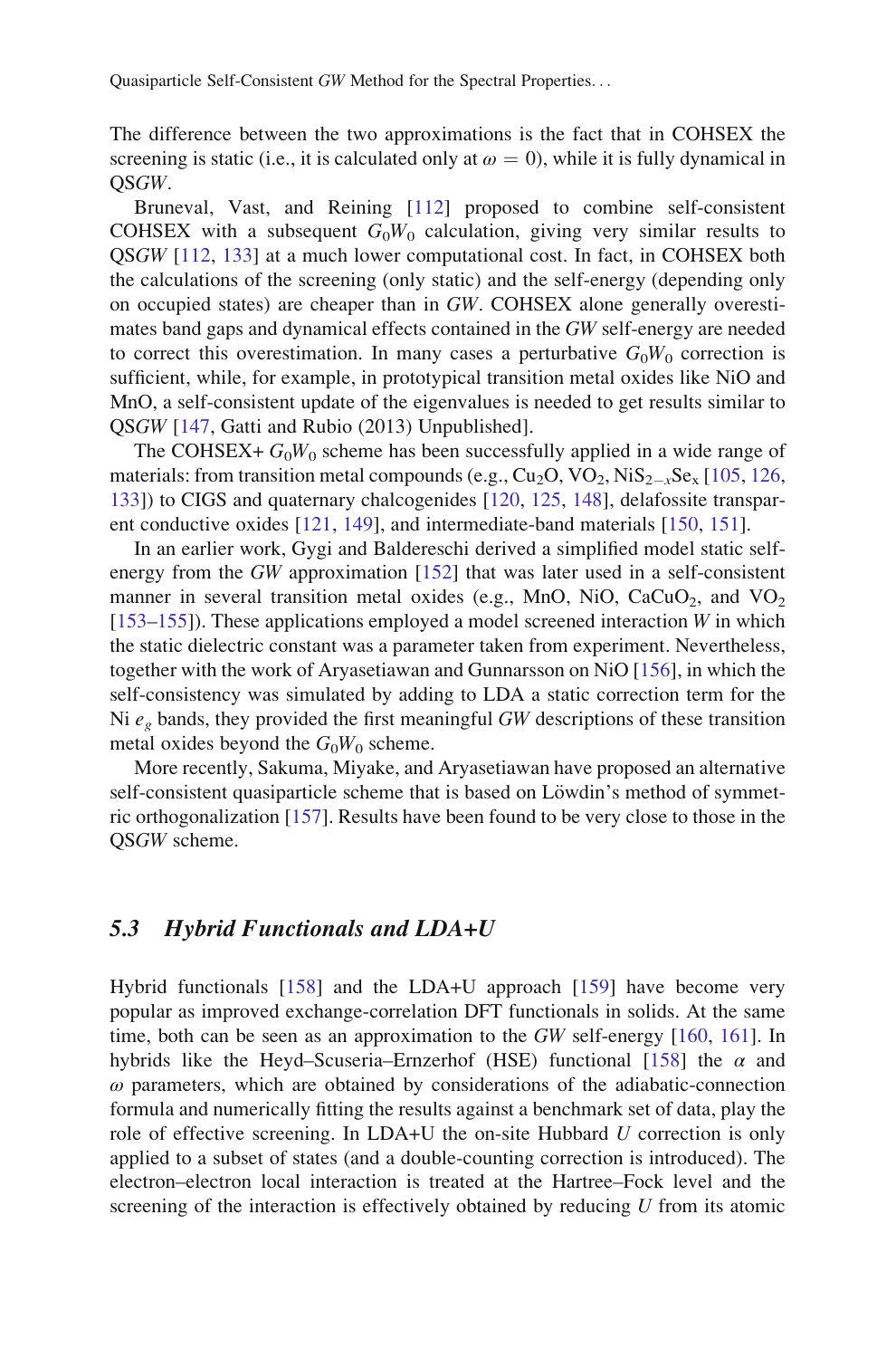The difference between the two approximations is the fact that in COHSEX the screening is static (i.e., it is calculated only at  $\omega = 0$ ), while it is fully dynamical in QSGW.

Bruneval, Vast, and Reining [[112\]](#page-34-0) proposed to combine self-consistent COHSEX with a subsequent  $G_0W_0$  calculation, giving very similar results to QSGW [\[112](#page-34-0), [133\]](#page-34-0) at a much lower computational cost. In fact, in COHSEX both the calculations of the screening (only static) and the self-energy (depending only on occupied states) are cheaper than in GW. COHSEX alone generally overestimates band gaps and dynamical effects contained in the GW self-energy are needed to correct this overestimation. In many cases a perturbative  $G_0W_0$  correction is sufficient, while, for example, in prototypical transition metal oxides like NiO and MnO, a self-consistent update of the eigenvalues is needed to get results similar to QSGW [\[147](#page-35-0), Gatti and Rubio (2013) Unpublished].

The COHSEX+  $G_0W_0$  scheme has been successfully applied in a wide range of materials: from transition metal compounds (e.g.,  $Cu_2O$ ,  $VO_2$ ,  $NiS_{2-x}Se_x$  [[105,](#page-34-0) [126](#page-34-0), [133\]](#page-34-0)) to CIGS and quaternary chalcogenides [\[120](#page-34-0), [125](#page-34-0), [148\]](#page-35-0), delafossite transparent conductive oxides [[121,](#page-34-0) [149](#page-35-0)], and intermediate-band materials [[150,](#page-35-0) [151\]](#page-35-0).

In an earlier work, Gygi and Baldereschi derived a simplified model static selfenergy from the GW approximation [[152\]](#page-35-0) that was later used in a self-consistent manner in several transition metal oxides (e.g., MnO, NiO, CaCuO<sub>2</sub>, and VO<sub>2</sub>  $[153–155]$  $[153–155]$ ). These applications employed a model screened interaction W in which the static dielectric constant was a parameter taken from experiment. Nevertheless, together with the work of Aryasetiawan and Gunnarsson on NiO [[156\]](#page-35-0), in which the self-consistency was simulated by adding to LDA a static correction term for the Ni  $e<sub>g</sub>$  bands, they provided the first meaningful GW descriptions of these transition metal oxides beyond the  $G_0W_0$  scheme.

More recently, Sakuma, Miyake, and Aryasetiawan have proposed an alternative self-consistent quasiparticle scheme that is based on Löwdin's method of symmetric orthogonalization [[157\]](#page-35-0). Results have been found to be very close to those in the QSGW scheme.

#### 5.3 Hybrid Functionals and LDA+U

Hybrid functionals [\[158](#page-35-0)] and the LDA+U approach [\[159\]](#page-35-0) have become very popular as improved exchange-correlation DFT functionals in solids. At the same time, both can be seen as an approximation to the GW self-energy [\[160](#page-35-0), [161](#page-35-0)]. In hybrids like the Heyd–Scuseria–Ernzerhof (HSE) functional [[158\]](#page-35-0) the  $\alpha$  and  $\omega$  parameters, which are obtained by considerations of the adiabatic-connection formula and numerically fitting the results against a benchmark set of data, play the role of effective screening. In LDA+U the on-site Hubbard  $U$  correction is only applied to a subset of states (and a double-counting correction is introduced). The electron–electron local interaction is treated at the Hartree–Fock level and the screening of the interaction is effectively obtained by reducing  $U$  from its atomic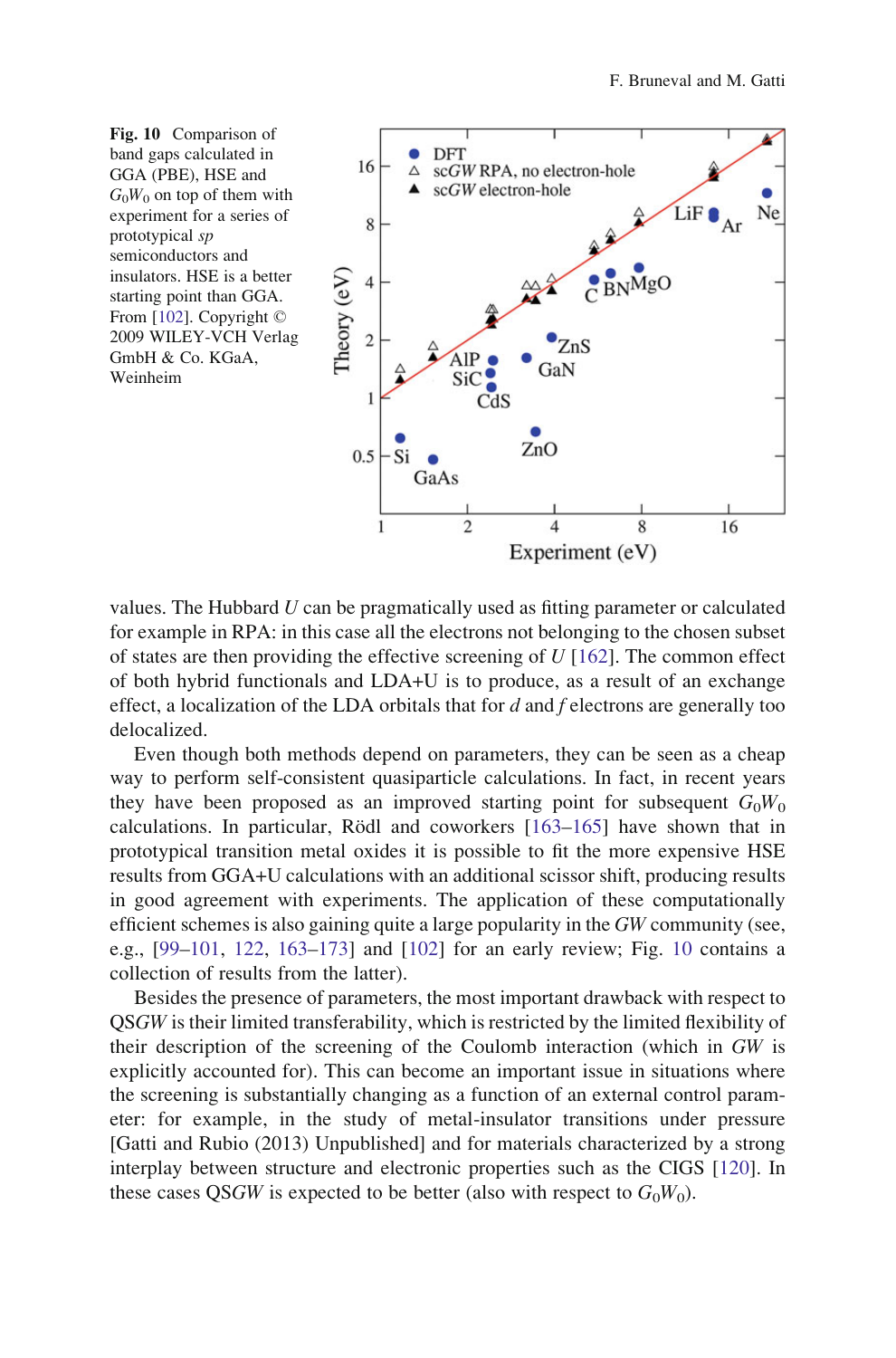



values. The Hubbard  $U$  can be pragmatically used as fitting parameter or calculated for example in RPA: in this case all the electrons not belonging to the chosen subset of states are then providing the effective screening of  $U$  [\[162](#page-35-0)]. The common effect of both hybrid functionals and LDA+U is to produce, as a result of an exchange effect, a localization of the LDA orbitals that for  $d$  and  $f$  electrons are generally too delocalized.

Even though both methods depend on parameters, they can be seen as a cheap way to perform self-consistent quasiparticle calculations. In fact, in recent years they have been proposed as an improved starting point for subsequent  $G_0W_0$ calculations. In particular, Rödl and coworkers  $[163-165]$  $[163-165]$  have shown that in prototypical transition metal oxides it is possible to fit the more expensive HSE results from GGA+U calculations with an additional scissor shift, producing results in good agreement with experiments. The application of these computationally efficient schemes is also gaining quite a large popularity in the GW community (see, e.g., [\[99–101](#page-33-0), [122,](#page-34-0) [163](#page-35-0)[–173](#page-36-0)] and [\[102](#page-33-0)] for an early review; Fig. 10 contains a collection of results from the latter).

Besides the presence of parameters, the most important drawback with respect to QSGW is their limited transferability, which is restricted by the limited flexibility of their description of the screening of the Coulomb interaction (which in GW is explicitly accounted for). This can become an important issue in situations where the screening is substantially changing as a function of an external control parameter: for example, in the study of metal-insulator transitions under pressure [Gatti and Rubio (2013) Unpublished] and for materials characterized by a strong interplay between structure and electronic properties such as the CIGS [[120\]](#page-34-0). In these cases QSGW is expected to be better (also with respect to  $G_0W_0$ ).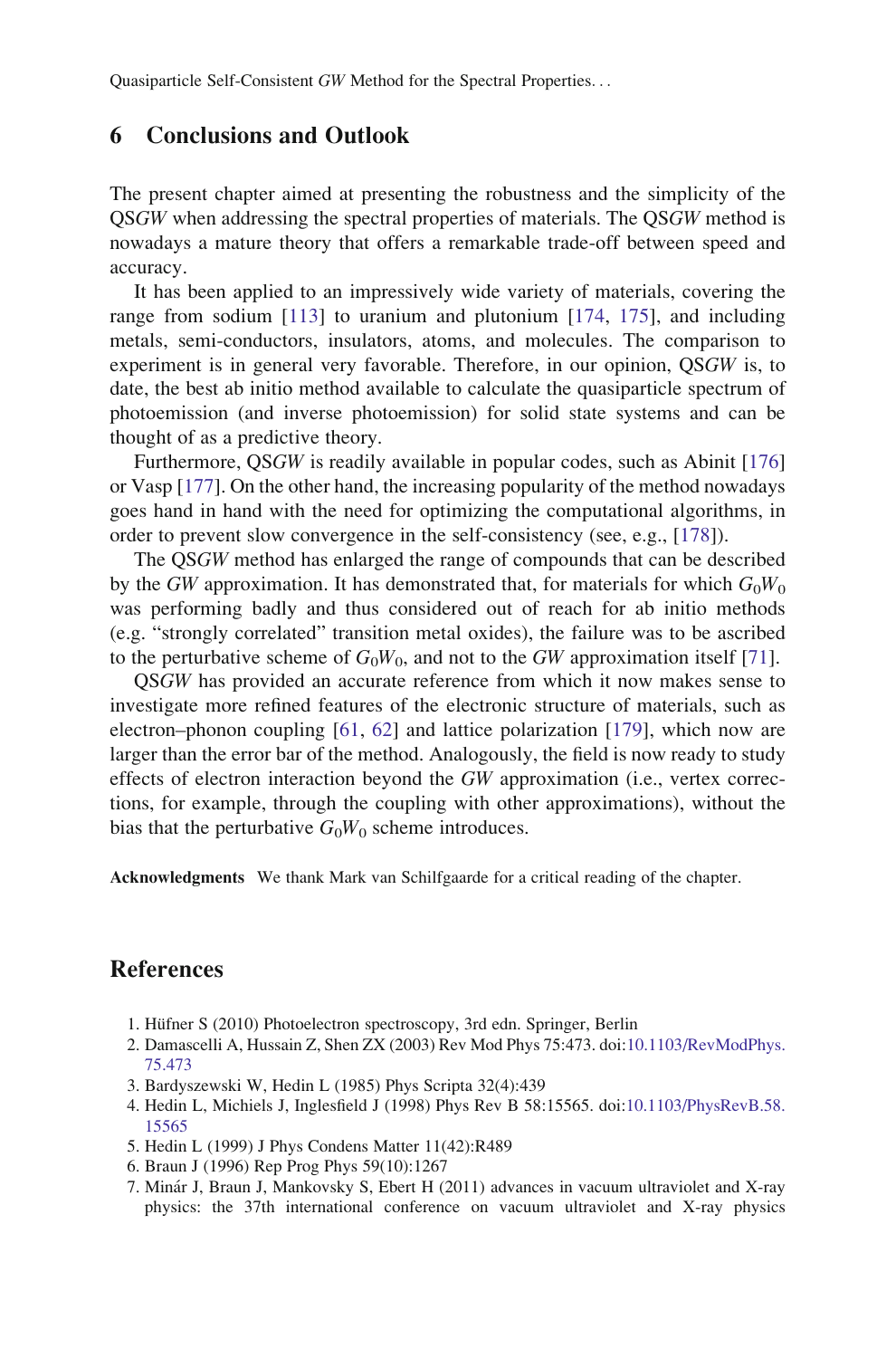## <span id="page-30-0"></span>6 Conclusions and Outlook

The present chapter aimed at presenting the robustness and the simplicity of the QSGW when addressing the spectral properties of materials. The QSGW method is nowadays a mature theory that offers a remarkable trade-off between speed and accuracy.

It has been applied to an impressively wide variety of materials, covering the range from sodium [\[113](#page-34-0)] to uranium and plutonium [[174,](#page-36-0) [175\]](#page-36-0), and including metals, semi-conductors, insulators, atoms, and molecules. The comparison to experiment is in general very favorable. Therefore, in our opinion, QSGW is, to date, the best ab initio method available to calculate the quasiparticle spectrum of photoemission (and inverse photoemission) for solid state systems and can be thought of as a predictive theory.

Furthermore, QSGW is readily available in popular codes, such as Abinit [\[176](#page-36-0)] or Vasp [\[177](#page-36-0)]. On the other hand, the increasing popularity of the method nowadays goes hand in hand with the need for optimizing the computational algorithms, in order to prevent slow convergence in the self-consistency (see, e.g., [[178\]](#page-36-0)).

The QSGW method has enlarged the range of compounds that can be described by the GW approximation. It has demonstrated that, for materials for which  $G_0W_0$ was performing badly and thus considered out of reach for ab initio methods (e.g. "strongly correlated" transition metal oxides), the failure was to be ascribed to the perturbative scheme of  $G_0W_0$ , and not to the GW approximation itself [\[71](#page-33-0)].

QSGW has provided an accurate reference from which it now makes sense to investigate more refined features of the electronic structure of materials, such as electron–phonon coupling [[61,](#page-32-0) [62\]](#page-32-0) and lattice polarization [\[179](#page-36-0)], which now are larger than the error bar of the method. Analogously, the field is now ready to study effects of electron interaction beyond the GW approximation (i.e., vertex corrections, for example, through the coupling with other approximations), without the bias that the perturbative  $G_0W_0$  scheme introduces.

Acknowledgments We thank Mark van Schilfgaarde for a critical reading of the chapter.

## References

- 1. Hüfner S (2010) Photoelectron spectroscopy, 3rd edn. Springer, Berlin
- 2. Damascelli A, Hussain Z, Shen ZX (2003) Rev Mod Phys 75:473. doi[:10.1103/RevModPhys.](http://dx.doi.org/10.1103/RevModPhys.75.473) [75.473](http://dx.doi.org/10.1103/RevModPhys.75.473)
- 3. Bardyszewski W, Hedin L (1985) Phys Scripta 32(4):439
- 4. Hedin L, Michiels J, Inglesfield J (1998) Phys Rev B 58:15565. doi[:10.1103/PhysRevB.58.](http://dx.doi.org/10.1103/PhysRevB.58.15565) [15565](http://dx.doi.org/10.1103/PhysRevB.58.15565)
- 5. Hedin L (1999) J Phys Condens Matter 11(42):R489
- 6. Braun J (1996) Rep Prog Phys 59(10):1267
- 7. Mina´r J, Braun J, Mankovsky S, Ebert H (2011) advances in vacuum ultraviolet and X-ray physics: the 37th international conference on vacuum ultraviolet and X-ray physics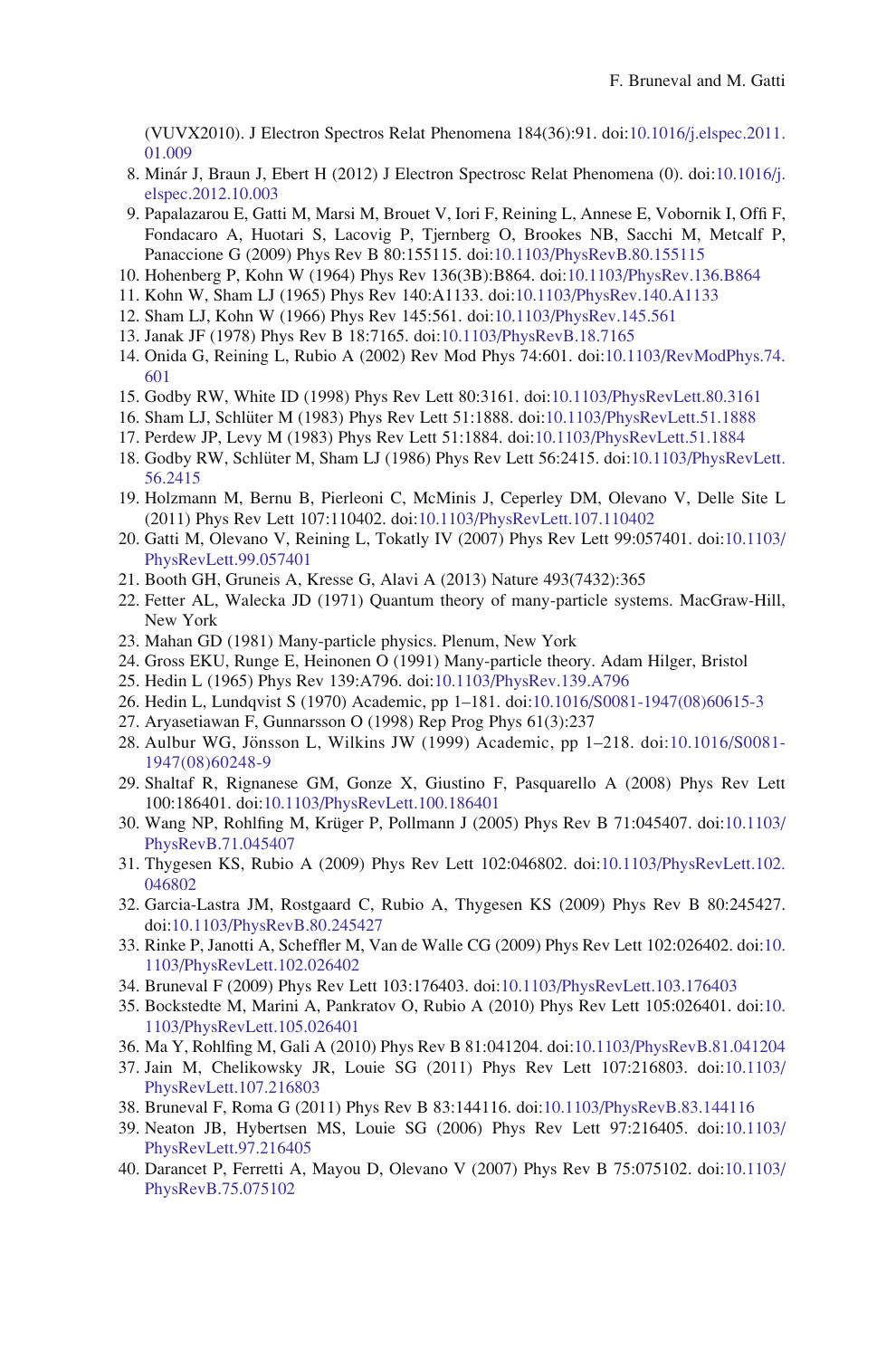<span id="page-31-0"></span>(VUVX2010). J Electron Spectros Relat Phenomena 184(36):91. doi:[10.1016/j.elspec.2011.](http://dx.doi.org/10.1016/j.elspec.2011.01.009) [01.009](http://dx.doi.org/10.1016/j.elspec.2011.01.009)

- 8. Mina´r J, Braun J, Ebert H (2012) J Electron Spectrosc Relat Phenomena (0). doi[:10.1016/j.](http://dx.doi.org/10.1016/j.elspec.2012.10.003) [elspec.2012.10.003](http://dx.doi.org/10.1016/j.elspec.2012.10.003)
- 9. Papalazarou E, Gatti M, Marsi M, Brouet V, Iori F, Reining L, Annese E, Vobornik I, Offi F, Fondacaro A, Huotari S, Lacovig P, Tjernberg O, Brookes NB, Sacchi M, Metcalf P, Panaccione G (2009) Phys Rev B 80:155115. doi[:10.1103/PhysRevB.80.155115](http://dx.doi.org/10.1103/PhysRevB.80.155115)
- 10. Hohenberg P, Kohn W (1964) Phys Rev 136(3B):B864. doi[:10.1103/PhysRev.136.B864](http://dx.doi.org/10.1103/PhysRev.136.B864)
- 11. Kohn W, Sham LJ (1965) Phys Rev 140:A1133. doi:[10.1103/PhysRev.140.A1133](http://dx.doi.org/10.1103/PhysRev.140.A1133)
- 12. Sham LJ, Kohn W (1966) Phys Rev 145:561. doi:[10.1103/PhysRev.145.561](http://dx.doi.org/10.1103/PhysRev.145.561)
- 13. Janak JF (1978) Phys Rev B 18:7165. doi[:10.1103/PhysRevB.18.7165](http://dx.doi.org/10.1103/PhysRevB.18.7165)
- 14. Onida G, Reining L, Rubio A (2002) Rev Mod Phys 74:601. doi:[10.1103/RevModPhys.74.](http://dx.doi.org/10.1103/RevModPhys.74.601) [601](http://dx.doi.org/10.1103/RevModPhys.74.601)
- 15. Godby RW, White ID (1998) Phys Rev Lett 80:3161. doi[:10.1103/PhysRevLett.80.3161](http://dx.doi.org/10.1103/PhysRevLett.80.3161)
- 16. Sham LJ, Schlüter M (1983) Phys Rev Lett 51:1888. doi:[10.1103/PhysRevLett.51.1888](http://dx.doi.org/10.1103/PhysRevLett.51.1888)
- 17. Perdew JP, Levy M (1983) Phys Rev Lett 51:1884. doi[:10.1103/PhysRevLett.51.1884](http://dx.doi.org/10.1103/PhysRevLett.51.1884)
- 18. Godby RW, Schlüter M, Sham LJ (1986) Phys Rev Lett 56:2415. doi:[10.1103/PhysRevLett.](http://dx.doi.org/10.1103/PhysRevLett.56.2415) [56.2415](http://dx.doi.org/10.1103/PhysRevLett.56.2415)
- 19. Holzmann M, Bernu B, Pierleoni C, McMinis J, Ceperley DM, Olevano V, Delle Site L (2011) Phys Rev Lett 107:110402. doi[:10.1103/PhysRevLett.107.110402](http://dx.doi.org/10.1103/PhysRevLett.107.110402)
- 20. Gatti M, Olevano V, Reining L, Tokatly IV (2007) Phys Rev Lett 99:057401. doi:[10.1103/](http://dx.doi.org/10.1103/PhysRevLett.99.057401) [PhysRevLett.99.057401](http://dx.doi.org/10.1103/PhysRevLett.99.057401)
- 21. Booth GH, Gruneis A, Kresse G, Alavi A (2013) Nature 493(7432):365
- 22. Fetter AL, Walecka JD (1971) Quantum theory of many-particle systems. MacGraw-Hill, New York
- 23. Mahan GD (1981) Many-particle physics. Plenum, New York
- 24. Gross EKU, Runge E, Heinonen O (1991) Many-particle theory. Adam Hilger, Bristol
- 25. Hedin L (1965) Phys Rev 139:A796. doi[:10.1103/PhysRev.139.A796](http://dx.doi.org/10.1103/PhysRev.139.A796)
- 26. Hedin L, Lundqvist S (1970) Academic, pp 1–181. doi[:10.1016/S0081-1947\(08\)60615-3](http://dx.doi.org/10.1016/S0081-1947(08)60615-3)
- 27. Aryasetiawan F, Gunnarsson O (1998) Rep Prog Phys 61(3):237
- 28. Aulbur WG, Jönsson L, Wilkins JW (1999) Academic, pp 1–218. doi:[10.1016/S0081-](http://dx.doi.org/10.1016/S0081-1947(08)60248-9) [1947\(08\)60248-9](http://dx.doi.org/10.1016/S0081-1947(08)60248-9)
- 29. Shaltaf R, Rignanese GM, Gonze X, Giustino F, Pasquarello A (2008) Phys Rev Lett 100:186401. doi[:10.1103/PhysRevLett.100.186401](http://dx.doi.org/10.1103/PhysRevLett.100.186401)
- 30. Wang NP, Rohlfing M, Krüger P, Pollmann J (2005) Phys Rev B 71:045407. doi:[10.1103/](http://dx.doi.org/10.1103/PhysRevB.71.045407) [PhysRevB.71.045407](http://dx.doi.org/10.1103/PhysRevB.71.045407)
- 31. Thygesen KS, Rubio A (2009) Phys Rev Lett 102:046802. doi:[10.1103/PhysRevLett.102.](http://dx.doi.org/10.1103/PhysRevLett.102.046802) [046802](http://dx.doi.org/10.1103/PhysRevLett.102.046802)
- 32. Garcia-Lastra JM, Rostgaard C, Rubio A, Thygesen KS (2009) Phys Rev B 80:245427. doi[:10.1103/PhysRevB.80.245427](http://dx.doi.org/10.1103/PhysRevB.80.245427)
- 33. Rinke P, Janotti A, Scheffler M, Van de Walle CG (2009) Phys Rev Lett 102:026402. doi:[10.](http://dx.doi.org/10.1103/PhysRevLett.102.026402) [1103/PhysRevLett.102.026402](http://dx.doi.org/10.1103/PhysRevLett.102.026402)
- 34. Bruneval F (2009) Phys Rev Lett 103:176403. doi:[10.1103/PhysRevLett.103.176403](http://dx.doi.org/10.1103/PhysRevLett.103.176403)
- 35. Bockstedte M, Marini A, Pankratov O, Rubio A (2010) Phys Rev Lett 105:026401. doi:[10.](http://dx.doi.org/10.1103/PhysRevLett.105.026401) [1103/PhysRevLett.105.026401](http://dx.doi.org/10.1103/PhysRevLett.105.026401)
- 36. Ma Y, Rohlfing M, Gali A (2010) Phys Rev B 81:041204. doi:[10.1103/PhysRevB.81.041204](http://dx.doi.org/10.1103/PhysRevB.81.041204)
- 37. Jain M, Chelikowsky JR, Louie SG (2011) Phys Rev Lett 107:216803. doi:[10.1103/](http://dx.doi.org/10.1103/PhysRevLett.107.216803) [PhysRevLett.107.216803](http://dx.doi.org/10.1103/PhysRevLett.107.216803)
- 38. Bruneval F, Roma G (2011) Phys Rev B 83:144116. doi:[10.1103/PhysRevB.83.144116](http://dx.doi.org/10.1103/PhysRevB.83.144116)
- 39. Neaton JB, Hybertsen MS, Louie SG (2006) Phys Rev Lett 97:216405. doi:[10.1103/](http://dx.doi.org/10.1103/PhysRevLett.97.216405) [PhysRevLett.97.216405](http://dx.doi.org/10.1103/PhysRevLett.97.216405)
- 40. Darancet P, Ferretti A, Mayou D, Olevano V (2007) Phys Rev B 75:075102. doi:[10.1103/](http://dx.doi.org/10.1103/PhysRevB.75.075102) [PhysRevB.75.075102](http://dx.doi.org/10.1103/PhysRevB.75.075102)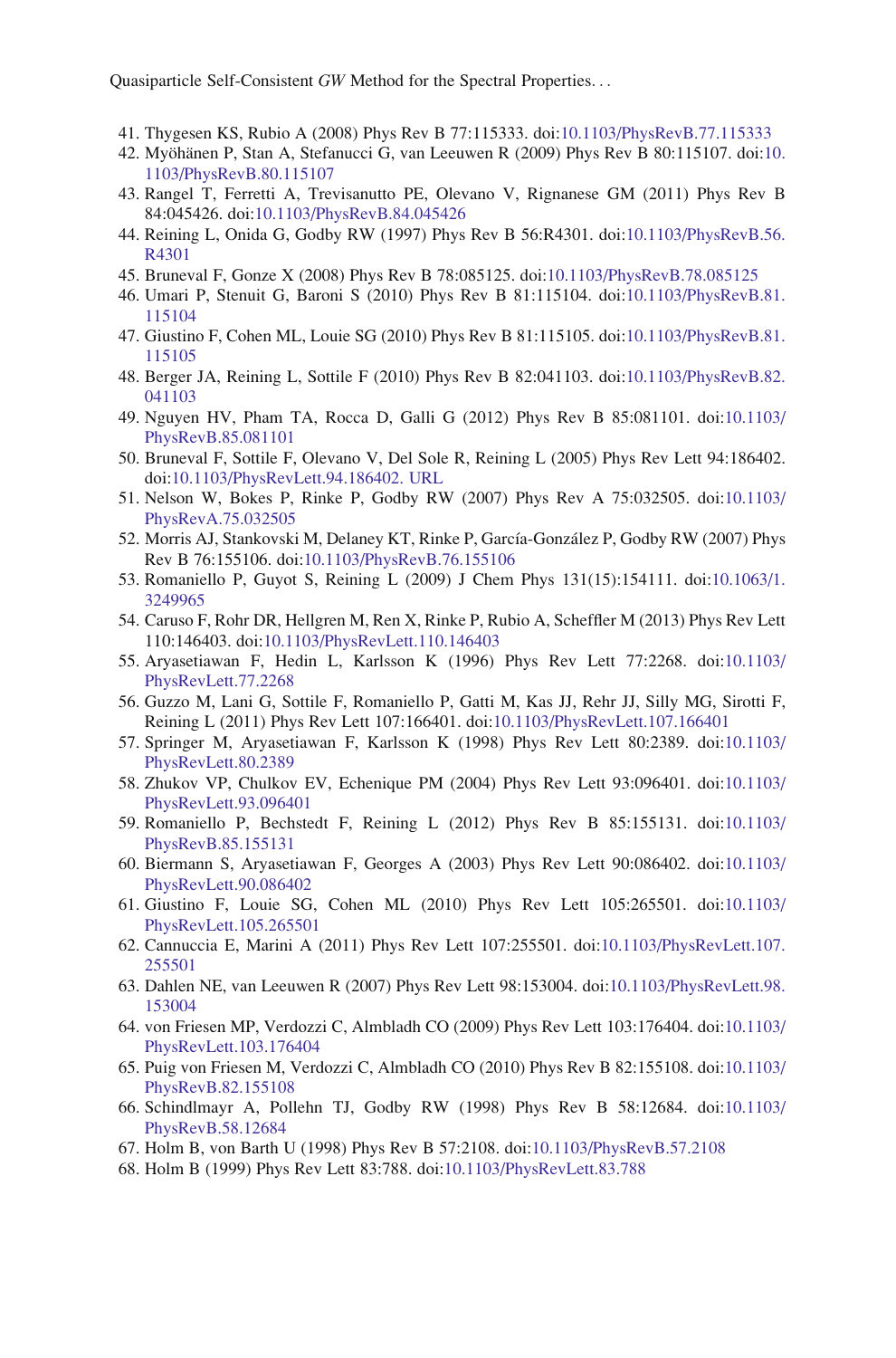- <span id="page-32-0"></span>41. Thygesen KS, Rubio A (2008) Phys Rev B 77:115333. doi:[10.1103/PhysRevB.77.115333](http://dx.doi.org/10.1103/PhysRevB.77.115333)
- 42. Myöhänen P, Stan A, Stefanucci G, van Leeuwen R (2009) Phys Rev B 80:115107. doi:[10.](http://dx.doi.org/10.1103/PhysRevB.80.115107) [1103/PhysRevB.80.115107](http://dx.doi.org/10.1103/PhysRevB.80.115107)
- 43. Rangel T, Ferretti A, Trevisanutto PE, Olevano V, Rignanese GM (2011) Phys Rev B 84:045426. doi[:10.1103/PhysRevB.84.045426](http://dx.doi.org/10.1103/PhysRevB.84.045426)
- 44. Reining L, Onida G, Godby RW (1997) Phys Rev B 56:R4301. doi[:10.1103/PhysRevB.56.](http://dx.doi.org/10.1103/PhysRevB.56.R4301) [R4301](http://dx.doi.org/10.1103/PhysRevB.56.R4301)
- 45. Bruneval F, Gonze X (2008) Phys Rev B 78:085125. doi[:10.1103/PhysRevB.78.085125](http://dx.doi.org/10.1103/PhysRevB.78.085125)
- 46. Umari P, Stenuit G, Baroni S (2010) Phys Rev B 81:115104. doi[:10.1103/PhysRevB.81.](http://dx.doi.org/10.1103/PhysRevB.81.115104) [115104](http://dx.doi.org/10.1103/PhysRevB.81.115104)
- 47. Giustino F, Cohen ML, Louie SG (2010) Phys Rev B 81:115105. doi[:10.1103/PhysRevB.81.](http://dx.doi.org/10.1103/PhysRevB.81.115105) [115105](http://dx.doi.org/10.1103/PhysRevB.81.115105)
- 48. Berger JA, Reining L, Sottile F (2010) Phys Rev B 82:041103. doi[:10.1103/PhysRevB.82.](http://dx.doi.org/10.1103/PhysRevB.82.041103) [041103](http://dx.doi.org/10.1103/PhysRevB.82.041103)
- 49. Nguyen HV, Pham TA, Rocca D, Galli G (2012) Phys Rev B 85:081101. doi:[10.1103/](http://dx.doi.org/10.1103/PhysRevB.85.081101) [PhysRevB.85.081101](http://dx.doi.org/10.1103/PhysRevB.85.081101)
- 50. Bruneval F, Sottile F, Olevano V, Del Sole R, Reining L (2005) Phys Rev Lett 94:186402. doi[:10.1103/PhysRevLett.94.186402. URL](http://dx.doi.org/10.1103/PhysRevLett.94.186402.%20URL)
- 51. Nelson W, Bokes P, Rinke P, Godby RW (2007) Phys Rev A 75:032505. doi:[10.1103/](http://dx.doi.org/10.1103/PhysRevA.75.032505) [PhysRevA.75.032505](http://dx.doi.org/10.1103/PhysRevA.75.032505)
- 52. Morris AJ, Stankovski M, Delaney KT, Rinke P, García-González P, Godby RW (2007) Phys Rev B 76:155106. doi[:10.1103/PhysRevB.76.155106](http://dx.doi.org/10.1103/PhysRevB.76.155106)
- 53. Romaniello P, Guyot S, Reining L (2009) J Chem Phys 131(15):154111. doi[:10.1063/1.](http://dx.doi.org/10.1063/1.3249965) [3249965](http://dx.doi.org/10.1063/1.3249965)
- 54. Caruso F, Rohr DR, Hellgren M, Ren X, Rinke P, Rubio A, Scheffler M (2013) Phys Rev Lett 110:146403. doi[:10.1103/PhysRevLett.110.146403](http://dx.doi.org/10.1103/PhysRevLett.110.146403)
- 55. Aryasetiawan F, Hedin L, Karlsson K (1996) Phys Rev Lett 77:2268. doi:[10.1103/](http://dx.doi.org/10.1103/PhysRevLett.77.2268) [PhysRevLett.77.2268](http://dx.doi.org/10.1103/PhysRevLett.77.2268)
- 56. Guzzo M, Lani G, Sottile F, Romaniello P, Gatti M, Kas JJ, Rehr JJ, Silly MG, Sirotti F, Reining L (2011) Phys Rev Lett 107:166401. doi:[10.1103/PhysRevLett.107.166401](http://dx.doi.org/10.1103/PhysRevLett.107.166401)
- 57. Springer M, Aryasetiawan F, Karlsson K (1998) Phys Rev Lett 80:2389. doi:[10.1103/](http://dx.doi.org/10.1103/PhysRevLett.80.2389) [PhysRevLett.80.2389](http://dx.doi.org/10.1103/PhysRevLett.80.2389)
- 58. Zhukov VP, Chulkov EV, Echenique PM (2004) Phys Rev Lett 93:096401. doi:[10.1103/](http://dx.doi.org/10.1103/PhysRevLett.93.096401) [PhysRevLett.93.096401](http://dx.doi.org/10.1103/PhysRevLett.93.096401)
- 59. Romaniello P, Bechstedt F, Reining L (2012) Phys Rev B 85:155131. doi:[10.1103/](http://dx.doi.org/10.1103/PhysRevB.85.155131) [PhysRevB.85.155131](http://dx.doi.org/10.1103/PhysRevB.85.155131)
- 60. Biermann S, Aryasetiawan F, Georges A (2003) Phys Rev Lett 90:086402. doi:[10.1103/](http://dx.doi.org/10.1103/PhysRevLett.90.086402) [PhysRevLett.90.086402](http://dx.doi.org/10.1103/PhysRevLett.90.086402)
- 61. Giustino F, Louie SG, Cohen ML (2010) Phys Rev Lett 105:265501. doi:[10.1103/](http://dx.doi.org/10.1103/PhysRevLett.105.265501) [PhysRevLett.105.265501](http://dx.doi.org/10.1103/PhysRevLett.105.265501)
- 62. Cannuccia E, Marini A (2011) Phys Rev Lett 107:255501. doi:[10.1103/PhysRevLett.107.](http://dx.doi.org/10.1103/PhysRevLett.107.255501) [255501](http://dx.doi.org/10.1103/PhysRevLett.107.255501)
- 63. Dahlen NE, van Leeuwen R (2007) Phys Rev Lett 98:153004. doi[:10.1103/PhysRevLett.98.](http://dx.doi.org/10.1103/PhysRevLett.98.153004) [153004](http://dx.doi.org/10.1103/PhysRevLett.98.153004)
- 64. von Friesen MP, Verdozzi C, Almbladh CO (2009) Phys Rev Lett 103:176404. doi:[10.1103/](http://dx.doi.org/10.1103/PhysRevLett.103.176404) [PhysRevLett.103.176404](http://dx.doi.org/10.1103/PhysRevLett.103.176404)
- 65. Puig von Friesen M, Verdozzi C, Almbladh CO (2010) Phys Rev B 82:155108. doi:[10.1103/](http://dx.doi.org/10.1103/PhysRevB.82.155108) [PhysRevB.82.155108](http://dx.doi.org/10.1103/PhysRevB.82.155108)
- 66. Schindlmayr A, Pollehn TJ, Godby RW (1998) Phys Rev B 58:12684. doi:[10.1103/](http://dx.doi.org/10.1103/PhysRevB.58.12684) [PhysRevB.58.12684](http://dx.doi.org/10.1103/PhysRevB.58.12684)
- 67. Holm B, von Barth U (1998) Phys Rev B 57:2108. doi:[10.1103/PhysRevB.57.2108](http://dx.doi.org/10.1103/PhysRevB.57.2108)
- 68. Holm B (1999) Phys Rev Lett 83:788. doi:[10.1103/PhysRevLett.83.788](http://dx.doi.org/10.1103/PhysRevLett.83.788)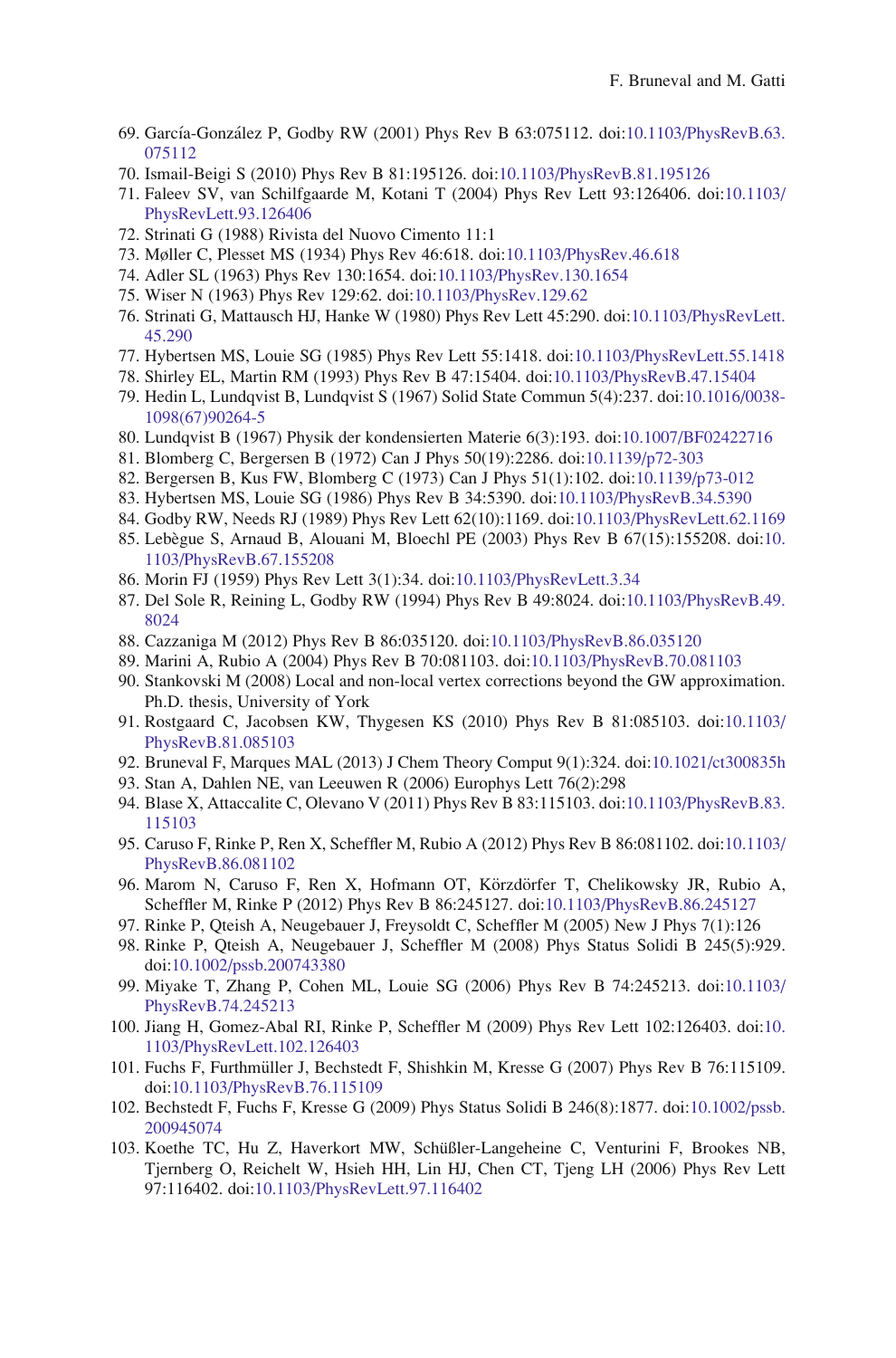- <span id="page-33-0"></span>69. García-González P, Godby RW (2001) Phys Rev B 63:075112. doi[:10.1103/PhysRevB.63.](http://dx.doi.org/10.1103/PhysRevB.63.075112) [075112](http://dx.doi.org/10.1103/PhysRevB.63.075112)
- 70. Ismail-Beigi S (2010) Phys Rev B 81:195126. doi:[10.1103/PhysRevB.81.195126](http://dx.doi.org/10.1103/PhysRevB.81.195126)
- 71. Faleev SV, van Schilfgaarde M, Kotani T (2004) Phys Rev Lett 93:126406. doi:[10.1103/](http://dx.doi.org/10.1103/PhysRevLett.93.126406) [PhysRevLett.93.126406](http://dx.doi.org/10.1103/PhysRevLett.93.126406)
- 72. Strinati G (1988) Rivista del Nuovo Cimento 11:1
- 73. Møller C, Plesset MS (1934) Phys Rev 46:618. doi[:10.1103/PhysRev.46.618](http://dx.doi.org/10.1103/PhysRev.46.618)
- 74. Adler SL (1963) Phys Rev 130:1654. doi:[10.1103/PhysRev.130.1654](http://dx.doi.org/10.1103/PhysRev.130.1654)
- 75. Wiser N (1963) Phys Rev 129:62. doi[:10.1103/PhysRev.129.62](http://dx.doi.org/10.1103/PhysRev.129.62)
- 76. Strinati G, Mattausch HJ, Hanke W (1980) Phys Rev Lett 45:290. doi:[10.1103/PhysRevLett.](http://dx.doi.org/10.1103/PhysRevLett.45.290) [45.290](http://dx.doi.org/10.1103/PhysRevLett.45.290)
- 77. Hybertsen MS, Louie SG (1985) Phys Rev Lett 55:1418. doi:[10.1103/PhysRevLett.55.1418](http://dx.doi.org/10.1103/PhysRevLett.55.1418)
- 78. Shirley EL, Martin RM (1993) Phys Rev B 47:15404. doi[:10.1103/PhysRevB.47.15404](http://dx.doi.org/10.1103/PhysRevB.47.15404)
- 79. Hedin L, Lundqvist B, Lundqvist S (1967) Solid State Commun 5(4):237. doi:[10.1016/0038-](http://dx.doi.org/10.1016/0038-1098(67)90264-5) [1098\(67\)90264-5](http://dx.doi.org/10.1016/0038-1098(67)90264-5)
- 80. Lundqvist B (1967) Physik der kondensierten Materie 6(3):193. doi[:10.1007/BF02422716](http://dx.doi.org/10.1007/BF02422716)
- 81. Blomberg C, Bergersen B (1972) Can J Phys 50(19):2286. doi[:10.1139/p72-303](http://dx.doi.org/10.1139/p72-303)
- 82. Bergersen B, Kus FW, Blomberg C (1973) Can J Phys 51(1):102. doi[:10.1139/p73-012](http://dx.doi.org/10.1139/p73-012)
- 83. Hybertsen MS, Louie SG (1986) Phys Rev B 34:5390. doi:[10.1103/PhysRevB.34.5390](http://dx.doi.org/10.1103/PhysRevB.34.5390)
- 84. Godby RW, Needs RJ (1989) Phys Rev Lett 62(10):1169. doi[:10.1103/PhysRevLett.62.1169](http://dx.doi.org/10.1103/PhysRevLett.62.1169)
- 85. Lebe`gue S, Arnaud B, Alouani M, Bloechl PE (2003) Phys Rev B 67(15):155208. doi:[10.](http://dx.doi.org/10.1103/PhysRevB.67.155208) [1103/PhysRevB.67.155208](http://dx.doi.org/10.1103/PhysRevB.67.155208)
- 86. Morin FJ (1959) Phys Rev Lett 3(1):34. doi[:10.1103/PhysRevLett.3.34](http://dx.doi.org/10.1103/PhysRevLett.3.34)
- 87. Del Sole R, Reining L, Godby RW (1994) Phys Rev B 49:8024. doi[:10.1103/PhysRevB.49.](http://dx.doi.org/10.1103/PhysRevB.49.8024) [8024](http://dx.doi.org/10.1103/PhysRevB.49.8024)
- 88. Cazzaniga M (2012) Phys Rev B 86:035120. doi[:10.1103/PhysRevB.86.035120](http://dx.doi.org/10.1103/PhysRevB.86.035120)
- 89. Marini A, Rubio A (2004) Phys Rev B 70:081103. doi[:10.1103/PhysRevB.70.081103](http://dx.doi.org/10.1103/PhysRevB.70.081103)
- 90. Stankovski M (2008) Local and non-local vertex corrections beyond the GW approximation. Ph.D. thesis, University of York
- 91. Rostgaard C, Jacobsen KW, Thygesen KS (2010) Phys Rev B 81:085103. doi:[10.1103/](http://dx.doi.org/10.1103/PhysRevB.81.085103) [PhysRevB.81.085103](http://dx.doi.org/10.1103/PhysRevB.81.085103)
- 92. Bruneval F, Marques MAL (2013) J Chem Theory Comput 9(1):324. doi:[10.1021/ct300835h](http://dx.doi.org/10.1021/ct300835h)
- 93. Stan A, Dahlen NE, van Leeuwen R (2006) Europhys Lett 76(2):298
- 94. Blase X, Attaccalite C, Olevano V (2011) Phys Rev B 83:115103. doi[:10.1103/PhysRevB.83.](http://dx.doi.org/10.1103/PhysRevB.83.115103) [115103](http://dx.doi.org/10.1103/PhysRevB.83.115103)
- 95. Caruso F, Rinke P, Ren X, Scheffler M, Rubio A (2012) Phys Rev B 86:081102. doi:[10.1103/](http://dx.doi.org/10.1103/PhysRevB.86.081102) [PhysRevB.86.081102](http://dx.doi.org/10.1103/PhysRevB.86.081102)
- 96. Marom N, Caruso F, Ren X, Hofmann OT, Körzdörfer T, Chelikowsky JR, Rubio A, Scheffler M, Rinke P (2012) Phys Rev B 86:245127. doi[:10.1103/PhysRevB.86.245127](http://dx.doi.org/10.1103/PhysRevB.86.245127)
- 97. Rinke P, Qteish A, Neugebauer J, Freysoldt C, Scheffler M (2005) New J Phys 7(1):126
- 98. Rinke P, Qteish A, Neugebauer J, Scheffler M (2008) Phys Status Solidi B 245(5):929. doi[:10.1002/pssb.200743380](http://dx.doi.org/10.1002/pssb.200743380)
- 99. Miyake T, Zhang P, Cohen ML, Louie SG (2006) Phys Rev B 74:245213. doi:[10.1103/](http://dx.doi.org/10.1103/PhysRevB.74.245213) [PhysRevB.74.245213](http://dx.doi.org/10.1103/PhysRevB.74.245213)
- 100. Jiang H, Gomez-Abal RI, Rinke P, Scheffler M (2009) Phys Rev Lett 102:126403. doi:[10.](http://dx.doi.org/10.1103/PhysRevLett.102.126403) [1103/PhysRevLett.102.126403](http://dx.doi.org/10.1103/PhysRevLett.102.126403)
- 101. Fuchs F, Furthmüller J, Bechstedt F, Shishkin M, Kresse G (2007) Phys Rev B 76:115109. doi[:10.1103/PhysRevB.76.115109](http://dx.doi.org/10.1103/PhysRevB.76.115109)
- 102. Bechstedt F, Fuchs F, Kresse G (2009) Phys Status Solidi B 246(8):1877. doi:[10.1002/pssb.](http://dx.doi.org/10.1002/pssb.200945074) [200945074](http://dx.doi.org/10.1002/pssb.200945074)
- 103. Koethe TC, Hu Z, Haverkort MW, Schüßler-Langeheine C, Venturini F, Brookes NB, Tjernberg O, Reichelt W, Hsieh HH, Lin HJ, Chen CT, Tjeng LH (2006) Phys Rev Lett 97:116402. doi[:10.1103/PhysRevLett.97.116402](http://dx.doi.org/10.1103/PhysRevLett.97.116402)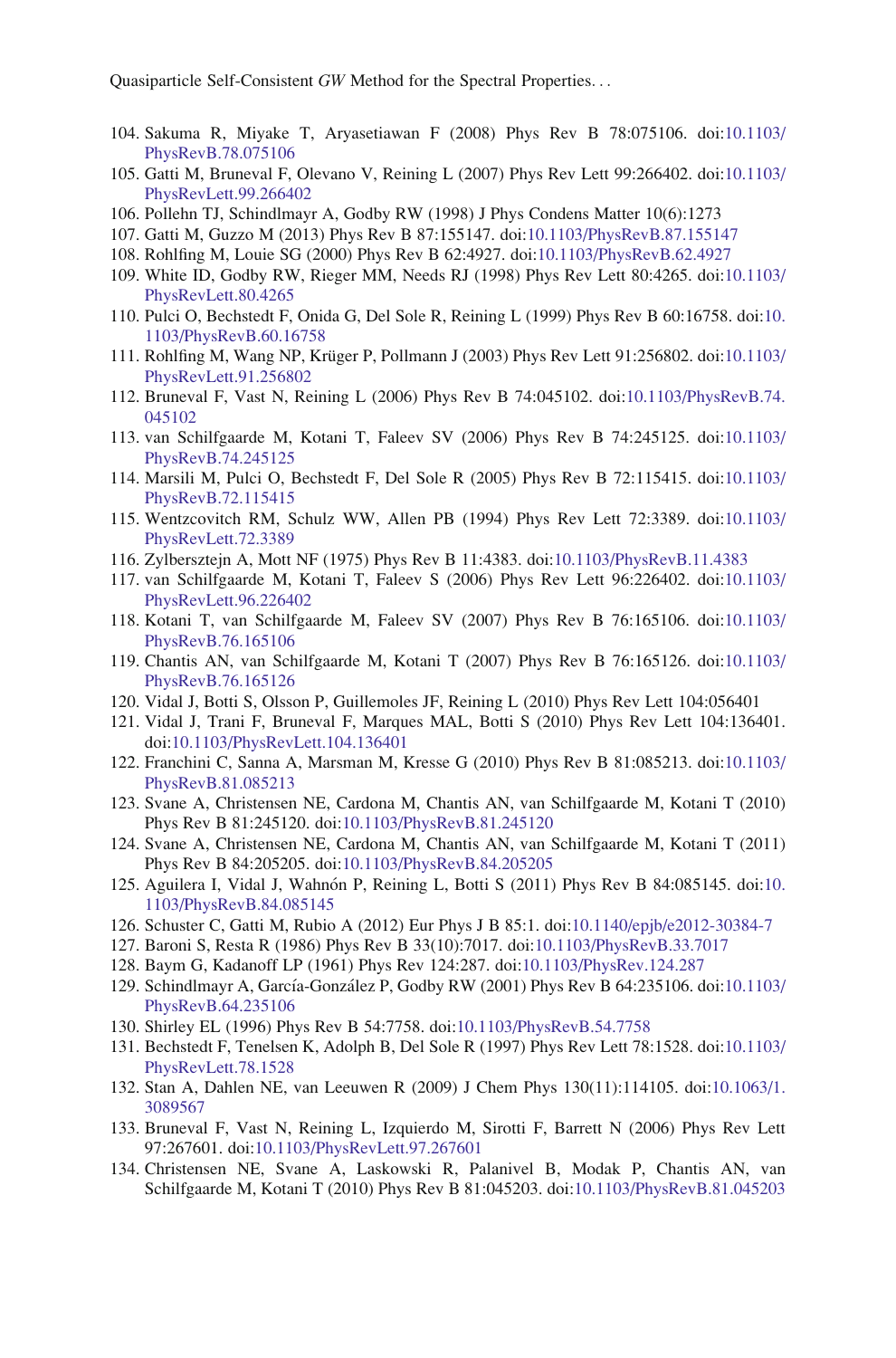- <span id="page-34-0"></span>104. Sakuma R, Miyake T, Aryasetiawan F (2008) Phys Rev B 78:075106. doi:[10.1103/](http://dx.doi.org/10.1103/PhysRevB.78.075106) [PhysRevB.78.075106](http://dx.doi.org/10.1103/PhysRevB.78.075106)
- 105. Gatti M, Bruneval F, Olevano V, Reining L (2007) Phys Rev Lett 99:266402. doi:[10.1103/](http://dx.doi.org/10.1103/PhysRevLett.99.266402) [PhysRevLett.99.266402](http://dx.doi.org/10.1103/PhysRevLett.99.266402)
- 106. Pollehn TJ, Schindlmayr A, Godby RW (1998) J Phys Condens Matter 10(6):1273
- 107. Gatti M, Guzzo M (2013) Phys Rev B 87:155147. doi:[10.1103/PhysRevB.87.155147](http://dx.doi.org/10.1103/PhysRevB.87.155147)
- 108. Rohlfing M, Louie SG (2000) Phys Rev B 62:4927. doi:[10.1103/PhysRevB.62.4927](http://dx.doi.org/10.1103/PhysRevB.62.4927)
- 109. White ID, Godby RW, Rieger MM, Needs RJ (1998) Phys Rev Lett 80:4265. doi:[10.1103/](http://dx.doi.org/10.1103/PhysRevLett.80.4265) [PhysRevLett.80.4265](http://dx.doi.org/10.1103/PhysRevLett.80.4265)
- 110. Pulci O, Bechstedt F, Onida G, Del Sole R, Reining L (1999) Phys Rev B 60:16758. doi:[10.](http://dx.doi.org/10.1103/PhysRevB.60.16758) [1103/PhysRevB.60.16758](http://dx.doi.org/10.1103/PhysRevB.60.16758)
- 111. Rohlfing M, Wang NP, Krüger P, Pollmann J (2003) Phys Rev Lett 91:256802. doi:[10.1103/](http://dx.doi.org/10.1103/PhysRevLett.91.256802) [PhysRevLett.91.256802](http://dx.doi.org/10.1103/PhysRevLett.91.256802)
- 112. Bruneval F, Vast N, Reining L (2006) Phys Rev B 74:045102. doi[:10.1103/PhysRevB.74.](http://dx.doi.org/10.1103/PhysRevB.74.045102) [045102](http://dx.doi.org/10.1103/PhysRevB.74.045102)
- 113. van Schilfgaarde M, Kotani T, Faleev SV (2006) Phys Rev B 74:245125. doi:[10.1103/](http://dx.doi.org/10.1103/PhysRevB.74.245125) [PhysRevB.74.245125](http://dx.doi.org/10.1103/PhysRevB.74.245125)
- 114. Marsili M, Pulci O, Bechstedt F, Del Sole R (2005) Phys Rev B 72:115415. doi:[10.1103/](http://dx.doi.org/10.1103/PhysRevB.72.115415) [PhysRevB.72.115415](http://dx.doi.org/10.1103/PhysRevB.72.115415)
- 115. Wentzcovitch RM, Schulz WW, Allen PB (1994) Phys Rev Lett 72:3389. doi:[10.1103/](http://dx.doi.org/10.1103/PhysRevLett.72.3389) [PhysRevLett.72.3389](http://dx.doi.org/10.1103/PhysRevLett.72.3389)
- 116. Zylbersztejn A, Mott NF (1975) Phys Rev B 11:4383. doi:[10.1103/PhysRevB.11.4383](http://dx.doi.org/10.1103/PhysRevB.11.4383)
- 117. van Schilfgaarde M, Kotani T, Faleev S (2006) Phys Rev Lett 96:226402. doi:[10.1103/](http://dx.doi.org/10.1103/PhysRevLett.96.226402) [PhysRevLett.96.226402](http://dx.doi.org/10.1103/PhysRevLett.96.226402)
- 118. Kotani T, van Schilfgaarde M, Faleev SV (2007) Phys Rev B 76:165106. doi:[10.1103/](http://dx.doi.org/10.1103/PhysRevB.76.165106) [PhysRevB.76.165106](http://dx.doi.org/10.1103/PhysRevB.76.165106)
- 119. Chantis AN, van Schilfgaarde M, Kotani T (2007) Phys Rev B 76:165126. doi:[10.1103/](http://dx.doi.org/10.1103/PhysRevB.76.165126) [PhysRevB.76.165126](http://dx.doi.org/10.1103/PhysRevB.76.165126)
- 120. Vidal J, Botti S, Olsson P, Guillemoles JF, Reining L (2010) Phys Rev Lett 104:056401
- 121. Vidal J, Trani F, Bruneval F, Marques MAL, Botti S (2010) Phys Rev Lett 104:136401. doi[:10.1103/PhysRevLett.104.136401](http://dx.doi.org/10.1103/PhysRevLett.104.136401)
- 122. Franchini C, Sanna A, Marsman M, Kresse G (2010) Phys Rev B 81:085213. doi:[10.1103/](http://dx.doi.org/10.1103/PhysRevB.81.085213) [PhysRevB.81.085213](http://dx.doi.org/10.1103/PhysRevB.81.085213)
- 123. Svane A, Christensen NE, Cardona M, Chantis AN, van Schilfgaarde M, Kotani T (2010) Phys Rev B 81:245120. doi:[10.1103/PhysRevB.81.245120](http://dx.doi.org/10.1103/PhysRevB.81.245120)
- 124. Svane A, Christensen NE, Cardona M, Chantis AN, van Schilfgaarde M, Kotani T (2011) Phys Rev B 84:205205. doi:[10.1103/PhysRevB.84.205205](http://dx.doi.org/10.1103/PhysRevB.84.205205)
- 125. Aguilera I, Vidal J, Wahno´n P, Reining L, Botti S (2011) Phys Rev B 84:085145. doi:[10.](http://dx.doi.org/10.1103/PhysRevB.84.085145) [1103/PhysRevB.84.085145](http://dx.doi.org/10.1103/PhysRevB.84.085145)
- 126. Schuster C, Gatti M, Rubio A (2012) Eur Phys J B 85:1. doi:[10.1140/epjb/e2012-30384-7](http://dx.doi.org/10.1140/epjb/e2012-30384-7)
- 127. Baroni S, Resta R (1986) Phys Rev B 33(10):7017. doi[:10.1103/PhysRevB.33.7017](http://dx.doi.org/10.1103/PhysRevB.33.7017)
- 128. Baym G, Kadanoff LP (1961) Phys Rev 124:287. doi[:10.1103/PhysRev.124.287](http://dx.doi.org/10.1103/PhysRev.124.287)
- 129. Schindlmayr A, García-González P, Godby RW (2001) Phys Rev B 64:235106. doi:[10.1103/](http://dx.doi.org/10.1103/PhysRevB.64.235106) [PhysRevB.64.235106](http://dx.doi.org/10.1103/PhysRevB.64.235106)
- 130. Shirley EL (1996) Phys Rev B 54:7758. doi[:10.1103/PhysRevB.54.7758](http://dx.doi.org/10.1103/PhysRevB.54.7758)
- 131. Bechstedt F, Tenelsen K, Adolph B, Del Sole R (1997) Phys Rev Lett 78:1528. doi:[10.1103/](http://dx.doi.org/10.1103/PhysRevLett.78.1528) [PhysRevLett.78.1528](http://dx.doi.org/10.1103/PhysRevLett.78.1528)
- 132. Stan A, Dahlen NE, van Leeuwen R (2009) J Chem Phys 130(11):114105. doi[:10.1063/1.](http://dx.doi.org/10.1063/1.3089567) [3089567](http://dx.doi.org/10.1063/1.3089567)
- 133. Bruneval F, Vast N, Reining L, Izquierdo M, Sirotti F, Barrett N (2006) Phys Rev Lett 97:267601. doi[:10.1103/PhysRevLett.97.267601](http://dx.doi.org/10.1103/PhysRevLett.97.267601)
- 134. Christensen NE, Svane A, Laskowski R, Palanivel B, Modak P, Chantis AN, van Schilfgaarde M, Kotani T (2010) Phys Rev B 81:045203. doi:[10.1103/PhysRevB.81.045203](http://dx.doi.org/10.1103/PhysRevB.81.045203)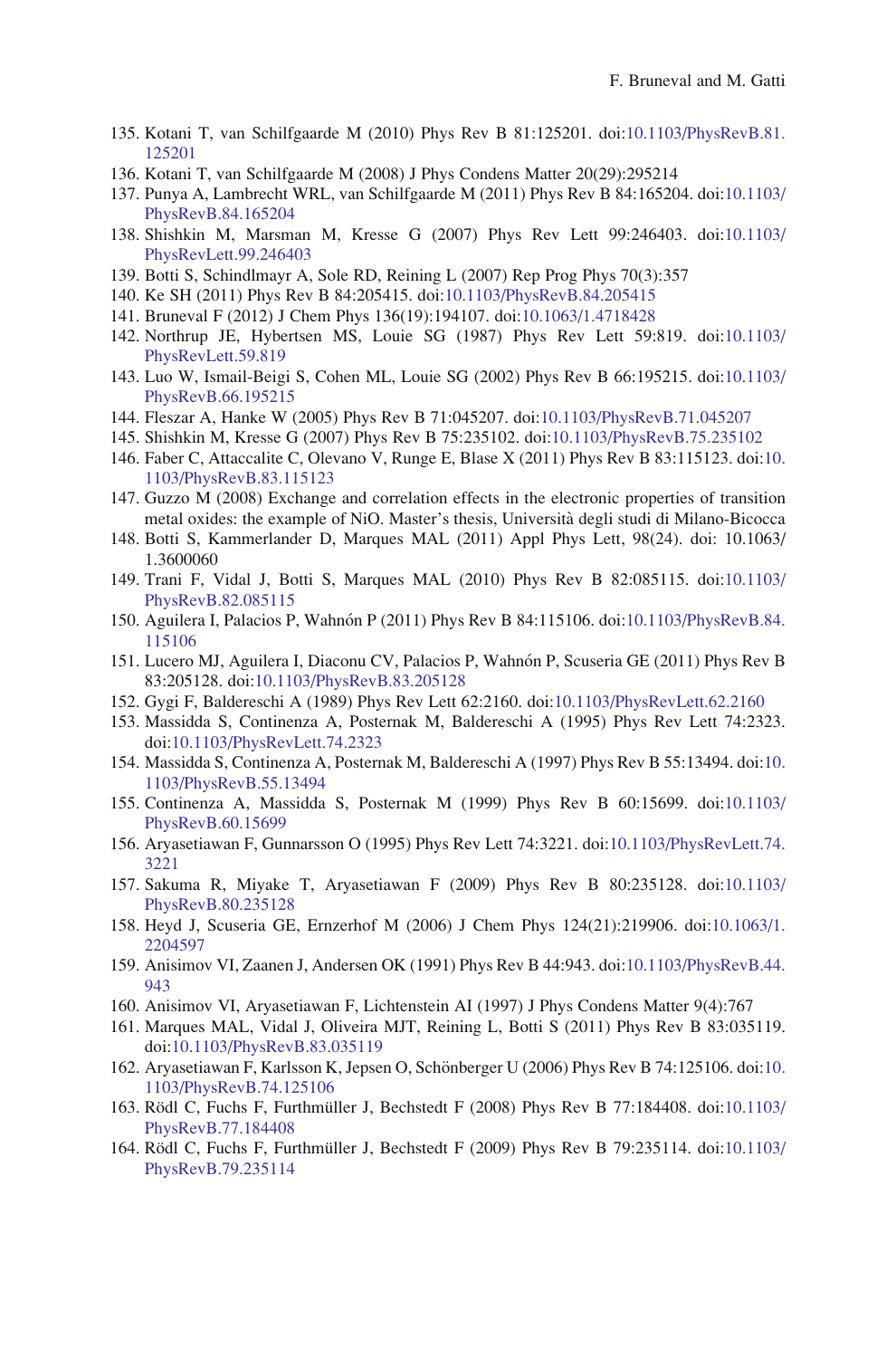- <span id="page-35-0"></span>135. Kotani T, van Schilfgaarde M (2010) Phys Rev B 81:125201. doi[:10.1103/PhysRevB.81.](http://dx.doi.org/10.1103/PhysRevB.81.125201) [125201](http://dx.doi.org/10.1103/PhysRevB.81.125201)
- 136. Kotani T, van Schilfgaarde M (2008) J Phys Condens Matter 20(29):295214
- 137. Punya A, Lambrecht WRL, van Schilfgaarde M (2011) Phys Rev B 84:165204. doi:[10.1103/](http://dx.doi.org/10.1103/PhysRevB.84.165204) [PhysRevB.84.165204](http://dx.doi.org/10.1103/PhysRevB.84.165204)
- 138. Shishkin M, Marsman M, Kresse G (2007) Phys Rev Lett 99:246403. doi:[10.1103/](http://dx.doi.org/10.1103/PhysRevLett.99.246403) [PhysRevLett.99.246403](http://dx.doi.org/10.1103/PhysRevLett.99.246403)
- 139. Botti S, Schindlmayr A, Sole RD, Reining L (2007) Rep Prog Phys 70(3):357
- 140. Ke SH (2011) Phys Rev B 84:205415. doi[:10.1103/PhysRevB.84.205415](http://dx.doi.org/10.1103/PhysRevB.84.205415)
- 141. Bruneval F (2012) J Chem Phys 136(19):194107. doi:[10.1063/1.4718428](http://dx.doi.org/10.1063/1.4718428)
- 142. Northrup JE, Hybertsen MS, Louie SG (1987) Phys Rev Lett 59:819. doi:[10.1103/](http://dx.doi.org/10.1103/PhysRevLett.59.819) [PhysRevLett.59.819](http://dx.doi.org/10.1103/PhysRevLett.59.819)
- 143. Luo W, Ismail-Beigi S, Cohen ML, Louie SG (2002) Phys Rev B 66:195215. doi:[10.1103/](http://dx.doi.org/10.1103/PhysRevB.66.195215) [PhysRevB.66.195215](http://dx.doi.org/10.1103/PhysRevB.66.195215)
- 144. Fleszar A, Hanke W (2005) Phys Rev B 71:045207. doi[:10.1103/PhysRevB.71.045207](http://dx.doi.org/10.1103/PhysRevB.71.045207)
- 145. Shishkin M, Kresse G (2007) Phys Rev B 75:235102. doi:[10.1103/PhysRevB.75.235102](http://dx.doi.org/10.1103/PhysRevB.75.235102)
- 146. Faber C, Attaccalite C, Olevano V, Runge E, Blase X (2011) Phys Rev B 83:115123. doi:[10.](http://dx.doi.org/10.1103/PhysRevB.83.115123) [1103/PhysRevB.83.115123](http://dx.doi.org/10.1103/PhysRevB.83.115123)
- 147. Guzzo M (2008) Exchange and correlation effects in the electronic properties of transition metal oxides: the example of NiO. Master's thesis, Universita` degli studi di Milano-Bicocca
- 148. Botti S, Kammerlander D, Marques MAL (2011) Appl Phys Lett, 98(24). doi: 10.1063/ 1.3600060
- 149. Trani F, Vidal J, Botti S, Marques MAL (2010) Phys Rev B 82:085115. doi:[10.1103/](http://dx.doi.org/10.1103/PhysRevB.82.085115) [PhysRevB.82.085115](http://dx.doi.org/10.1103/PhysRevB.82.085115)
- 150. Aguilera I, Palacios P, Wahnón P (2011) Phys Rev B 84:115106. doi[:10.1103/PhysRevB.84.](http://dx.doi.org/10.1103/PhysRevB.84.115106) [115106](http://dx.doi.org/10.1103/PhysRevB.84.115106)
- 151. Lucero MJ, Aguilera I, Diaconu CV, Palacios P, Wahnón P, Scuseria GE (2011) Phys Rev B 83:205128. doi[:10.1103/PhysRevB.83.205128](http://dx.doi.org/10.1103/PhysRevB.83.205128)
- 152. Gygi F, Baldereschi A (1989) Phys Rev Lett 62:2160. doi:[10.1103/PhysRevLett.62.2160](http://dx.doi.org/10.1103/PhysRevLett.62.2160)
- 153. Massidda S, Continenza A, Posternak M, Baldereschi A (1995) Phys Rev Lett 74:2323. doi[:10.1103/PhysRevLett.74.2323](http://dx.doi.org/10.1103/PhysRevLett.74.2323)
- 154. Massidda S, Continenza A, Posternak M, Baldereschi A (1997) Phys Rev B 55:13494. doi:[10.](http://dx.doi.org/10.1103/PhysRevB.55.13494) [1103/PhysRevB.55.13494](http://dx.doi.org/10.1103/PhysRevB.55.13494)
- 155. Continenza A, Massidda S, Posternak M (1999) Phys Rev B 60:15699. doi:[10.1103/](http://dx.doi.org/10.1103/PhysRevB.60.15699) [PhysRevB.60.15699](http://dx.doi.org/10.1103/PhysRevB.60.15699)
- 156. Aryasetiawan F, Gunnarsson O (1995) Phys Rev Lett 74:3221. doi[:10.1103/PhysRevLett.74.](http://dx.doi.org/10.1103/PhysRevLett.74.3221) [3221](http://dx.doi.org/10.1103/PhysRevLett.74.3221)
- 157. Sakuma R, Miyake T, Aryasetiawan F (2009) Phys Rev B 80:235128. doi:[10.1103/](http://dx.doi.org/10.1103/PhysRevB.80.235128) [PhysRevB.80.235128](http://dx.doi.org/10.1103/PhysRevB.80.235128)
- 158. Heyd J, Scuseria GE, Ernzerhof M (2006) J Chem Phys 124(21):219906. doi[:10.1063/1.](http://dx.doi.org/10.1063/1.2204597) [2204597](http://dx.doi.org/10.1063/1.2204597)
- 159. Anisimov VI, Zaanen J, Andersen OK (1991) Phys Rev B 44:943. doi[:10.1103/PhysRevB.44.](http://dx.doi.org/10.1103/PhysRevB.44.943) [943](http://dx.doi.org/10.1103/PhysRevB.44.943)
- 160. Anisimov VI, Aryasetiawan F, Lichtenstein AI (1997) J Phys Condens Matter 9(4):767
- 161. Marques MAL, Vidal J, Oliveira MJT, Reining L, Botti S (2011) Phys Rev B 83:035119. doi[:10.1103/PhysRevB.83.035119](http://dx.doi.org/10.1103/PhysRevB.83.035119)
- 162. Aryasetiawan F, Karlsson K, Jepsen O, Schönberger U (2006) Phys Rev B 74:125106. doi:[10.](http://dx.doi.org/10.1103/PhysRevB.74.125106) [1103/PhysRevB.74.125106](http://dx.doi.org/10.1103/PhysRevB.74.125106)
- 163. Rödl C, Fuchs F, Furthmüller J, Bechstedt F (2008) Phys Rev B 77:184408. doi:[10.1103/](http://dx.doi.org/10.1103/PhysRevB.77.184408) [PhysRevB.77.184408](http://dx.doi.org/10.1103/PhysRevB.77.184408)
- 164. Rödl C, Fuchs F, Furthmüller J, Bechstedt F (2009) Phys Rev B 79:235114. doi:[10.1103/](http://dx.doi.org/10.1103/PhysRevB.79.235114) [PhysRevB.79.235114](http://dx.doi.org/10.1103/PhysRevB.79.235114)